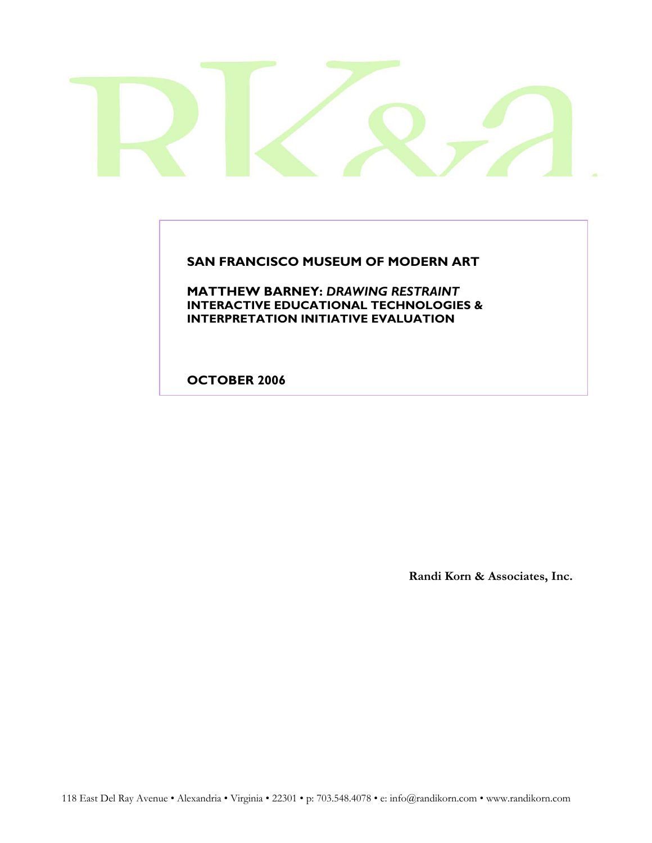**SAN FRANCISCO MUSEUM OF MODERN ART** 

**MATTHEW BARNEY:** *DRAWING RESTRAINT*  **INTERACTIVE EDUCATIONAL TECHNOLOGIES & INTERPRETATION INITIATIVE EVALUATION**

**OCTOBER 2006**

**Randi Korn & Associates, Inc.**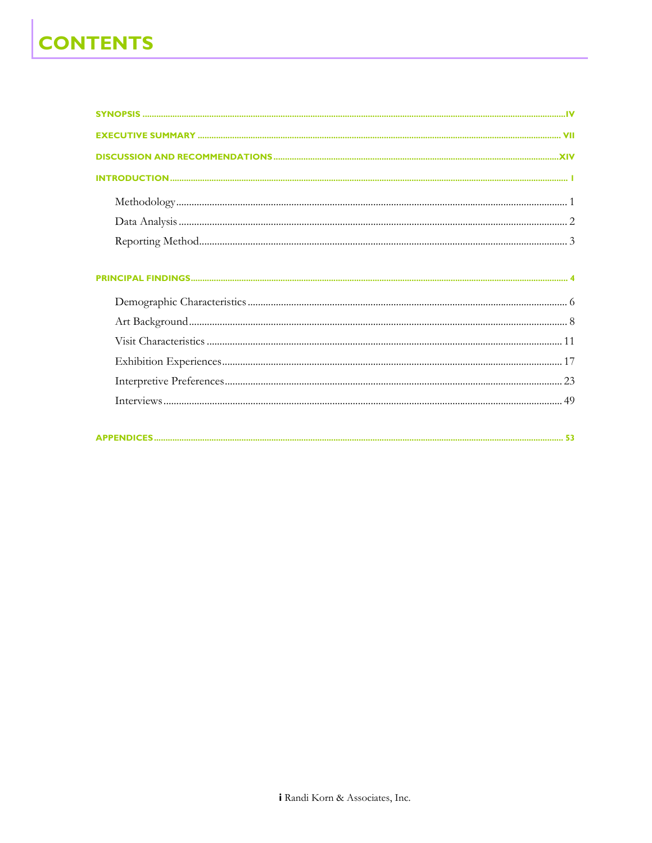# **CONTENTS**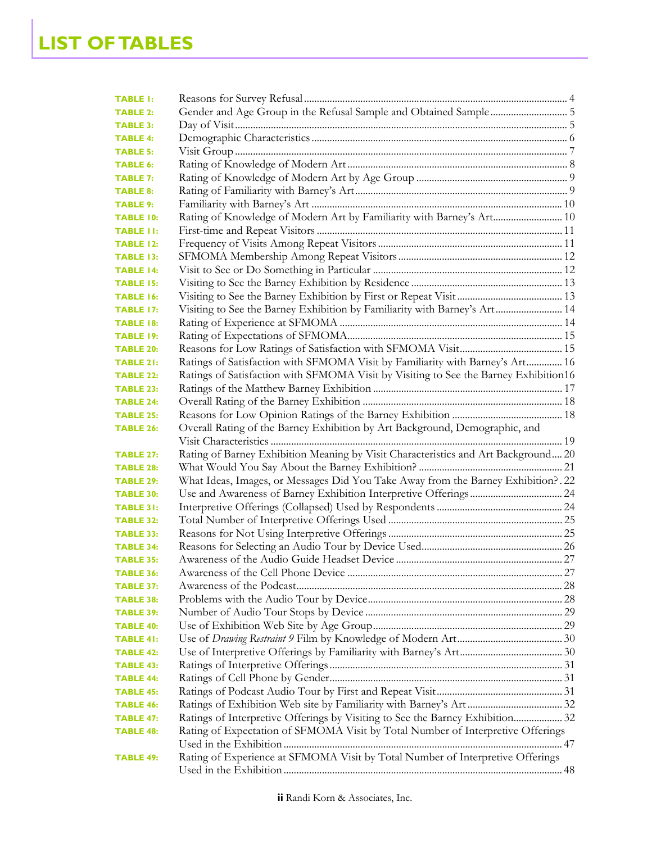| <b>TABLE 1:</b>  |                                                                                      |  |
|------------------|--------------------------------------------------------------------------------------|--|
| <b>TABLE 2:</b>  |                                                                                      |  |
| <b>TABLE 3:</b>  |                                                                                      |  |
| <b>TABLE 4:</b>  |                                                                                      |  |
| <b>TABLE 5:</b>  |                                                                                      |  |
| <b>TABLE 6:</b>  |                                                                                      |  |
| <b>TABLE 7:</b>  |                                                                                      |  |
| <b>TABLE 8:</b>  |                                                                                      |  |
| <b>TABLE 9:</b>  |                                                                                      |  |
| <b>TABLE 10:</b> | Rating of Knowledge of Modern Art by Familiarity with Barney's Art 10                |  |
| <b>TABLE II:</b> |                                                                                      |  |
| <b>TABLE 12:</b> |                                                                                      |  |
| <b>TABLE 13:</b> |                                                                                      |  |
| <b>TABLE 14:</b> |                                                                                      |  |
| <b>TABLE 15:</b> |                                                                                      |  |
| <b>TABLE 16:</b> |                                                                                      |  |
| <b>TABLE 17:</b> | Visiting to See the Barney Exhibition by Familiarity with Barney's Art 14            |  |
| <b>TABLE 18:</b> |                                                                                      |  |
| <b>TABLE 19:</b> |                                                                                      |  |
| <b>TABLE 20:</b> |                                                                                      |  |
| <b>TABLE 21:</b> | Ratings of Satisfaction with SFMOMA Visit by Familiarity with Barney's Art 16        |  |
| <b>TABLE 22:</b> | Ratings of Satisfaction with SFMOMA Visit by Visiting to See the Barney Exhibition16 |  |
| <b>TABLE 23:</b> |                                                                                      |  |
| <b>TABLE 24:</b> |                                                                                      |  |
| <b>TABLE 25:</b> |                                                                                      |  |
| <b>TABLE 26:</b> | Overall Rating of the Barney Exhibition by Art Background, Demographic, and          |  |
|                  |                                                                                      |  |
| <b>TABLE 27:</b> | Rating of Barney Exhibition Meaning by Visit Characteristics and Art Background 20   |  |
| <b>TABLE 28:</b> |                                                                                      |  |
| <b>TABLE 29:</b> | What Ideas, Images, or Messages Did You Take Away from the Barney Exhibition? . 22   |  |
| <b>TABLE 30:</b> |                                                                                      |  |
| <b>TABLE 31:</b> |                                                                                      |  |
| <b>TABLE 32:</b> |                                                                                      |  |
| <b>TABLE 33:</b> |                                                                                      |  |
| <b>TABLE 34:</b> |                                                                                      |  |
| <b>TABLE 35:</b> |                                                                                      |  |
| <b>TABLE 36:</b> |                                                                                      |  |
| <b>TABLE 37:</b> |                                                                                      |  |
| <b>TABLE 38:</b> |                                                                                      |  |
| <b>TABLE 39:</b> |                                                                                      |  |
| <b>TABLE 40:</b> |                                                                                      |  |
| <b>TABLE 41:</b> |                                                                                      |  |
| <b>TABLE 42:</b> |                                                                                      |  |
| <b>TABLE 43:</b> |                                                                                      |  |
| <b>TABLE 44:</b> |                                                                                      |  |
| <b>TABLE 45:</b> |                                                                                      |  |
| <b>TABLE 46:</b> |                                                                                      |  |
| <b>TABLE 47:</b> | Ratings of Interpretive Offerings by Visiting to See the Barney Exhibition 32        |  |
| <b>TABLE 48:</b> | Rating of Expectation of SFMOMA Visit by Total Number of Interpretive Offerings      |  |
| <b>TABLE 49:</b> | Rating of Experience at SFMOMA Visit by Total Number of Interpretive Offerings       |  |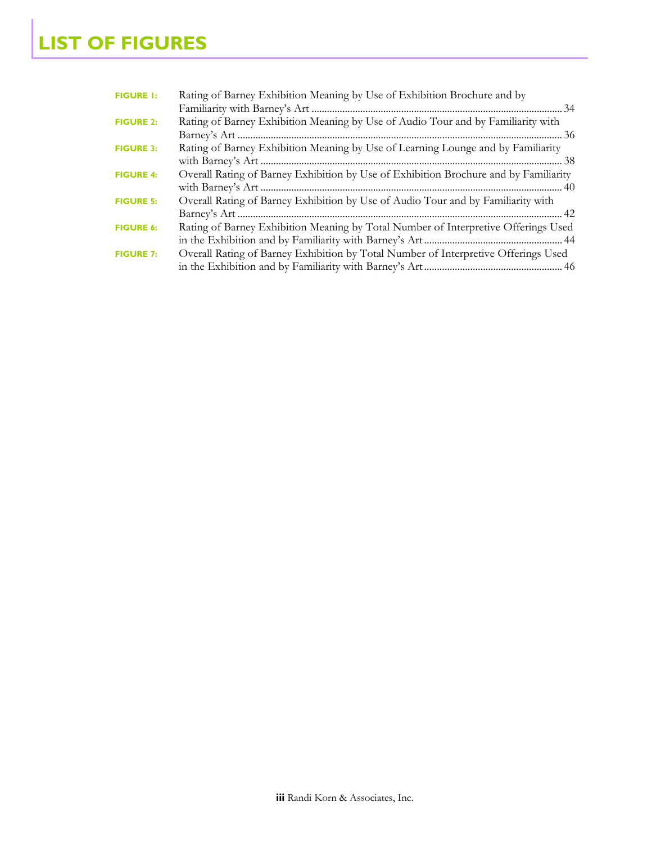| <b>FIGURE 1:</b> | Rating of Barney Exhibition Meaning by Use of Exhibition Brochure and by             |
|------------------|--------------------------------------------------------------------------------------|
|                  |                                                                                      |
| <b>FIGURE 2:</b> | Rating of Barney Exhibition Meaning by Use of Audio Tour and by Familiarity with     |
|                  |                                                                                      |
| <b>FIGURE 3:</b> | Rating of Barney Exhibition Meaning by Use of Learning Lounge and by Familiarity     |
|                  |                                                                                      |
| <b>FIGURE 4:</b> | Overall Rating of Barney Exhibition by Use of Exhibition Brochure and by Familiarity |
|                  |                                                                                      |
| <b>FIGURE 5:</b> | Overall Rating of Barney Exhibition by Use of Audio Tour and by Familiarity with     |
|                  |                                                                                      |
| <b>FIGURE 6:</b> | Rating of Barney Exhibition Meaning by Total Number of Interpretive Offerings Used   |
|                  |                                                                                      |
| <b>FIGURE 7:</b> | Overall Rating of Barney Exhibition by Total Number of Interpretive Offerings Used   |
|                  |                                                                                      |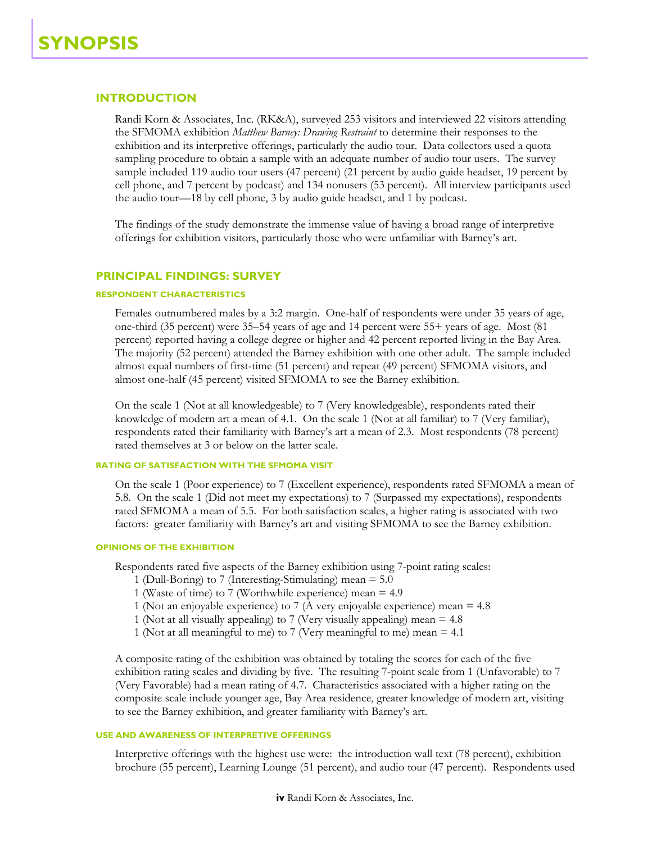## **INTRODUCTION**

Randi Korn & Associates, Inc. (RK&A), surveyed 253 visitors and interviewed 22 visitors attending the SFMOMA exhibition *Matthew Barney: Drawing Restraint* to determine their responses to the exhibition and its interpretive offerings, particularly the audio tour. Data collectors used a quota sampling procedure to obtain a sample with an adequate number of audio tour users. The survey sample included 119 audio tour users (47 percent) (21 percent by audio guide headset, 19 percent by cell phone, and 7 percent by podcast) and 134 nonusers (53 percent). All interview participants used the audio tour—18 by cell phone, 3 by audio guide headset, and 1 by podcast.

The findings of the study demonstrate the immense value of having a broad range of interpretive offerings for exhibition visitors, particularly those who were unfamiliar with Barney's art.

#### **PRINCIPAL FINDINGS: SURVEY**

#### **RESPONDENT CHARACTERISTICS**

Females outnumbered males by a 3:2 margin. One-half of respondents were under 35 years of age, one-third (35 percent) were 35–54 years of age and 14 percent were 55+ years of age. Most (81 percent) reported having a college degree or higher and 42 percent reported living in the Bay Area. The majority (52 percent) attended the Barney exhibition with one other adult. The sample included almost equal numbers of first-time (51 percent) and repeat (49 percent) SFMOMA visitors, and almost one-half (45 percent) visited SFMOMA to see the Barney exhibition.

On the scale 1 (Not at all knowledgeable) to 7 (Very knowledgeable), respondents rated their knowledge of modern art a mean of 4.1. On the scale 1 (Not at all familiar) to 7 (Very familiar), respondents rated their familiarity with Barney's art a mean of 2.3. Most respondents (78 percent) rated themselves at 3 or below on the latter scale.

## **RATING OF SATISFACTION WITH THE SFMOMA VISIT**

On the scale 1 (Poor experience) to 7 (Excellent experience), respondents rated SFMOMA a mean of 5.8. On the scale 1 (Did not meet my expectations) to 7 (Surpassed my expectations), respondents rated SFMOMA a mean of 5.5. For both satisfaction scales, a higher rating is associated with two factors: greater familiarity with Barney's art and visiting SFMOMA to see the Barney exhibition.

#### **OPINIONS OF THE EXHIBITION**

Respondents rated five aspects of the Barney exhibition using 7-point rating scales:

- 1 (Dull-Boring) to 7 (Interesting-Stimulating) mean = 5.0
- 1 (Waste of time) to 7 (Worthwhile experience) mean = 4.9
- 1 (Not an enjoyable experience) to 7 (A very enjoyable experience) mean = 4.8
- 1 (Not at all visually appealing) to 7 (Very visually appealing) mean = 4.8
- 1 (Not at all meaningful to me) to 7 (Very meaningful to me) mean = 4.1

A composite rating of the exhibition was obtained by totaling the scores for each of the five exhibition rating scales and dividing by five. The resulting 7-point scale from 1 (Unfavorable) to 7 (Very Favorable) had a mean rating of 4.7. Characteristics associated with a higher rating on the composite scale include younger age, Bay Area residence, greater knowledge of modern art, visiting to see the Barney exhibition, and greater familiarity with Barney's art.

#### **USE AND AWARENESS OF INTERPRETIVE OFFERINGS**

Interpretive offerings with the highest use were: the introduction wall text (78 percent), exhibition brochure (55 percent), Learning Lounge (51 percent), and audio tour (47 percent). Respondents used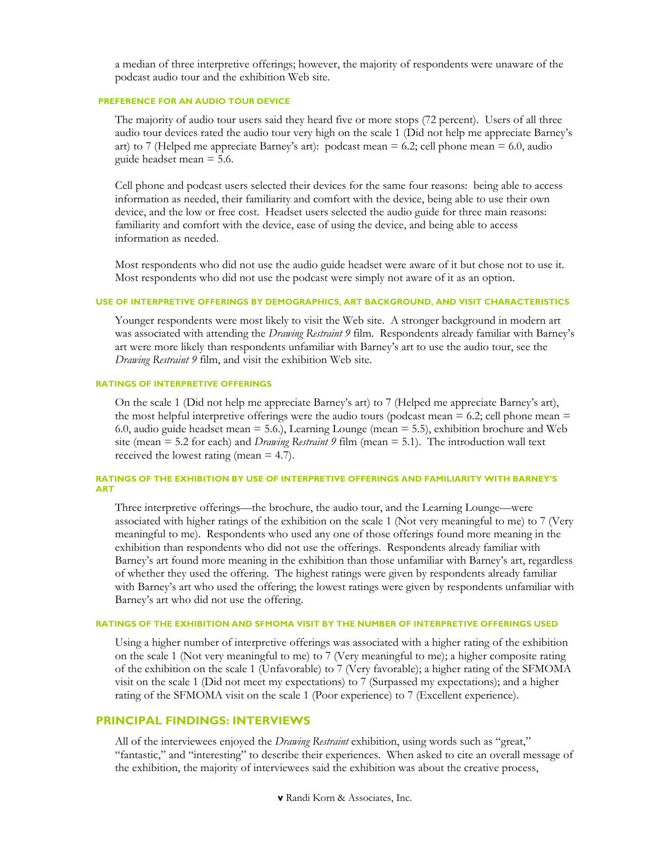a median of three interpretive offerings; however, the majority of respondents were unaware of the podcast audio tour and the exhibition Web site.

#### **PREFERENCE FOR AN AUDIO TOUR DEVICE**

The majority of audio tour users said they heard five or more stops (72 percent). Users of all three audio tour devices rated the audio tour very high on the scale 1 (Did not help me appreciate Barney's art) to 7 (Helped me appreciate Barney's art): podcast mean  $= 6.2$ ; cell phone mean  $= 6.0$ , audio guide headset mean = 5.6.

Cell phone and podcast users selected their devices for the same four reasons: being able to access information as needed, their familiarity and comfort with the device, being able to use their own device, and the low or free cost. Headset users selected the audio guide for three main reasons: familiarity and comfort with the device, ease of using the device, and being able to access information as needed.

Most respondents who did not use the audio guide headset were aware of it but chose not to use it. Most respondents who did not use the podcast were simply not aware of it as an option.

#### **USE OF INTERPRETIVE OFFERINGS BY DEMOGRAPHICS, ART BACKGROUND, AND VISIT CHARACTERISTICS**

Younger respondents were most likely to visit the Web site. A stronger background in modern art was associated with attending the *Drawing Restraint 9* film. Respondents already familiar with Barney's art were more likely than respondents unfamiliar with Barney's art to use the audio tour, see the *Drawing Restraint 9* film, and visit the exhibition Web site.

#### **RATINGS OF INTERPRETIVE OFFERINGS**

On the scale 1 (Did not help me appreciate Barney's art) to 7 (Helped me appreciate Barney's art), the most helpful interpretive offerings were the audio tours (podcast mean  $= 6.2$ ; cell phone mean  $=$ 6.0, audio guide headset mean = 5.6.), Learning Lounge (mean = 5.5), exhibition brochure and Web site (mean = 5.2 for each) and *Drawing Restraint 9* film (mean = 5.1). The introduction wall text received the lowest rating (mean = 4.7).

#### **RATINGS OF THE EXHIBITION BY USE OF INTERPRETIVE OFFERINGS AND FAMILIARITY WITH BARNEY'S ART**

Three interpretive offerings—the brochure, the audio tour, and the Learning Lounge—were associated with higher ratings of the exhibition on the scale 1 (Not very meaningful to me) to 7 (Very meaningful to me). Respondents who used any one of those offerings found more meaning in the exhibition than respondents who did not use the offerings. Respondents already familiar with Barney's art found more meaning in the exhibition than those unfamiliar with Barney's art, regardless of whether they used the offering. The highest ratings were given by respondents already familiar with Barney's art who used the offering; the lowest ratings were given by respondents unfamiliar with Barney's art who did not use the offering.

#### **RATINGS OF THE EXHIBITION AND SFMOMA VISIT BY THE NUMBER OF INTERPRETIVE OFFERINGS USED**

Using a higher number of interpretive offerings was associated with a higher rating of the exhibition on the scale 1 (Not very meaningful to me) to 7 (Very meaningful to me); a higher composite rating of the exhibition on the scale 1 (Unfavorable) to 7 (Very favorable); a higher rating of the SFMOMA visit on the scale 1 (Did not meet my expectations) to 7 (Surpassed my expectations); and a higher rating of the SFMOMA visit on the scale 1 (Poor experience) to 7 (Excellent experience).

## **PRINCIPAL FINDINGS: INTERVIEWS**

All of the interviewees enjoyed the *Drawing Restraint* exhibition, using words such as "great," "fantastic," and "interesting" to describe their experiences. When asked to cite an overall message of the exhibition, the majority of interviewees said the exhibition was about the creative process,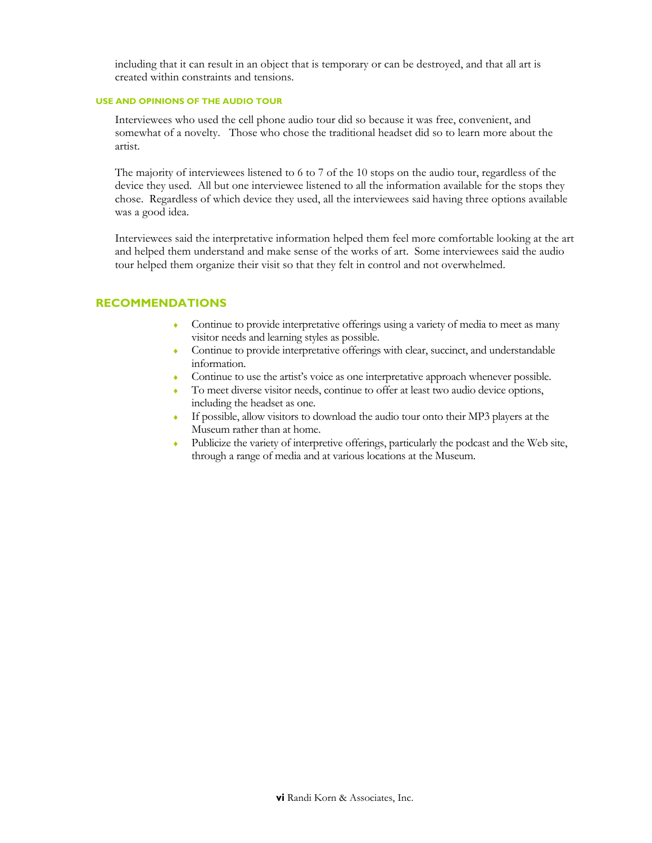including that it can result in an object that is temporary or can be destroyed, and that all art is created within constraints and tensions.

#### **USE AND OPINIONS OF THE AUDIO TOUR**

Interviewees who used the cell phone audio tour did so because it was free, convenient, and somewhat of a novelty. Those who chose the traditional headset did so to learn more about the artist.

The majority of interviewees listened to 6 to 7 of the 10 stops on the audio tour, regardless of the device they used. All but one interviewee listened to all the information available for the stops they chose. Regardless of which device they used, all the interviewees said having three options available was a good idea.

Interviewees said the interpretative information helped them feel more comfortable looking at the art and helped them understand and make sense of the works of art. Some interviewees said the audio tour helped them organize their visit so that they felt in control and not overwhelmed.

## **RECOMMENDATIONS**

- Continue to provide interpretative offerings using a variety of media to meet as many visitor needs and learning styles as possible.
- ♦ Continue to provide interpretative offerings with clear, succinct, and understandable information.
- ♦ Continue to use the artist's voice as one interpretative approach whenever possible.
- To meet diverse visitor needs, continue to offer at least two audio device options, including the headset as one.
- ♦ If possible, allow visitors to download the audio tour onto their MP3 players at the Museum rather than at home.
- ♦ Publicize the variety of interpretive offerings, particularly the podcast and the Web site, through a range of media and at various locations at the Museum.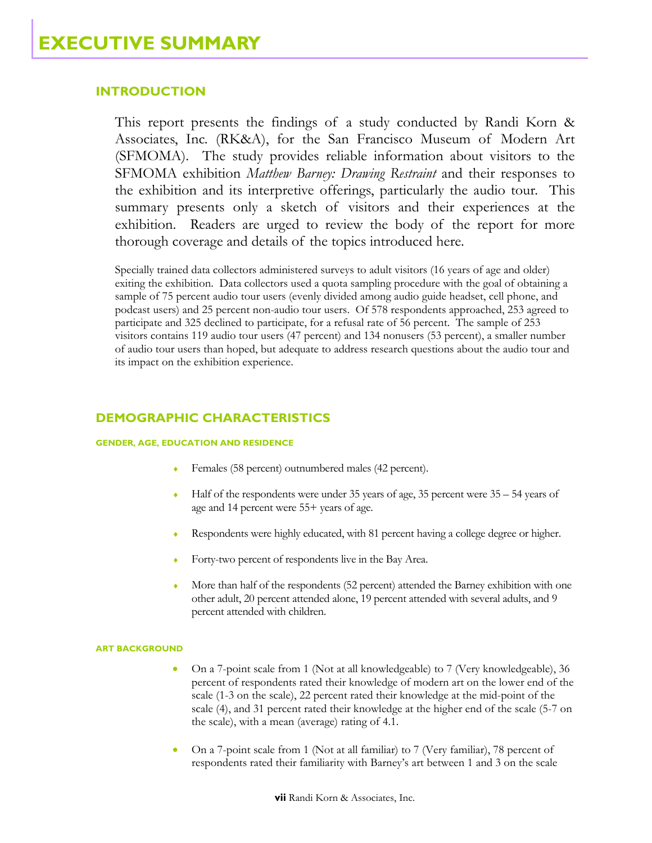## **INTRODUCTION**

This report presents the findings of a study conducted by Randi Korn & Associates, Inc. (RK&A), for the San Francisco Museum of Modern Art (SFMOMA). The study provides reliable information about visitors to the SFMOMA exhibition *Matthew Barney: Drawing Restraint* and their responses to the exhibition and its interpretive offerings, particularly the audio tour. This summary presents only a sketch of visitors and their experiences at the exhibition. Readers are urged to review the body of the report for more thorough coverage and details of the topics introduced here.

Specially trained data collectors administered surveys to adult visitors (16 years of age and older) exiting the exhibition. Data collectors used a quota sampling procedure with the goal of obtaining a sample of 75 percent audio tour users (evenly divided among audio guide headset, cell phone, and podcast users) and 25 percent non-audio tour users. Of 578 respondents approached, 253 agreed to participate and 325 declined to participate, for a refusal rate of 56 percent. The sample of 253 visitors contains 119 audio tour users (47 percent) and 134 nonusers (53 percent), a smaller number of audio tour users than hoped, but adequate to address research questions about the audio tour and its impact on the exhibition experience.

## **DEMOGRAPHIC CHARACTERISTICS**

#### **GENDER, AGE, EDUCATION AND RESIDENCE**

- Females (58 percent) outnumbered males (42 percent).
- $\bullet$  Half of the respondents were under 35 years of age, 35 percent were 35 54 years of age and 14 percent were 55+ years of age.
- Respondents were highly educated, with 81 percent having a college degree or higher.
- Forty-two percent of respondents live in the Bay Area.
- More than half of the respondents (52 percent) attended the Barney exhibition with one other adult, 20 percent attended alone, 19 percent attended with several adults, and 9 percent attended with children.

#### **ART BACKGROUND**

- On a 7-point scale from 1 (Not at all knowledgeable) to 7 (Very knowledgeable), 36 percent of respondents rated their knowledge of modern art on the lower end of the scale (1-3 on the scale), 22 percent rated their knowledge at the mid-point of the scale (4), and 31 percent rated their knowledge at the higher end of the scale (5-7 on the scale), with a mean (average) rating of 4.1.
- On a 7-point scale from 1 (Not at all familiar) to 7 (Very familiar), 78 percent of respondents rated their familiarity with Barney's art between 1 and 3 on the scale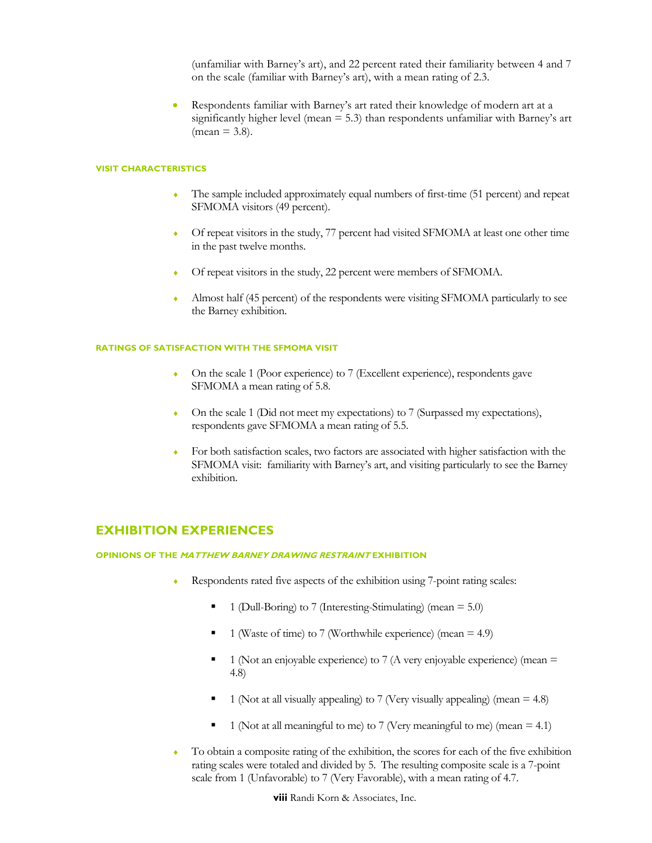(unfamiliar with Barney's art), and 22 percent rated their familiarity between 4 and 7 on the scale (familiar with Barney's art), with a mean rating of 2.3.

• Respondents familiar with Barney's art rated their knowledge of modern art at a significantly higher level (mean = 5.3) than respondents unfamiliar with Barney's art  $(mean = 3.8)$ .

#### **VISIT CHARACTERISTICS**

- The sample included approximately equal numbers of first-time (51 percent) and repeat SFMOMA visitors (49 percent).
- Of repeat visitors in the study, 77 percent had visited SFMOMA at least one other time in the past twelve months.
- Of repeat visitors in the study, 22 percent were members of SFMOMA.
- ♦ Almost half (45 percent) of the respondents were visiting SFMOMA particularly to see the Barney exhibition.

#### **RATINGS OF SATISFACTION WITH THE SFMOMA VISIT**

- On the scale 1 (Poor experience) to 7 (Excellent experience), respondents gave SFMOMA a mean rating of 5.8.
- ♦ On the scale 1 (Did not meet my expectations) to 7 (Surpassed my expectations), respondents gave SFMOMA a mean rating of 5.5.
- For both satisfaction scales, two factors are associated with higher satisfaction with the SFMOMA visit: familiarity with Barney's art, and visiting particularly to see the Barney exhibition.

## **EXHIBITION EXPERIENCES**

#### **OPINIONS OF THE MATTHEW BARNEY DRAWING RESTRAINT EXHIBITION**

- Respondents rated five aspects of the exhibition using 7-point rating scales:
	- 1 (Dull-Boring) to 7 (Interesting-Stimulating) (mean = 5.0)
	- $\blacksquare$  1 (Waste of time) to 7 (Worthwhile experience) (mean = 4.9)
	- $\blacksquare$  1 (Not an enjoyable experience) to 7 (A very enjoyable experience) (mean  $\equiv$ 4.8)
	- 1 (Not at all visually appealing) to 7 (Very visually appealing) (mean  $=$  4.8)
	- 1 (Not at all meaningful to me) to 7 (Very meaningful to me) (mean  $= 4.1$ )
- To obtain a composite rating of the exhibition, the scores for each of the five exhibition rating scales were totaled and divided by 5. The resulting composite scale is a 7-point scale from 1 (Unfavorable) to 7 (Very Favorable), with a mean rating of 4.7.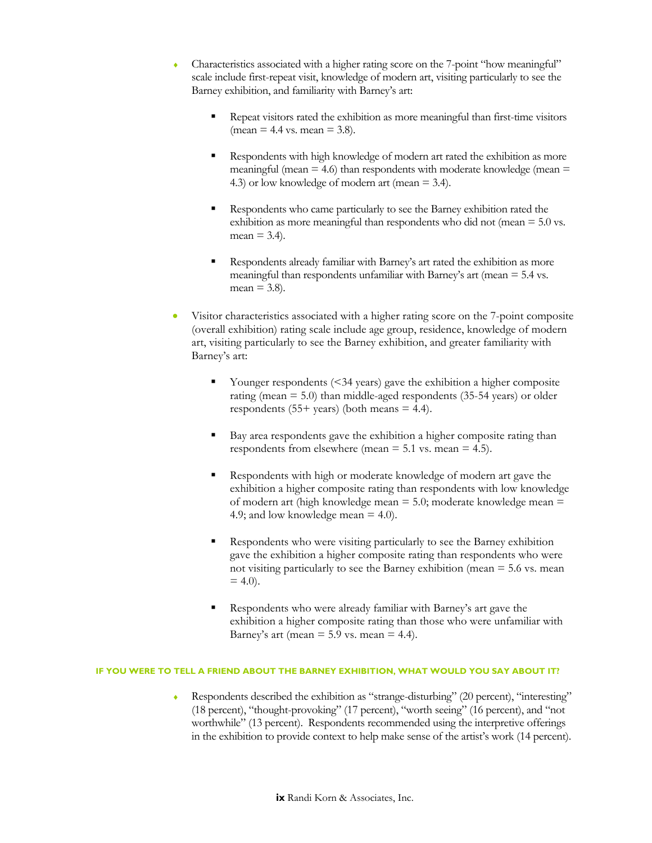- Characteristics associated with a higher rating score on the 7-point "how meaningful" scale include first-repeat visit, knowledge of modern art, visiting particularly to see the Barney exhibition, and familiarity with Barney's art:
	- Repeat visitors rated the exhibition as more meaningful than first-time visitors  $(\text{mean} = 4.4 \text{ vs. mean} = 3.8).$
	- Respondents with high knowledge of modern art rated the exhibition as more meaningful (mean  $= 4.6$ ) than respondents with moderate knowledge (mean  $=$ 4.3) or low knowledge of modern art (mean = 3.4).
	- Respondents who came particularly to see the Barney exhibition rated the exhibition as more meaningful than respondents who did not (mean = 5.0 vs.  $mean = 3.4$ ).
	- Respondents already familiar with Barney's art rated the exhibition as more meaningful than respondents unfamiliar with Barney's art (mean = 5.4 vs.  $mean = 3.8$ ).
- Visitor characteristics associated with a higher rating score on the 7-point composite (overall exhibition) rating scale include age group, residence, knowledge of modern art, visiting particularly to see the Barney exhibition, and greater familiarity with Barney's art:
	- Younger respondents (<34 years) gave the exhibition a higher composite rating (mean  $= 5.0$ ) than middle-aged respondents (35-54 years) or older respondents (55+ years) (both means  $=$  4.4).
	- Bay area respondents gave the exhibition a higher composite rating than respondents from elsewhere (mean  $= 5.1$  vs. mean  $= 4.5$ ).
	- Respondents with high or moderate knowledge of modern art gave the exhibition a higher composite rating than respondents with low knowledge of modern art (high knowledge mean = 5.0; moderate knowledge mean = 4.9; and low knowledge mean = 4.0).
	- Respondents who were visiting particularly to see the Barney exhibition gave the exhibition a higher composite rating than respondents who were not visiting particularly to see the Barney exhibition (mean  $=$  5.6 vs. mean  $= 4.0$ ).
	- Respondents who were already familiar with Barney's art gave the exhibition a higher composite rating than those who were unfamiliar with Barney's art (mean  $= 5.9$  vs. mean  $= 4.4$ ).

#### **IF YOU WERE TO TELL A FRIEND ABOUT THE BARNEY EXHIBITION, WHAT WOULD YOU SAY ABOUT IT?**

Respondents described the exhibition as "strange-disturbing" (20 percent), "interesting" (18 percent), "thought-provoking" (17 percent), "worth seeing" (16 percent), and "not worthwhile" (13 percent). Respondents recommended using the interpretive offerings in the exhibition to provide context to help make sense of the artist's work (14 percent).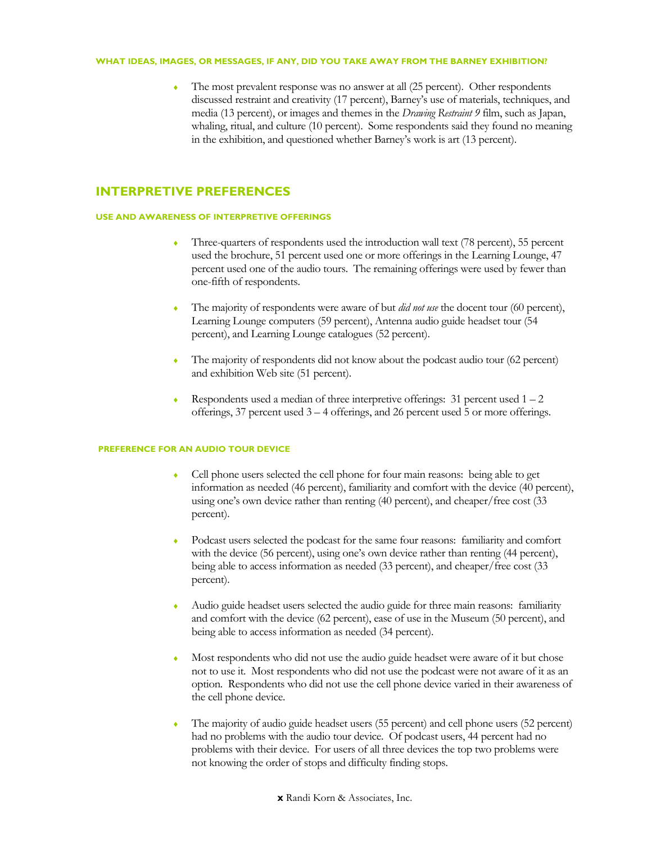#### **WHAT IDEAS, IMAGES, OR MESSAGES, IF ANY, DID YOU TAKE AWAY FROM THE BARNEY EXHIBITION?**

The most prevalent response was no answer at all (25 percent). Other respondents discussed restraint and creativity (17 percent), Barney's use of materials, techniques, and media (13 percent), or images and themes in the *Drawing Restraint 9* film, such as Japan, whaling, ritual, and culture (10 percent). Some respondents said they found no meaning in the exhibition, and questioned whether Barney's work is art (13 percent).

## **INTERPRETIVE PREFERENCES**

#### **USE AND AWARENESS OF INTERPRETIVE OFFERINGS**

- ♦ Three-quarters of respondents used the introduction wall text (78 percent), 55 percent used the brochure, 51 percent used one or more offerings in the Learning Lounge, 47 percent used one of the audio tours. The remaining offerings were used by fewer than one-fifth of respondents.
- The majority of respondents were aware of but *did not use* the docent tour (60 percent), Learning Lounge computers (59 percent), Antenna audio guide headset tour (54 percent), and Learning Lounge catalogues (52 percent).
- The majority of respondents did not know about the podcast audio tour (62 percent) and exhibition Web site (51 percent).
- Respondents used a median of three interpretive offerings:  $31$  percent used  $1 2$ offerings, 37 percent used 3 – 4 offerings, and 26 percent used 5 or more offerings.

#### **PREFERENCE FOR AN AUDIO TOUR DEVICE**

- Cell phone users selected the cell phone for four main reasons: being able to get information as needed (46 percent), familiarity and comfort with the device (40 percent), using one's own device rather than renting (40 percent), and cheaper/free cost (33 percent).
- Podcast users selected the podcast for the same four reasons: familiarity and comfort with the device (56 percent), using one's own device rather than renting (44 percent), being able to access information as needed (33 percent), and cheaper/free cost (33 percent).
- Audio guide headset users selected the audio guide for three main reasons: familiarity and comfort with the device (62 percent), ease of use in the Museum (50 percent), and being able to access information as needed (34 percent).
- Most respondents who did not use the audio guide headset were aware of it but chose not to use it. Most respondents who did not use the podcast were not aware of it as an option. Respondents who did not use the cell phone device varied in their awareness of the cell phone device.
- The majority of audio guide headset users (55 percent) and cell phone users (52 percent) had no problems with the audio tour device. Of podcast users, 44 percent had no problems with their device. For users of all three devices the top two problems were not knowing the order of stops and difficulty finding stops.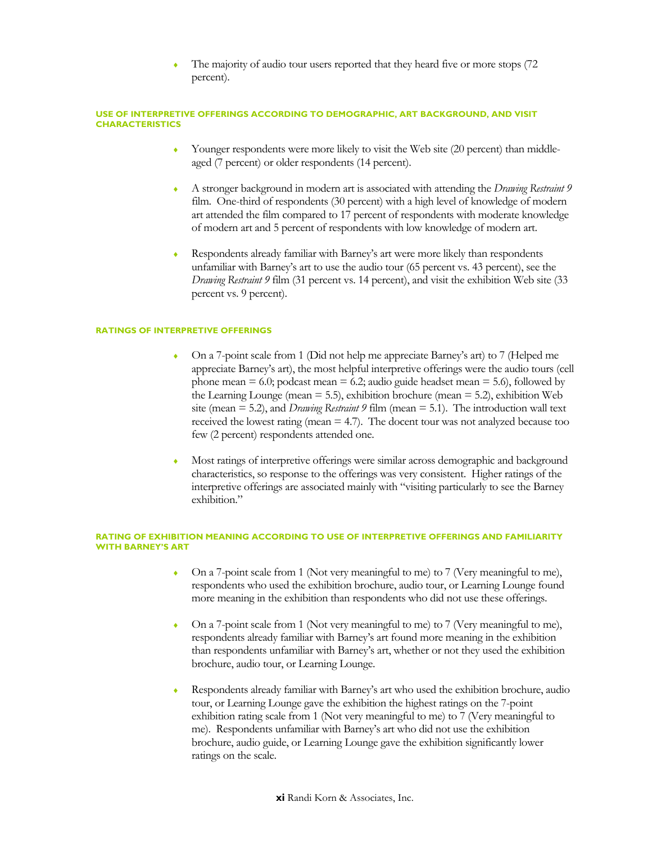The majority of audio tour users reported that they heard five or more stops (72) percent).

#### **USE OF INTERPRETIVE OFFERINGS ACCORDING TO DEMOGRAPHIC, ART BACKGROUND, AND VISIT CHARACTERISTICS**

- Younger respondents were more likely to visit the Web site (20 percent) than middleaged (7 percent) or older respondents (14 percent).
- ♦ A stronger background in modern art is associated with attending the *Drawing Restraint 9* film. One-third of respondents (30 percent) with a high level of knowledge of modern art attended the film compared to 17 percent of respondents with moderate knowledge of modern art and 5 percent of respondents with low knowledge of modern art.
- Respondents already familiar with Barney's art were more likely than respondents unfamiliar with Barney's art to use the audio tour (65 percent vs. 43 percent), see the *Drawing Restraint 9* film (31 percent vs. 14 percent), and visit the exhibition Web site (33 percent vs. 9 percent).

#### **RATINGS OF INTERPRETIVE OFFERINGS**

- ♦ On a 7-point scale from 1 (Did not help me appreciate Barney's art) to 7 (Helped me appreciate Barney's art), the most helpful interpretive offerings were the audio tours (cell phone mean  $= 6.0$ ; podcast mean  $= 6.2$ ; audio guide headset mean  $= 5.6$ ), followed by the Learning Lounge (mean = 5.5), exhibition brochure (mean = 5.2), exhibition Web site (mean = 5.2), and *Drawing Restraint 9* film (mean = 5.1). The introduction wall text received the lowest rating (mean  $=$  4.7). The docent tour was not analyzed because too few (2 percent) respondents attended one.
- ♦ Most ratings of interpretive offerings were similar across demographic and background characteristics, so response to the offerings was very consistent. Higher ratings of the interpretive offerings are associated mainly with "visiting particularly to see the Barney exhibition."

#### **RATING OF EXHIBITION MEANING ACCORDING TO USE OF INTERPRETIVE OFFERINGS AND FAMILIARITY WITH BARNEY'S ART**

- ♦ On a 7-point scale from 1 (Not very meaningful to me) to 7 (Very meaningful to me), respondents who used the exhibition brochure, audio tour, or Learning Lounge found more meaning in the exhibition than respondents who did not use these offerings.
- $\bullet$  On a 7-point scale from 1 (Not very meaningful to me) to 7 (Very meaningful to me), respondents already familiar with Barney's art found more meaning in the exhibition than respondents unfamiliar with Barney's art, whether or not they used the exhibition brochure, audio tour, or Learning Lounge.
- ♦ Respondents already familiar with Barney's art who used the exhibition brochure, audio tour, or Learning Lounge gave the exhibition the highest ratings on the 7-point exhibition rating scale from 1 (Not very meaningful to me) to 7 (Very meaningful to me). Respondents unfamiliar with Barney's art who did not use the exhibition brochure, audio guide, or Learning Lounge gave the exhibition significantly lower ratings on the scale.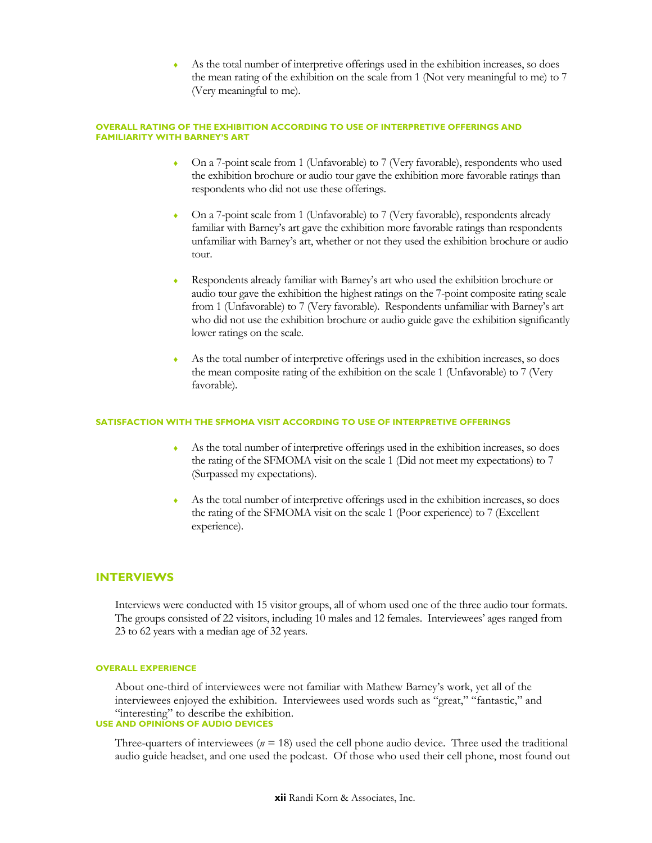As the total number of interpretive offerings used in the exhibition increases, so does the mean rating of the exhibition on the scale from 1 (Not very meaningful to me) to 7 (Very meaningful to me).

#### **OVERALL RATING OF THE EXHIBITION ACCORDING TO USE OF INTERPRETIVE OFFERINGS AND FAMILIARITY WITH BARNEY'S ART**

- On a 7-point scale from 1 (Unfavorable) to 7 (Very favorable), respondents who used the exhibition brochure or audio tour gave the exhibition more favorable ratings than respondents who did not use these offerings.
- On a 7-point scale from 1 (Unfavorable) to 7 (Very favorable), respondents already familiar with Barney's art gave the exhibition more favorable ratings than respondents unfamiliar with Barney's art, whether or not they used the exhibition brochure or audio tour.
- Respondents already familiar with Barney's art who used the exhibition brochure or audio tour gave the exhibition the highest ratings on the 7-point composite rating scale from 1 (Unfavorable) to 7 (Very favorable). Respondents unfamiliar with Barney's art who did not use the exhibition brochure or audio guide gave the exhibition significantly lower ratings on the scale.
- As the total number of interpretive offerings used in the exhibition increases, so does the mean composite rating of the exhibition on the scale 1 (Unfavorable) to 7 (Very favorable).

#### **SATISFACTION WITH THE SFMOMA VISIT ACCORDING TO USE OF INTERPRETIVE OFFERINGS**

- ♦ As the total number of interpretive offerings used in the exhibition increases, so does the rating of the SFMOMA visit on the scale 1 (Did not meet my expectations) to 7 (Surpassed my expectations).
- As the total number of interpretive offerings used in the exhibition increases, so does the rating of the SFMOMA visit on the scale 1 (Poor experience) to 7 (Excellent experience).

#### **INTERVIEWS**

Interviews were conducted with 15 visitor groups, all of whom used one of the three audio tour formats. The groups consisted of 22 visitors, including 10 males and 12 females. Interviewees' ages ranged from 23 to 62 years with a median age of 32 years.

#### **OVERALL EXPERIENCE**

About one-third of interviewees were not familiar with Mathew Barney's work, yet all of the interviewees enjoyed the exhibition. Interviewees used words such as "great," "fantastic," and "interesting" to describe the exhibition. **USE AND OPINIONS OF AUDIO DEVICES** 

Three-quarters of interviewees ( $n = 18$ ) used the cell phone audio device. Three used the traditional audio guide headset, and one used the podcast. Of those who used their cell phone, most found out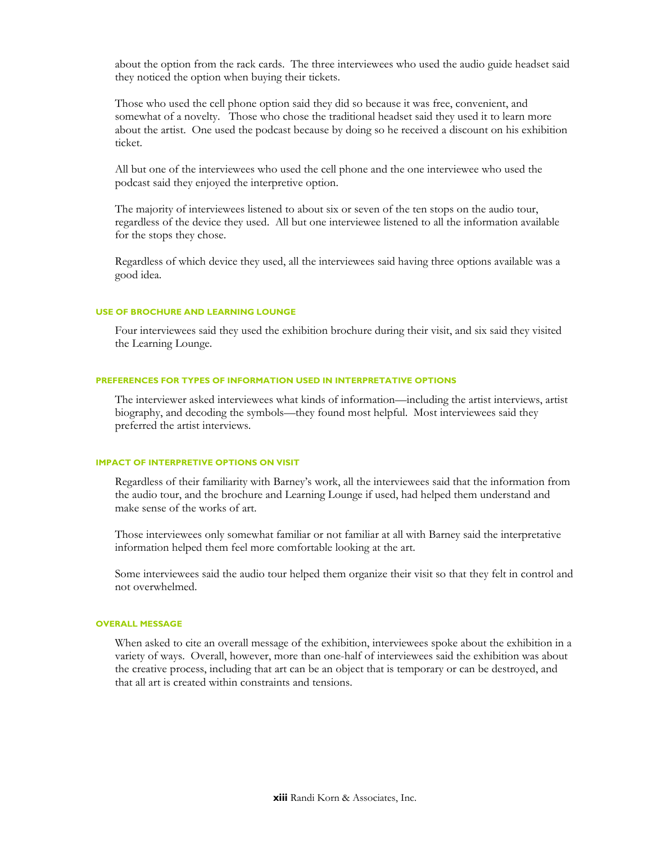about the option from the rack cards. The three interviewees who used the audio guide headset said they noticed the option when buying their tickets.

Those who used the cell phone option said they did so because it was free, convenient, and somewhat of a novelty. Those who chose the traditional headset said they used it to learn more about the artist. One used the podcast because by doing so he received a discount on his exhibition ticket.

All but one of the interviewees who used the cell phone and the one interviewee who used the podcast said they enjoyed the interpretive option.

The majority of interviewees listened to about six or seven of the ten stops on the audio tour, regardless of the device they used. All but one interviewee listened to all the information available for the stops they chose.

Regardless of which device they used, all the interviewees said having three options available was a good idea.

#### **USE OF BROCHURE AND LEARNING LOUNGE**

Four interviewees said they used the exhibition brochure during their visit, and six said they visited the Learning Lounge.

#### **PREFERENCES FOR TYPES OF INFORMATION USED IN INTERPRETATIVE OPTIONS**

The interviewer asked interviewees what kinds of information—including the artist interviews, artist biography, and decoding the symbols—they found most helpful. Most interviewees said they preferred the artist interviews.

#### **IMPACT OF INTERPRETIVE OPTIONS ON VISIT**

Regardless of their familiarity with Barney's work, all the interviewees said that the information from the audio tour, and the brochure and Learning Lounge if used, had helped them understand and make sense of the works of art.

Those interviewees only somewhat familiar or not familiar at all with Barney said the interpretative information helped them feel more comfortable looking at the art.

Some interviewees said the audio tour helped them organize their visit so that they felt in control and not overwhelmed.

#### **OVERALL MESSAGE**

When asked to cite an overall message of the exhibition, interviewees spoke about the exhibition in a variety of ways. Overall, however, more than one-half of interviewees said the exhibition was about the creative process, including that art can be an object that is temporary or can be destroyed, and that all art is created within constraints and tensions.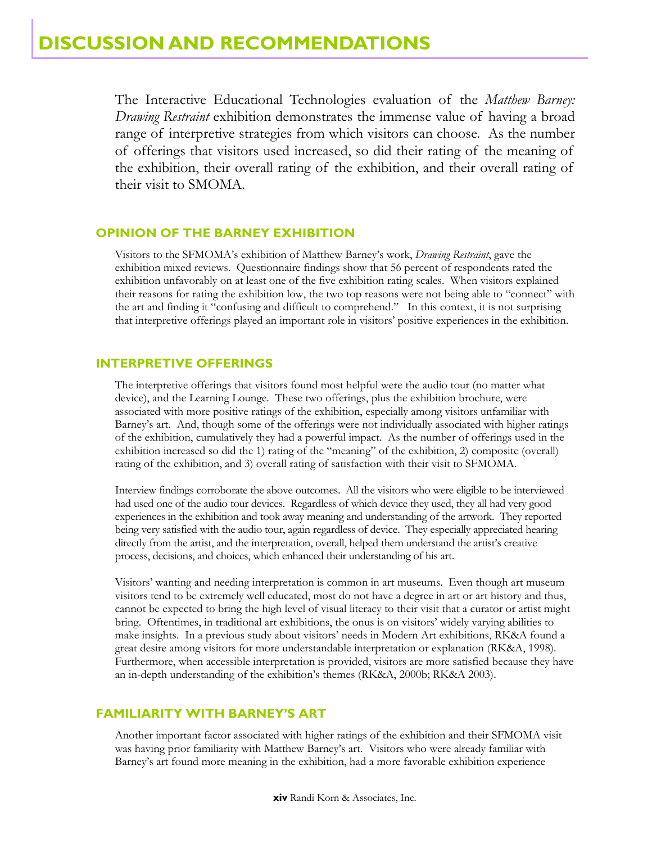The Interactive Educational Technologies evaluation of the *Matthew Barney: Drawing Restraint* exhibition demonstrates the immense value of having a broad range of interpretive strategies from which visitors can choose. As the number of offerings that visitors used increased, so did their rating of the meaning of the exhibition, their overall rating of the exhibition, and their overall rating of their visit to SMOMA.

## **OPINION OF THE BARNEY EXHIBITION**

Visitors to the SFMOMA's exhibition of Matthew Barney's work, *Drawing Restraint*, gave the exhibition mixed reviews. Questionnaire findings show that 56 percent of respondents rated the exhibition unfavorably on at least one of the five exhibition rating scales. When visitors explained their reasons for rating the exhibition low, the two top reasons were not being able to "connect" with the art and finding it "confusing and difficult to comprehend." In this context, it is not surprising that interpretive offerings played an important role in visitors' positive experiences in the exhibition.

## **INTERPRETIVE OFFERINGS**

The interpretive offerings that visitors found most helpful were the audio tour (no matter what device), and the Learning Lounge. These two offerings, plus the exhibition brochure, were associated with more positive ratings of the exhibition, especially among visitors unfamiliar with Barney's art. And, though some of the offerings were not individually associated with higher ratings of the exhibition, cumulatively they had a powerful impact. As the number of offerings used in the exhibition increased so did the 1) rating of the "meaning" of the exhibition, 2) composite (overall) rating of the exhibition, and 3) overall rating of satisfaction with their visit to SFMOMA.

Interview findings corroborate the above outcomes. All the visitors who were eligible to be interviewed had used one of the audio tour devices. Regardless of which device they used, they all had very good experiences in the exhibition and took away meaning and understanding of the artwork. They reported being very satisfied with the audio tour, again regardless of device. They especially appreciated hearing directly from the artist, and the interpretation, overall, helped them understand the artist's creative process, decisions, and choices, which enhanced their understanding of his art.

Visitors' wanting and needing interpretation is common in art museums. Even though art museum visitors tend to be extremely well educated, most do not have a degree in art or art history and thus, cannot be expected to bring the high level of visual literacy to their visit that a curator or artist might bring. Oftentimes, in traditional art exhibitions, the onus is on visitors' widely varying abilities to make insights. In a previous study about visitors' needs in Modern Art exhibitions, RK&A found a great desire among visitors for more understandable interpretation or explanation (RK&A, 1998). Furthermore, when accessible interpretation is provided, visitors are more satisfied because they have an in-depth understanding of the exhibition's themes (RK&A, 2000b; RK&A 2003).

## **FAMILIARITY WITH BARNEY'S ART**

Another important factor associated with higher ratings of the exhibition and their SFMOMA visit was having prior familiarity with Matthew Barney's art. Visitors who were already familiar with Barney's art found more meaning in the exhibition, had a more favorable exhibition experience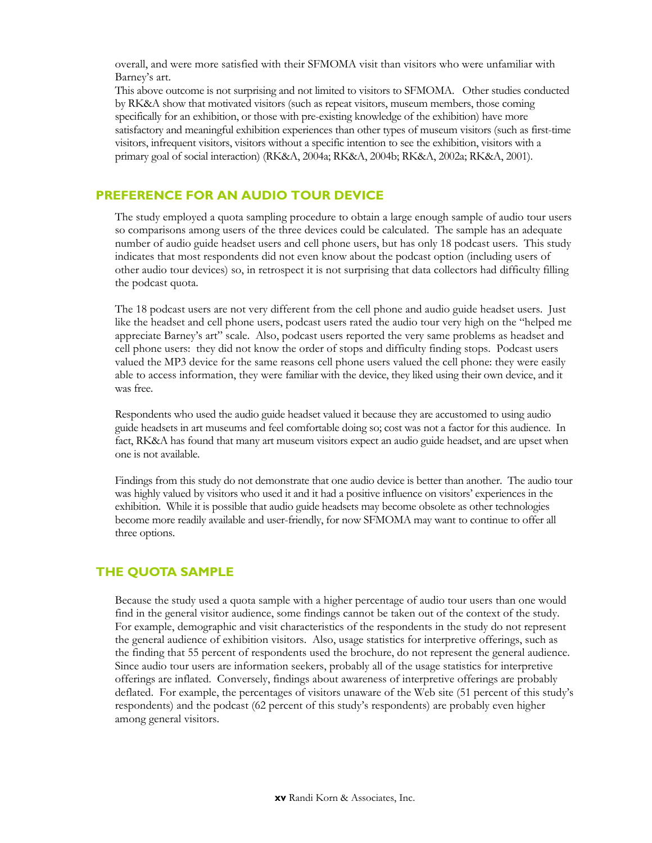overall, and were more satisfied with their SFMOMA visit than visitors who were unfamiliar with Barney's art.

This above outcome is not surprising and not limited to visitors to SFMOMA. Other studies conducted by RK&A show that motivated visitors (such as repeat visitors, museum members, those coming specifically for an exhibition, or those with pre-existing knowledge of the exhibition) have more satisfactory and meaningful exhibition experiences than other types of museum visitors (such as first-time visitors, infrequent visitors, visitors without a specific intention to see the exhibition, visitors with a primary goal of social interaction) (RK&A, 2004a; RK&A, 2004b; RK&A, 2002a; RK&A, 2001).

## **PREFERENCE FOR AN AUDIO TOUR DEVICE**

The study employed a quota sampling procedure to obtain a large enough sample of audio tour users so comparisons among users of the three devices could be calculated. The sample has an adequate number of audio guide headset users and cell phone users, but has only 18 podcast users. This study indicates that most respondents did not even know about the podcast option (including users of other audio tour devices) so, in retrospect it is not surprising that data collectors had difficulty filling the podcast quota.

The 18 podcast users are not very different from the cell phone and audio guide headset users. Just like the headset and cell phone users, podcast users rated the audio tour very high on the "helped me appreciate Barney's art" scale. Also, podcast users reported the very same problems as headset and cell phone users: they did not know the order of stops and difficulty finding stops. Podcast users valued the MP3 device for the same reasons cell phone users valued the cell phone: they were easily able to access information, they were familiar with the device, they liked using their own device, and it was free.

Respondents who used the audio guide headset valued it because they are accustomed to using audio guide headsets in art museums and feel comfortable doing so; cost was not a factor for this audience. In fact, RK&A has found that many art museum visitors expect an audio guide headset, and are upset when one is not available.

Findings from this study do not demonstrate that one audio device is better than another. The audio tour was highly valued by visitors who used it and it had a positive influence on visitors' experiences in the exhibition. While it is possible that audio guide headsets may become obsolete as other technologies become more readily available and user-friendly, for now SFMOMA may want to continue to offer all three options.

## **THE QUOTA SAMPLE**

Because the study used a quota sample with a higher percentage of audio tour users than one would find in the general visitor audience, some findings cannot be taken out of the context of the study. For example, demographic and visit characteristics of the respondents in the study do not represent the general audience of exhibition visitors. Also, usage statistics for interpretive offerings, such as the finding that 55 percent of respondents used the brochure, do not represent the general audience. Since audio tour users are information seekers, probably all of the usage statistics for interpretive offerings are inflated. Conversely, findings about awareness of interpretive offerings are probably deflated. For example, the percentages of visitors unaware of the Web site (51 percent of this study's respondents) and the podcast (62 percent of this study's respondents) are probably even higher among general visitors.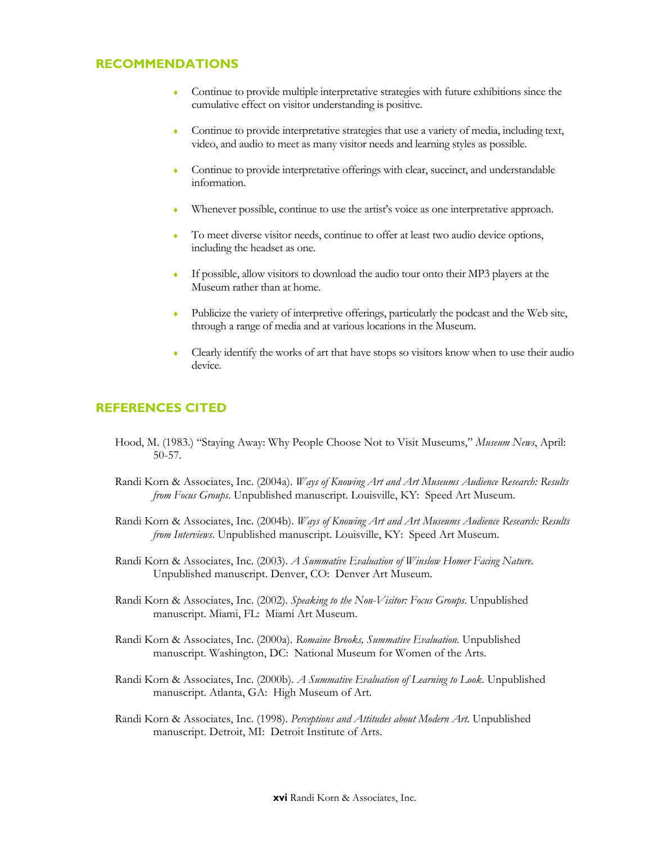## **RECOMMENDATIONS**

- ♦ Continue to provide multiple interpretative strategies with future exhibitions since the cumulative effect on visitor understanding is positive.
- Continue to provide interpretative strategies that use a variety of media, including text, video, and audio to meet as many visitor needs and learning styles as possible.
- Continue to provide interpretative offerings with clear, succinct, and understandable information.
- Whenever possible, continue to use the artist's voice as one interpretative approach.
- To meet diverse visitor needs, continue to offer at least two audio device options, including the headset as one.
- ♦ If possible, allow visitors to download the audio tour onto their MP3 players at the Museum rather than at home.
- Publicize the variety of interpretive offerings, particularly the podcast and the Web site, through a range of media and at various locations in the Museum.
- Clearly identify the works of art that have stops so visitors know when to use their audio device.

## **REFERENCES CITED**

- Hood, M. (1983.) "Staying Away: Why People Choose Not to Visit Museums," *Museum News*, April: 50-57.
- Randi Korn & Associates, Inc. (2004a). *Ways of Knowing Art and Art Museums Audience Research: Results from Focus Groups*. Unpublished manuscript. Louisville, KY: Speed Art Museum.
- Randi Korn & Associates, Inc. (2004b). *Ways of Knowing Art and Art Museums Audience Research: Results from Interviews*. Unpublished manuscript. Louisville, KY: Speed Art Museum.
- Randi Korn & Associates, Inc. (2003). *A Summative Evaluation of Winslow Homer Facing Nature*. Unpublished manuscript. Denver, CO: Denver Art Museum.
- Randi Korn & Associates, Inc. (2002). *Speaking to the Non-Visitor: Focus Groups*. Unpublished manuscript. Miami, FL: Miami Art Museum.
- Randi Korn & Associates, Inc. (2000a). *Romaine Brooks, Summative Evaluation*. Unpublished manuscript. Washington, DC: National Museum for Women of the Arts.
- Randi Korn & Associates, Inc. (2000b). *A Summative Evaluation of Learning to Look*. Unpublished manuscript. Atlanta, GA: High Museum of Art.
- Randi Korn & Associates, Inc. (1998). *Perceptions and Attitudes about Modern Art*. Unpublished manuscript. Detroit, MI: Detroit Institute of Arts.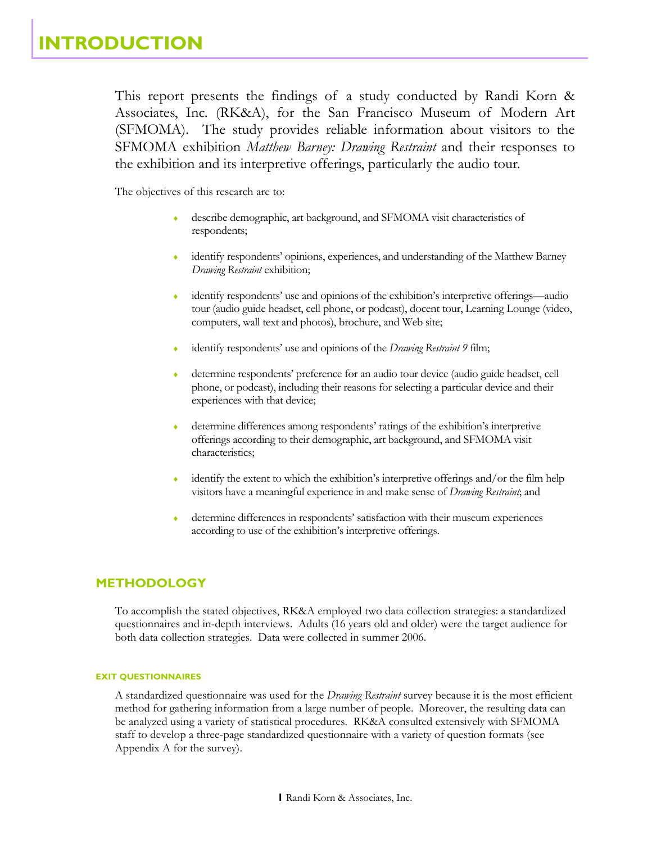This report presents the findings of a study conducted by Randi Korn & Associates, Inc. (RK&A), for the San Francisco Museum of Modern Art (SFMOMA). The study provides reliable information about visitors to the SFMOMA exhibition *Matthew Barney: Drawing Restraint* and their responses to the exhibition and its interpretive offerings, particularly the audio tour.

The objectives of this research are to:

- describe demographic, art background, and SFMOMA visit characteristics of respondents;
- identify respondents' opinions, experiences, and understanding of the Matthew Barney *Drawing Restraint* exhibition;
- identify respondents' use and opinions of the exhibition's interpretive offerings—audio tour (audio guide headset, cell phone, or podcast), docent tour, Learning Lounge (video, computers, wall text and photos), brochure, and Web site;
- identify respondents' use and opinions of the *Drawing Restraint 9* film;
- determine respondents' preference for an audio tour device (audio guide headset, cell phone, or podcast), including their reasons for selecting a particular device and their experiences with that device;
- determine differences among respondents' ratings of the exhibition's interpretive offerings according to their demographic, art background, and SFMOMA visit characteristics;
- identify the extent to which the exhibition's interpretive offerings and/or the film help visitors have a meaningful experience in and make sense of *Drawing Restraint*; and
- determine differences in respondents' satisfaction with their museum experiences according to use of the exhibition's interpretive offerings.

## **METHODOLOGY**

To accomplish the stated objectives, RK&A employed two data collection strategies: a standardized questionnaires and in-depth interviews. Adults (16 years old and older) were the target audience for both data collection strategies. Data were collected in summer 2006.

#### **EXIT QUESTIONNAIRES**

A standardized questionnaire was used for the *Drawing Restraint* survey because it is the most efficient method for gathering information from a large number of people. Moreover, the resulting data can be analyzed using a variety of statistical procedures. RK&A consulted extensively with SFMOMA staff to develop a three-page standardized questionnaire with a variety of question formats (see Appendix A for the survey).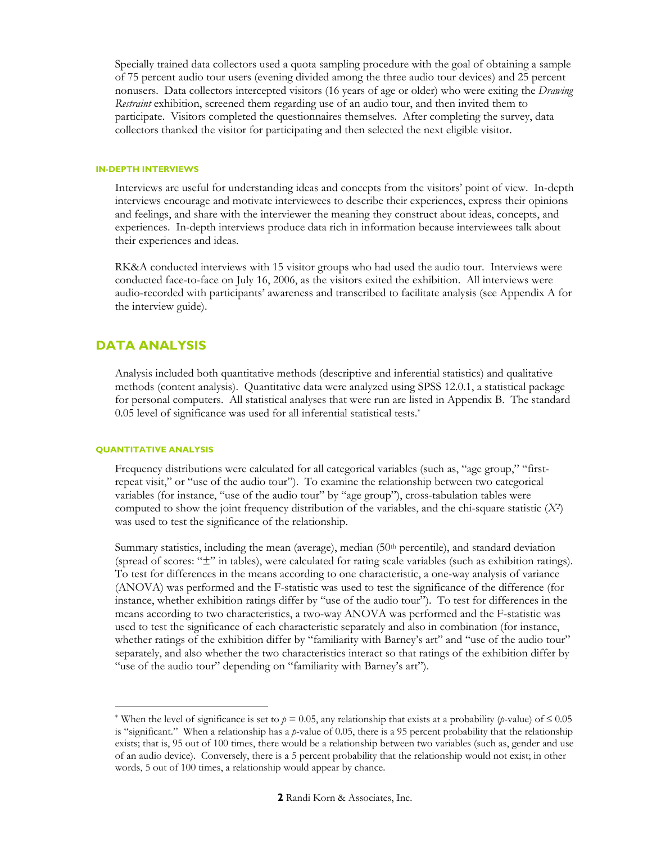Specially trained data collectors used a quota sampling procedure with the goal of obtaining a sample of 75 percent audio tour users (evening divided among the three audio tour devices) and 25 percent nonusers. Data collectors intercepted visitors (16 years of age or older) who were exiting the *Drawing Restraint* exhibition, screened them regarding use of an audio tour, and then invited them to participate. Visitors completed the questionnaires themselves. After completing the survey, data collectors thanked the visitor for participating and then selected the next eligible visitor.

#### **IN-DEPTH INTERVIEWS**

Interviews are useful for understanding ideas and concepts from the visitors' point of view. In-depth interviews encourage and motivate interviewees to describe their experiences, express their opinions and feelings, and share with the interviewer the meaning they construct about ideas, concepts, and experiences. In-depth interviews produce data rich in information because interviewees talk about their experiences and ideas.

RK&A conducted interviews with 15 visitor groups who had used the audio tour. Interviews were conducted face-to-face on July 16, 2006, as the visitors exited the exhibition. All interviews were audio-recorded with participants' awareness and transcribed to facilitate analysis (see Appendix A for the interview guide).

## **DATA ANALYSIS**

Analysis included both quantitative methods (descriptive and inferential statistics) and qualitative methods (content analysis). Quantitative data were analyzed using SPSS 12.0.1, a statistical package for personal computers. All statistical analyses that were run are listed in Appendix B. The standard 0.05 level of significance was used for all inferential statistical tests.\*

#### **QUANTITATIVE ANALYSIS**

<u>.</u>

Frequency distributions were calculated for all categorical variables (such as, "age group," "firstrepeat visit," or "use of the audio tour"). To examine the relationship between two categorical variables (for instance, "use of the audio tour" by "age group"), cross-tabulation tables were computed to show the joint frequency distribution of the variables, and the chi-square statistic (*X2*) was used to test the significance of the relationship.

Summary statistics, including the mean (average), median (50<sup>th</sup> percentile), and standard deviation (spread of scores: "±" in tables), were calculated for rating scale variables (such as exhibition ratings). To test for differences in the means according to one characteristic, a one-way analysis of variance (ANOVA) was performed and the F-statistic was used to test the significance of the difference (for instance, whether exhibition ratings differ by "use of the audio tour"). To test for differences in the means according to two characteristics, a two-way ANOVA was performed and the F-statistic was used to test the significance of each characteristic separately and also in combination (for instance, whether ratings of the exhibition differ by "familiarity with Barney's art" and "use of the audio tour" separately, and also whether the two characteristics interact so that ratings of the exhibition differ by "use of the audio tour" depending on "familiarity with Barney's art").

<sup>&</sup>lt;sup>\*</sup> When the level of significance is set to  $p = 0.05$ , any relationship that exists at a probability (*p*-value) of  $\leq 0.05$ is "significant." When a relationship has a *p*-value of 0.05, there is a 95 percent probability that the relationship exists; that is, 95 out of 100 times, there would be a relationship between two variables (such as, gender and use of an audio device). Conversely, there is a 5 percent probability that the relationship would not exist; in other words, 5 out of 100 times, a relationship would appear by chance.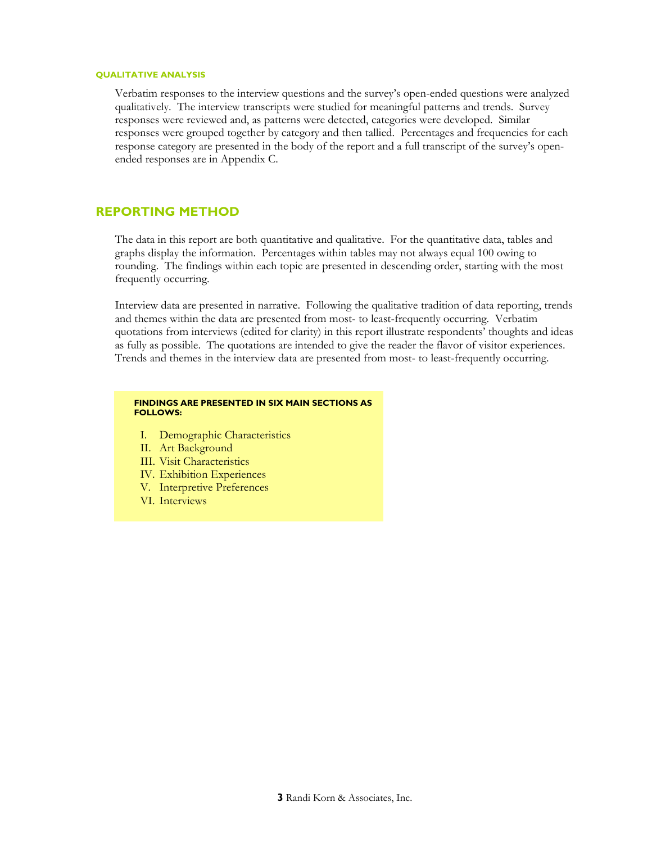#### **QUALITATIVE ANALYSIS**

Verbatim responses to the interview questions and the survey's open-ended questions were analyzed qualitatively. The interview transcripts were studied for meaningful patterns and trends. Survey responses were reviewed and, as patterns were detected, categories were developed. Similar responses were grouped together by category and then tallied. Percentages and frequencies for each response category are presented in the body of the report and a full transcript of the survey's openended responses are in Appendix C.

## **REPORTING METHOD**

The data in this report are both quantitative and qualitative. For the quantitative data, tables and graphs display the information. Percentages within tables may not always equal 100 owing to rounding. The findings within each topic are presented in descending order, starting with the most frequently occurring.

Interview data are presented in narrative. Following the qualitative tradition of data reporting, trends and themes within the data are presented from most- to least-frequently occurring. Verbatim quotations from interviews (edited for clarity) in this report illustrate respondents' thoughts and ideas as fully as possible. The quotations are intended to give the reader the flavor of visitor experiences. Trends and themes in the interview data are presented from most- to least-frequently occurring.

#### **FINDINGS ARE PRESENTED IN SIX MAIN SECTIONS AS FOLLOWS:**

- I. Demographic Characteristics
- II. Art Background
- III. Visit Characteristics
- IV. Exhibition Experiences
- V. Interpretive Preferences
- VI. Interviews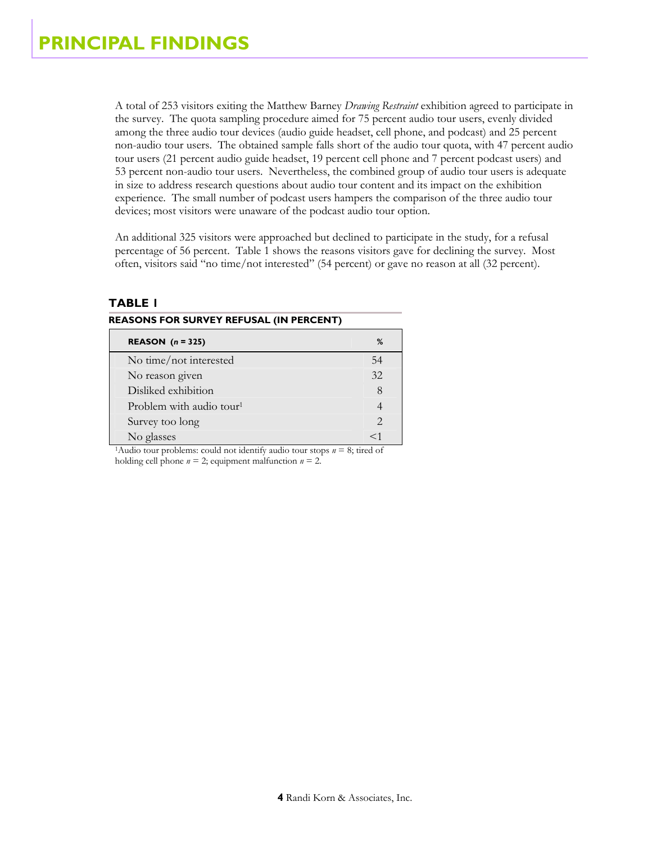A total of 253 visitors exiting the Matthew Barney *Drawing Restraint* exhibition agreed to participate in the survey. The quota sampling procedure aimed for 75 percent audio tour users, evenly divided among the three audio tour devices (audio guide headset, cell phone, and podcast) and 25 percent non-audio tour users. The obtained sample falls short of the audio tour quota, with 47 percent audio tour users (21 percent audio guide headset, 19 percent cell phone and 7 percent podcast users) and 53 percent non-audio tour users. Nevertheless, the combined group of audio tour users is adequate in size to address research questions about audio tour content and its impact on the exhibition experience. The small number of podcast users hampers the comparison of the three audio tour devices; most visitors were unaware of the podcast audio tour option.

An additional 325 visitors were approached but declined to participate in the study, for a refusal percentage of 56 percent. Table 1 shows the reasons visitors gave for declining the survey. Most often, visitors said "no time/not interested" (54 percent) or gave no reason at all (32 percent).

#### **REASONS FOR SURVEY REFUSAL (IN PERCENT)**

| REASON $(n = 325)$                   | %      |
|--------------------------------------|--------|
| No time/not interested               | 54     |
| No reason given                      | 32     |
| Disliked exhibition                  |        |
| Problem with audio tour <sup>1</sup> |        |
| Survey too long                      |        |
| No glasses                           | $<\,1$ |

<sup>1</sup>Audio tour problems: could not identify audio tour stops  $n = 8$ ; tired of holding cell phone  $n = 2$ ; equipment malfunction  $n = 2$ .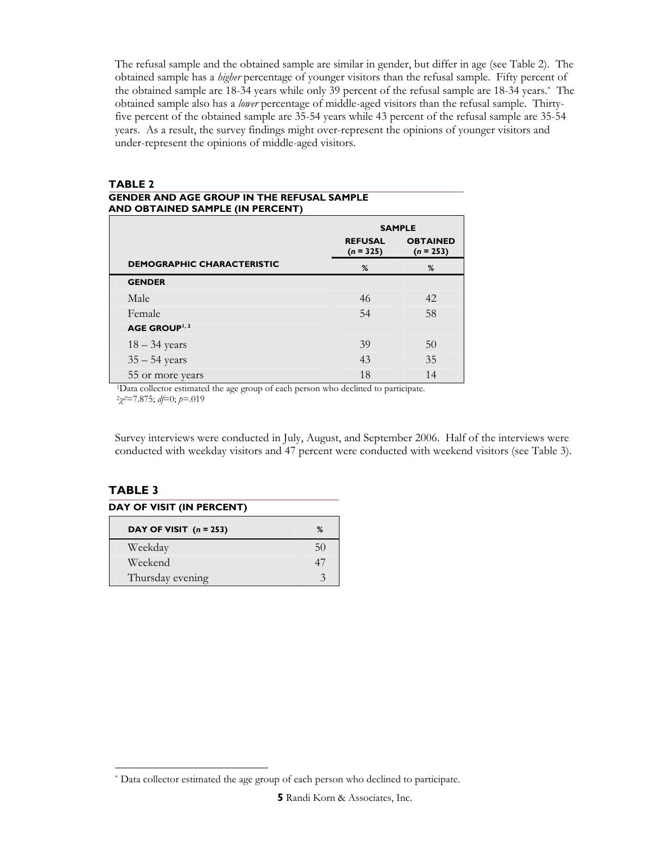The refusal sample and the obtained sample are similar in gender, but differ in age (see Table 2). The obtained sample has a *higher* percentage of younger visitors than the refusal sample. Fifty percent of the obtained sample are 18-34 years while only 39 percent of the refusal sample are 18-34 years.\* The obtained sample also has a *lower* percentage of middle-aged visitors than the refusal sample. Thirtyfive percent of the obtained sample are 35-54 years while 43 percent of the refusal sample are 35-54 years. As a result, the survey findings might over-represent the opinions of younger visitors and under-represent the opinions of middle-aged visitors.

#### **TABLE 2**

#### **GENDER AND AGE GROUP IN THE REFUSAL SAMPLE AND OBTAINED SAMPLE (IN PERCENT)**

|                                   | <b>SAMPLE</b>                 |                                |  |
|-----------------------------------|-------------------------------|--------------------------------|--|
|                                   | <b>REFUSAL</b><br>$(n = 325)$ | <b>OBTAINED</b><br>$(n = 253)$ |  |
| <b>DEMOGRAPHIC CHARACTERISTIC</b> | %                             | %                              |  |
| <b>GENDER</b>                     |                               |                                |  |
| Male                              | 46                            | 42                             |  |
| Female                            | 54                            | 58                             |  |
| <b>AGE GROUP</b> <sup>1, 2</sup>  |                               |                                |  |
| $18 - 34$ years                   | 39                            | 50                             |  |
| $35 - 54$ years                   | 43                            | 35                             |  |
| 55 or more years                  | 18                            | 14                             |  |

55 or more years 18 14 1Data collector estimated the age group of each person who declined to participate. 2*<sup>χ</sup>2*=7.875; *df*=0; *p*=.019

Survey interviews were conducted in July, August, and September 2006. Half of the interviews were conducted with weekday visitors and 47 percent were conducted with weekend visitors (see Table 3).

| <b>DAY OF VISIT (IN PERCENT)</b> |    |  |
|----------------------------------|----|--|
| DAY OF VISIT $(n = 253)$         | %  |  |
| Weekday                          | 50 |  |
| Weekend                          | 47 |  |
| Thursday evening                 |    |  |

 $\ddot{\phantom{a}}$ \* Data collector estimated the age group of each person who declined to participate.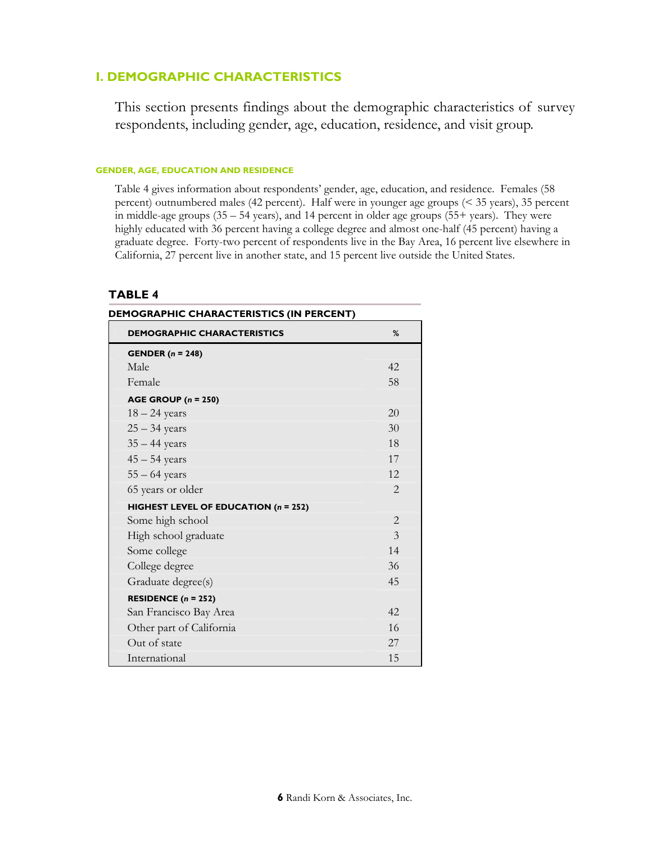## **I. DEMOGRAPHIC CHARACTERISTICS**

This section presents findings about the demographic characteristics of survey respondents, including gender, age, education, residence, and visit group.

#### **GENDER, AGE, EDUCATION AND RESIDENCE**

Table 4 gives information about respondents' gender, age, education, and residence. Females (58 percent) outnumbered males (42 percent). Half were in younger age groups (< 35 years), 35 percent in middle-age groups (35 – 54 years), and 14 percent in older age groups (55+ years). They were highly educated with 36 percent having a college degree and almost one-half (45 percent) having a graduate degree. Forty-two percent of respondents live in the Bay Area, 16 percent live elsewhere in California, 27 percent live in another state, and 15 percent live outside the United States.

| <b>DEMOGRAPHIC CHARACTERISTICS (IN PERCENT)</b> |                |  |  |
|-------------------------------------------------|----------------|--|--|
| <b>DEMOGRAPHIC CHARACTERISTICS</b>              | %              |  |  |
| <b>GENDER</b> $(n = 248)$                       |                |  |  |
| Male                                            | 42             |  |  |
| Female                                          | 58             |  |  |
| AGE GROUP $(n = 250)$                           |                |  |  |
| $18 - 24$ years                                 | 20             |  |  |
| $25 - 34$ years                                 | 30             |  |  |
| $35 - 44$ years                                 | 18             |  |  |
| $45 - 54$ years                                 | 17             |  |  |
| $55 - 64$ years                                 | 12.            |  |  |
| 65 years or older                               | $\overline{2}$ |  |  |
| HIGHEST LEVEL OF EDUCATION (n = 252)            |                |  |  |
| Some high school                                | $\overline{2}$ |  |  |
| High school graduate                            | $\mathcal{E}$  |  |  |
| Some college                                    | 14             |  |  |
| College degree                                  | 36             |  |  |
| Graduate degree(s)                              | 45             |  |  |
| RESIDENCE $(n = 252)$                           |                |  |  |
| San Francisco Bay Area                          | 42.            |  |  |
| Other part of California                        | 16             |  |  |
| Out of state                                    | 27             |  |  |
| International                                   | 15             |  |  |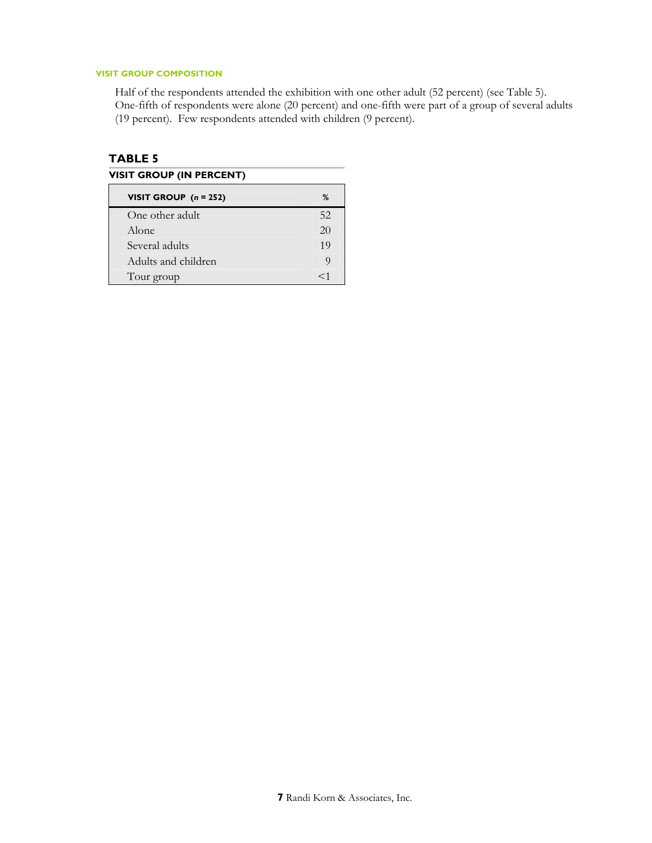#### **VISIT GROUP COMPOSITION**

Half of the respondents attended the exhibition with one other adult (52 percent) (see Table 5). One-fifth of respondents were alone (20 percent) and one-fifth were part of a group of several adults (19 percent). Few respondents attended with children (9 percent).

| VISIT GROUP (IN PERCENT) |  |  |
|--------------------------|--|--|
|                          |  |  |

| VISIT GROUP $(n = 252)$ | ℅  |
|-------------------------|----|
| One other adult.        | 52 |
| Alone                   | 20 |
| Several adults          | 19 |
| Adults and children     | Q  |
| Tour group              | ←1 |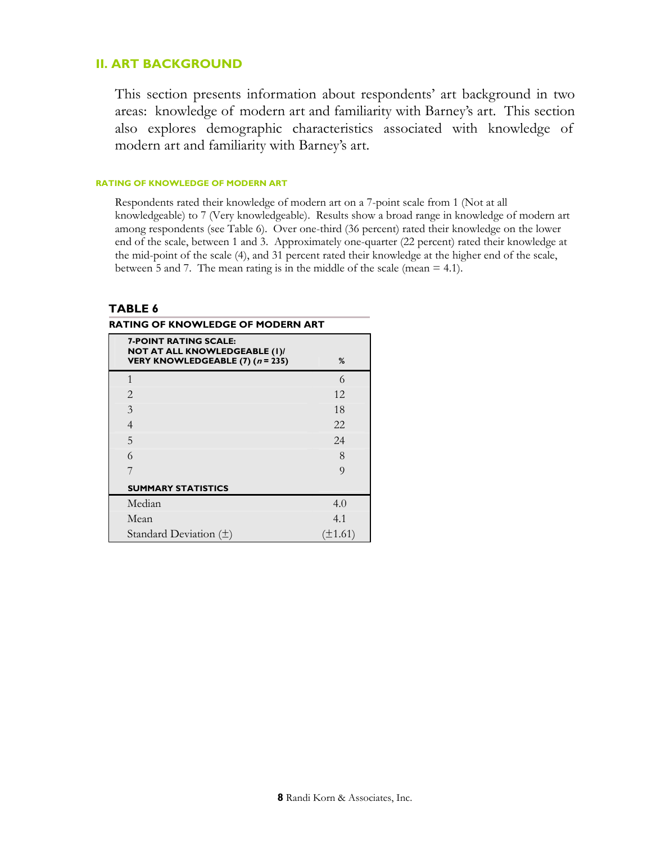## **II. ART BACKGROUND**

This section presents information about respondents' art background in two areas: knowledge of modern art and familiarity with Barney's art. This section also explores demographic characteristics associated with knowledge of modern art and familiarity with Barney's art.

#### **RATING OF KNOWLEDGE OF MODERN ART**

Respondents rated their knowledge of modern art on a 7-point scale from 1 (Not at all knowledgeable) to 7 (Very knowledgeable). Results show a broad range in knowledge of modern art among respondents (see Table 6). Over one-third (36 percent) rated their knowledge on the lower end of the scale, between 1 and 3. Approximately one-quarter (22 percent) rated their knowledge at the mid-point of the scale (4), and 31 percent rated their knowledge at the higher end of the scale, between 5 and 7. The mean rating is in the middle of the scale (mean = 4.1).

| RATING OF KNOWLEDGE OF MODERN ART                                                                                     |                |  |
|-----------------------------------------------------------------------------------------------------------------------|----------------|--|
| <b>7-POINT RATING SCALE:</b><br>NOT AT ALL KNOWLEDGEABLE (I)/<br><b>VERY KNOWLEDGEABLE (7) (<math>n = 235</math>)</b> | %              |  |
| $\mathbf{1}$                                                                                                          | 6              |  |
| $\overline{2}$                                                                                                        | 12             |  |
| 3                                                                                                                     | 18             |  |
| $\overline{4}$                                                                                                        | 22             |  |
| 5                                                                                                                     | 24             |  |
| 6                                                                                                                     | 8              |  |
| 7                                                                                                                     | $\overline{Q}$ |  |
| <b>SUMMARY STATISTICS</b>                                                                                             |                |  |
| Median                                                                                                                | 4.0            |  |
| Mean                                                                                                                  | 4.1            |  |
| Standard Deviation $(\pm)$                                                                                            | $(\pm 1.61)$   |  |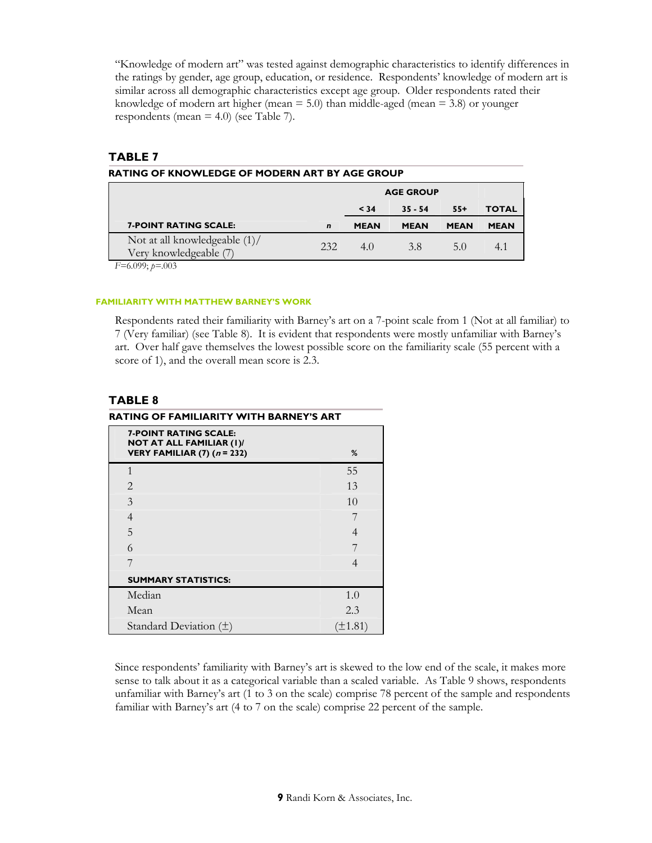"Knowledge of modern art" was tested against demographic characteristics to identify differences in the ratings by gender, age group, education, or residence. Respondents' knowledge of modern art is similar across all demographic characteristics except age group. Older respondents rated their knowledge of modern art higher (mean  $= 5.0$ ) than middle-aged (mean  $= 3.8$ ) or younger respondents (mean  $=$  4.0) (see Table 7).

## **TABLE 7**

| RATING OF KNOWLEDGE OF MODERN ART BY AGE GROUP             |             |                  |             |             |              |
|------------------------------------------------------------|-------------|------------------|-------------|-------------|--------------|
|                                                            |             | <b>AGE GROUP</b> |             |             |              |
|                                                            |             | < 34             | $35 - 54$   | $55+$       | <b>TOTAL</b> |
| <b>7-POINT RATING SCALE:</b>                               | $\mathbf n$ | <b>MEAN</b>      | <b>MEAN</b> | <b>MEAN</b> | <b>MEAN</b>  |
| Not at all knowledgeable $(1)$ /<br>Very knowledgeable (7) | 232         | 4.0              | 3.8         | 5.0         | 4.1          |

*F=*6.099; *p=*.003

#### **FAMILIARITY WITH MATTHEW BARNEY'S WORK**

Respondents rated their familiarity with Barney's art on a 7-point scale from 1 (Not at all familiar) to 7 (Very familiar) (see Table 8). It is evident that respondents were mostly unfamiliar with Barney's art. Over half gave themselves the lowest possible score on the familiarity scale (55 percent with a score of 1), and the overall mean score is 2.3.

## **TABLE 8**

|                                                                                                  | RATING OF FAMILIARITY WITH BARNEY'S ART |  |  |
|--------------------------------------------------------------------------------------------------|-----------------------------------------|--|--|
| <b>7-POINT RATING SCALE:</b><br><b>NOT AT ALL FAMILIAR (I)/</b><br>VERY FAMILIAR (7) $(n = 232)$ | %                                       |  |  |
| $\mathbf{1}$                                                                                     | 55                                      |  |  |
| $\mathcal{D}_{\mathcal{L}}$                                                                      | 13                                      |  |  |
| 3                                                                                                | 1 <sub>0</sub>                          |  |  |
| 4                                                                                                |                                         |  |  |
| 5                                                                                                | 4                                       |  |  |
| 6                                                                                                |                                         |  |  |
| 7                                                                                                | $\overline{4}$                          |  |  |
| <b>SUMMARY STATISTICS:</b>                                                                       |                                         |  |  |
| Median                                                                                           | 1.0                                     |  |  |
| Mean                                                                                             | 2.3                                     |  |  |
| Standard Deviation $(\pm)$                                                                       | $(\pm 1.81)$                            |  |  |

Since respondents' familiarity with Barney's art is skewed to the low end of the scale, it makes more sense to talk about it as a categorical variable than a scaled variable. As Table 9 shows, respondents unfamiliar with Barney's art (1 to 3 on the scale) comprise 78 percent of the sample and respondents familiar with Barney's art (4 to 7 on the scale) comprise 22 percent of the sample.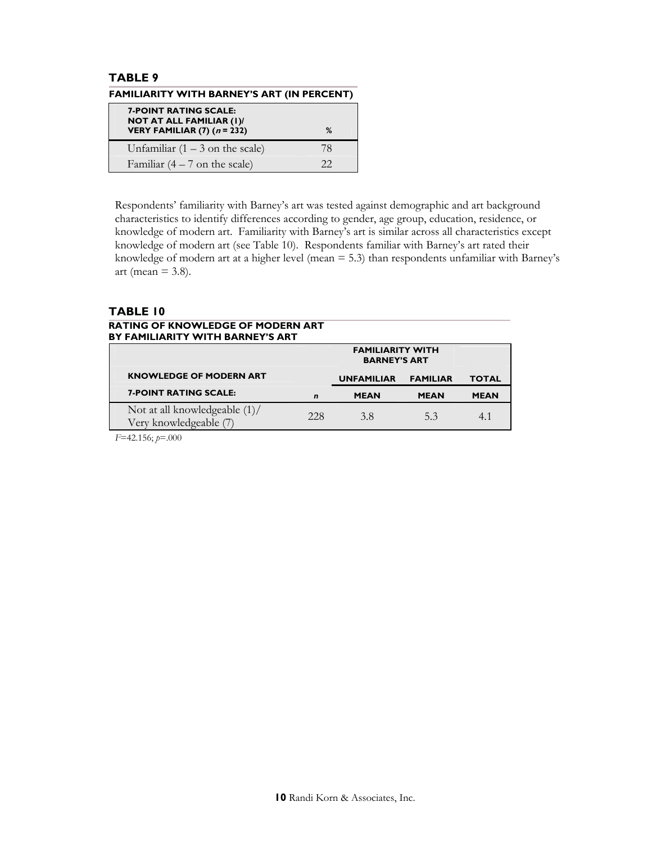## **TABLE 9 FAMILIARITY WITH BARNEY'S ART (IN PERCENT)**

| <b>7-POINT RATING SCALE:</b><br><b>NOT AT ALL FAMILIAR (I)/</b><br>VERY FAMILIAR (7) $(n = 232)$ | %  |
|--------------------------------------------------------------------------------------------------|----|
| Unfamiliar $(1 – 3)$ on the scale)                                                               | 78 |
| Familiar $(4 - 7)$ on the scale)                                                                 | つつ |

Respondents' familiarity with Barney's art was tested against demographic and art background characteristics to identify differences according to gender, age group, education, residence, or knowledge of modern art. Familiarity with Barney's art is similar across all characteristics except knowledge of modern art (see Table 10). Respondents familiar with Barney's art rated their knowledge of modern art at a higher level (mean = 5.3) than respondents unfamiliar with Barney's art (mean  $= 3.8$ ).

## **TABLE 10**

#### **RATING OF KNOWLEDGE OF MODERN ART BY FAMILIARITY WITH BARNEY'S ART**

|                                                         |             | <b>FAMILIARITY WITH</b><br><b>BARNEY'S ART</b> |                 |              |
|---------------------------------------------------------|-------------|------------------------------------------------|-----------------|--------------|
| <b>KNOWLEDGE OF MODERN ART</b>                          |             | <b>UNFAMILIAR</b>                              | <b>FAMILIAR</b> | <b>TOTAL</b> |
| <b>7-POINT RATING SCALE:</b>                            | $\mathbf n$ | <b>MEAN</b>                                    | <b>MEAN</b>     | <b>MEAN</b>  |
| Not at all knowledgeable (1)/<br>Very knowledgeable (7) | 228         | 3.8                                            | 5.3             |              |

*F*=42.156; *p*=.000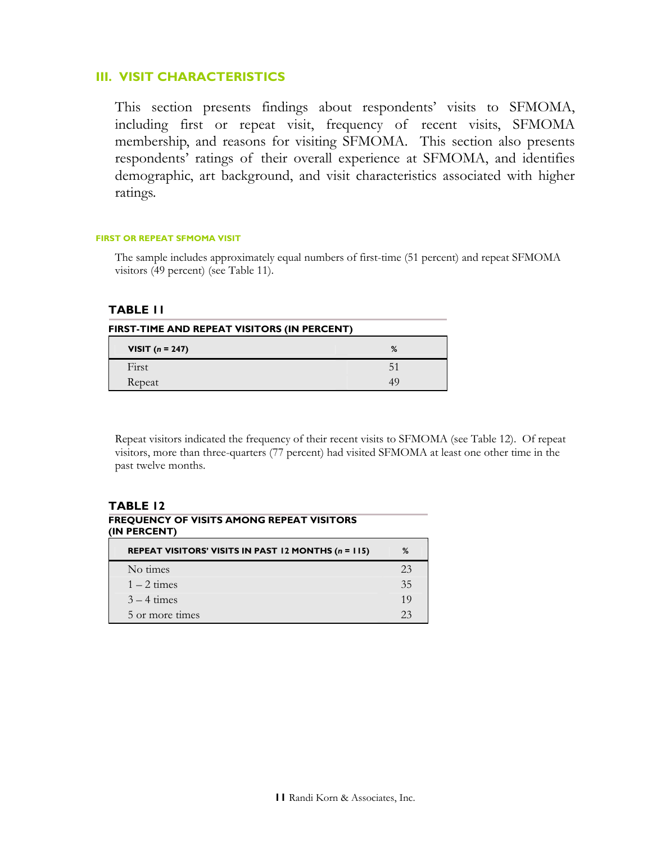## **III. VISIT CHARACTERISTICS**

This section presents findings about respondents' visits to SFMOMA, including first or repeat visit, frequency of recent visits, SFMOMA membership, and reasons for visiting SFMOMA. This section also presents respondents' ratings of their overall experience at SFMOMA, and identifies demographic, art background, and visit characteristics associated with higher ratings.

#### **FIRST OR REPEAT SFMOMA VISIT**

The sample includes approximately equal numbers of first-time (51 percent) and repeat SFMOMA visitors (49 percent) (see Table 11).

## **TABLE 11**

| FIRST-TIME AND REPEAT VISITORS (IN PERCENT) |   |  |
|---------------------------------------------|---|--|
| <b>VISIT</b> $(n = 247)$                    | % |  |
| First                                       |   |  |
| Repeat                                      |   |  |

Repeat visitors indicated the frequency of their recent visits to SFMOMA (see Table 12). Of repeat visitors, more than three-quarters (77 percent) had visited SFMOMA at least one other time in the past twelve months.

## **TABLE 12 FREQUENCY OF VISITS AMONG REPEAT VISITORS (IN PERCENT)**

| REPEAT VISITORS' VISITS IN PAST 12 MONTHS (n = 115) | %  |
|-----------------------------------------------------|----|
| No times                                            | 23 |
| $1 - 2$ times                                       | 35 |
| $3 - 4$ times                                       | 19 |
| 5 or more times                                     | フス |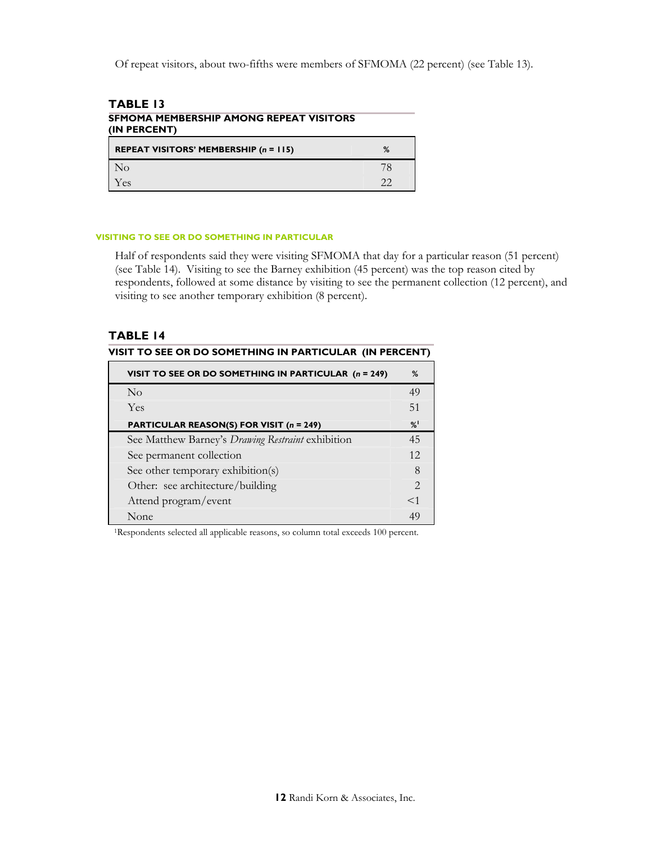Of repeat visitors, about two-fifths were members of SFMOMA (22 percent) (see Table 13).

| <b>TABLE 13</b>                                         |    |  |
|---------------------------------------------------------|----|--|
| SFMOMA MEMBERSHIP AMONG REPEAT VISITORS<br>(IN PERCENT) |    |  |
| <b>REPEAT VISITORS' MEMBERSHIP (n = 115)</b>            | ℅  |  |
| N <sub>o</sub>                                          | 78 |  |
| Yes                                                     | 22 |  |

#### **VISITING TO SEE OR DO SOMETHING IN PARTICULAR**

Half of respondents said they were visiting SFMOMA that day for a particular reason (51 percent) (see Table 14). Visiting to see the Barney exhibition (45 percent) was the top reason cited by respondents, followed at some distance by visiting to see the permanent collection (12 percent), and visiting to see another temporary exhibition (8 percent).

## **TABLE 14**

| VISIT TO SEE OR DO SOMETHING IN PARTICULAR (IN PERCENT) |  |
|---------------------------------------------------------|--|
|                                                         |  |

| VISIT TO SEE OR DO SOMETHING IN PARTICULAR (n = 249) | %             |
|------------------------------------------------------|---------------|
| $\overline{N}_{\Omega}$                              | 49            |
| Yes                                                  | 51            |
| <b>PARTICULAR REASON(S) FOR VISIT (n = 249)</b>      | $\frac{9}{6}$ |
| See Matthew Barney's Drawing Restraint exhibition    | 45            |
| See permanent collection                             | 12            |
| See other temporary exhibition(s)                    | 8             |
| Other: see architecture/building                     | $\mathcal{P}$ |
| Attend program/event                                 | $\leq$ 1      |
| None                                                 | 49            |

1Respondents selected all applicable reasons, so column total exceeds 100 percent.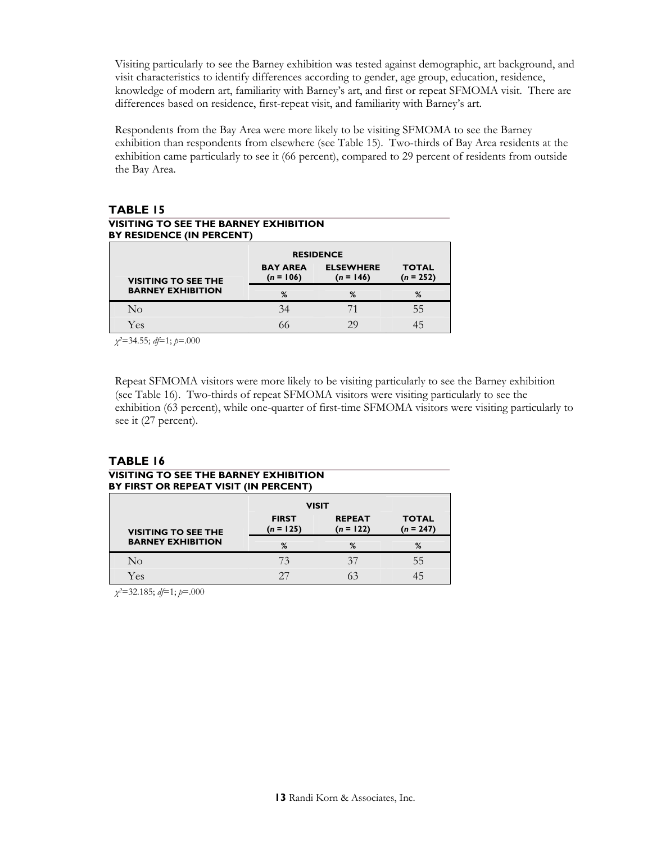Visiting particularly to see the Barney exhibition was tested against demographic, art background, and visit characteristics to identify differences according to gender, age group, education, residence, knowledge of modern art, familiarity with Barney's art, and first or repeat SFMOMA visit. There are differences based on residence, first-repeat visit, and familiarity with Barney's art.

Respondents from the Bay Area were more likely to be visiting SFMOMA to see the Barney exhibition than respondents from elsewhere (see Table 15). Two-thirds of Bay Area residents at the exhibition came particularly to see it (66 percent), compared to 29 percent of residents from outside the Bay Area.

# **TABLE 15**

#### **VISITING TO SEE THE BARNEY EXHIBITION BY RESIDENCE (IN PERCENT)**

|                            | <b>RESIDENCE</b>               |                                 |                             |  |
|----------------------------|--------------------------------|---------------------------------|-----------------------------|--|
| <b>VISITING TO SEE THE</b> | <b>BAY AREA</b><br>$(n = 106)$ | <b>ELSEWHERE</b><br>$(n = 146)$ | <b>TOTAL</b><br>$(n = 252)$ |  |
| <b>BARNEY EXHIBITION</b>   | %                              | %                               | %                           |  |
| No                         | 34                             |                                 | 55                          |  |
| Yes                        |                                |                                 |                             |  |

*χ2*=34.55; *df*=1; *p*=.000

Repeat SFMOMA visitors were more likely to be visiting particularly to see the Barney exhibition (see Table 16). Two-thirds of repeat SFMOMA visitors were visiting particularly to see the exhibition (63 percent), while one-quarter of first-time SFMOMA visitors were visiting particularly to see it (27 percent).

## **TABLE 16**

#### **VISITING TO SEE THE BARNEY EXHIBITION BY FIRST OR REPEAT VISIT (IN PERCENT)**

|                            | <b>VISIT</b>                |                              |    |  |
|----------------------------|-----------------------------|------------------------------|----|--|
| <b>VISITING TO SEE THE</b> | <b>FIRST</b><br>$(n = 125)$ | <b>REPEAT</b><br>$(n = 122)$ |    |  |
| <b>BARNEY EXHIBITION</b>   | %                           | %                            | %  |  |
| No                         | 73                          | 37                           | 55 |  |
| Yes                        | דר                          |                              |    |  |

*χ2*=32.185; *df*=1; *p*=.000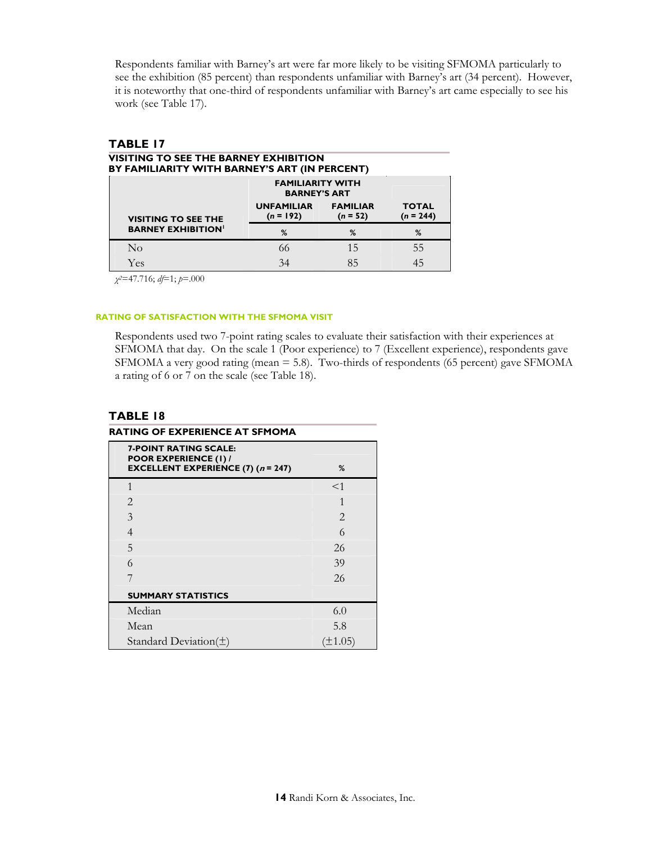Respondents familiar with Barney's art were far more likely to be visiting SFMOMA particularly to see the exhibition (85 percent) than respondents unfamiliar with Barney's art (34 percent). However, it is noteworthy that one-third of respondents unfamiliar with Barney's art came especially to see his work (see Table 17).

| o a<br>ш<br>., |  |  |
|----------------|--|--|
|                |  |  |

#### **VISITING TO SEE THE BARNEY EXHIBITION BY FAMILIARITY WITH BARNEY'S ART (IN PERCENT)**

|                            |                                  | <b>FAMILIARITY WITH</b><br><b>BARNEY'S ART</b> |                             |  |
|----------------------------|----------------------------------|------------------------------------------------|-----------------------------|--|
| <b>VISITING TO SEE THE</b> | <b>UNFAMILIAR</b><br>$(n = 192)$ | <b>FAMILIAR</b><br>$(n = 52)$                  | <b>TOTAL</b><br>$(n = 244)$ |  |
| <b>BARNEY EXHIBITION'</b>  | %                                | %                                              | %                           |  |
| $\rm No$                   | 66                               | 15                                             | 55                          |  |
| Yes                        | 34                               |                                                |                             |  |

*χ2*=47.716; *df*=1; *p*=.000

#### **RATING OF SATISFACTION WITH THE SFMOMA VISIT**

Respondents used two 7-point rating scales to evaluate their satisfaction with their experiences at SFMOMA that day. On the scale 1 (Poor experience) to 7 (Excellent experience), respondents gave SFMOMA a very good rating (mean = 5.8). Two-thirds of respondents (65 percent) gave SFMOMA a rating of 6 or 7 on the scale (see Table 18).

| RATING OF EXPERIENCE AT SFMOMA                                                                                         |                |  |  |
|------------------------------------------------------------------------------------------------------------------------|----------------|--|--|
| <b>7-POINT RATING SCALE:</b><br><b>POOR EXPERIENCE (1) /</b><br><b>EXCELLENT EXPERIENCE (7) (<math>n = 247</math>)</b> | %              |  |  |
| $\mathbf{1}$                                                                                                           | $<$ 1          |  |  |
| $\overline{2}$                                                                                                         | 1              |  |  |
| 3                                                                                                                      | $\mathfrak{D}$ |  |  |
| $\overline{4}$                                                                                                         | 6              |  |  |
| 5                                                                                                                      | 26             |  |  |
| 6                                                                                                                      | 39             |  |  |
|                                                                                                                        | 26             |  |  |
| <b>SUMMARY STATISTICS</b>                                                                                              |                |  |  |
| Median                                                                                                                 | 6.0            |  |  |
| Mean                                                                                                                   | 5.8            |  |  |
| Standard Deviation( $\pm$ )                                                                                            | $(\pm 1.05)$   |  |  |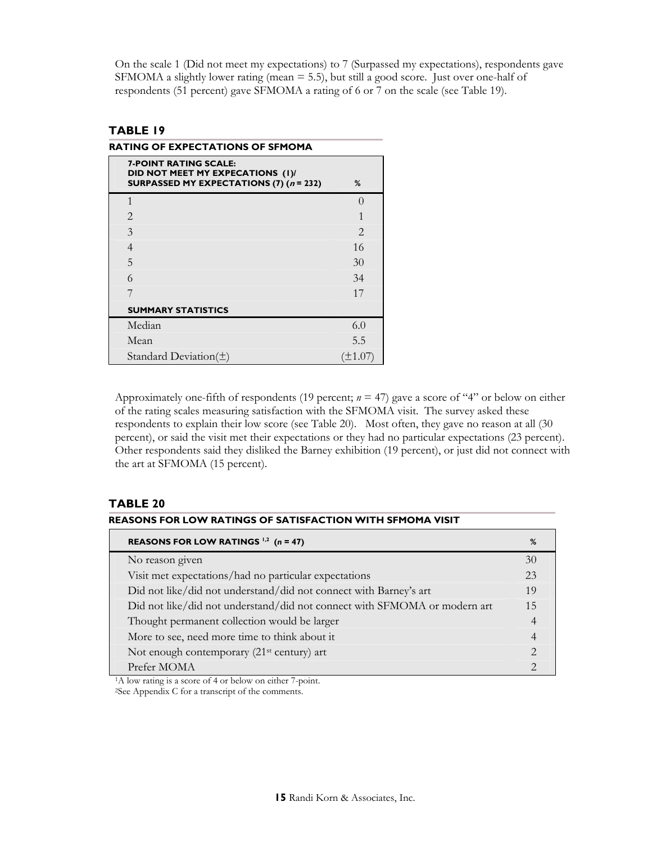On the scale 1 (Did not meet my expectations) to 7 (Surpassed my expectations), respondents gave SFMOMA a slightly lower rating (mean = 5.5), but still a good score. Just over one-half of respondents (51 percent) gave SFMOMA a rating of 6 or 7 on the scale (see Table 19).

## **TABLE 19**

**RATING OF EXPECTATIONS OF SFMOMA** 

| <b>7-POINT RATING SCALE:</b><br>DID NOT MEET MY EXPECATIONS (I)/<br>SURPASSED MY EXPECTATIONS (7) $(n = 232)$ | %                           |
|---------------------------------------------------------------------------------------------------------------|-----------------------------|
| 1                                                                                                             | $\Omega$                    |
| 2                                                                                                             | 1                           |
| 3                                                                                                             | $\mathcal{D}_{\mathcal{L}}$ |
| 4                                                                                                             | 16                          |
| 5                                                                                                             | 30                          |
| 6                                                                                                             | 34                          |
|                                                                                                               | 17                          |
| <b>SUMMARY STATISTICS</b>                                                                                     |                             |
| Median                                                                                                        | 6.0                         |
| Mean                                                                                                          | 5.5                         |
| Standard Deviation( $\pm$ )                                                                                   |                             |

Approximately one-fifth of respondents (19 percent; *n* = 47) gave a score of "4" or below on either of the rating scales measuring satisfaction with the SFMOMA visit. The survey asked these respondents to explain their low score (see Table 20). Most often, they gave no reason at all (30 percent), or said the visit met their expectations or they had no particular expectations (23 percent). Other respondents said they disliked the Barney exhibition (19 percent), or just did not connect with the art at SFMOMA (15 percent).

## **TABLE 20**

| REASONS FOR LOW RATINGS OF SATISFACTION WITH SFMOMA VISIT                 |                             |  |  |
|---------------------------------------------------------------------------|-----------------------------|--|--|
| REASONS FOR LOW RATINGS $1,2$ (n = 47)                                    | %                           |  |  |
| No reason given                                                           | 30                          |  |  |
| Visit met expectations/had no particular expectations                     | 23                          |  |  |
| Did not like/did not understand/did not connect with Barney's art         | 19                          |  |  |
| Did not like/did not understand/did not connect with SFMOMA or modern art | 15                          |  |  |
| Thought permanent collection would be larger                              | 4                           |  |  |
| More to see, need more time to think about it                             | 4                           |  |  |
| Not enough contemporary (21 <sup>st</sup> century) art                    | $\mathcal{D}_{\mathcal{L}}$ |  |  |
| Prefer MOMA                                                               | $\mathcal{D}_{\mathcal{L}}$ |  |  |

<sup>1</sup>A low rating is a score of 4 or below on either 7-point.

2See Appendix C for a transcript of the comments.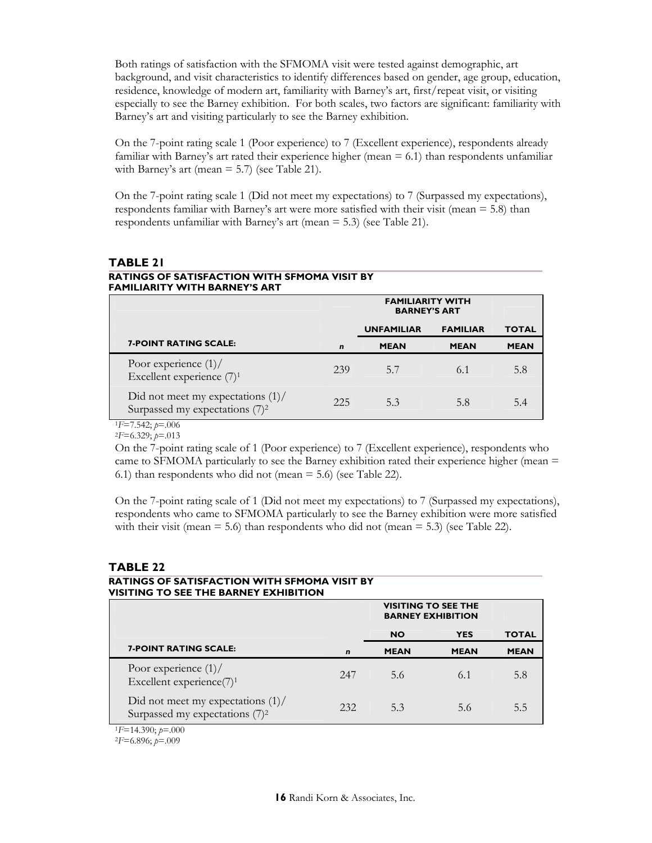Both ratings of satisfaction with the SFMOMA visit were tested against demographic, art background, and visit characteristics to identify differences based on gender, age group, education, residence, knowledge of modern art, familiarity with Barney's art, first/repeat visit, or visiting especially to see the Barney exhibition. For both scales, two factors are significant: familiarity with Barney's art and visiting particularly to see the Barney exhibition.

On the 7-point rating scale 1 (Poor experience) to 7 (Excellent experience), respondents already familiar with Barney's art rated their experience higher (mean  $= 6.1$ ) than respondents unfamiliar with Barney's art (mean  $=$  5.7) (see Table 21).

On the 7-point rating scale 1 (Did not meet my expectations) to 7 (Surpassed my expectations), respondents familiar with Barney's art were more satisfied with their visit (mean = 5.8) than respondents unfamiliar with Barney's art (mean = 5.3) (see Table 21).

#### **TABLE 21 RATINGS OF SATISFACTION WITH SFMOMA VISIT BY FAMILIARITY WITH BARNEY'S ART**

|                                                                                    |             | <b>FAMILIARITY WITH</b><br><b>BARNEY'S ART</b>       |             |             |
|------------------------------------------------------------------------------------|-------------|------------------------------------------------------|-------------|-------------|
|                                                                                    |             | <b>UNFAMILIAR</b><br><b>FAMILIAR</b><br><b>TOTAL</b> |             |             |
| <b>7-POINT RATING SCALE:</b>                                                       | $\mathbf n$ | <b>MEAN</b>                                          | <b>MEAN</b> | <b>MEAN</b> |
| Poor experience $(1)$ /<br>Excellent experience $(7)^1$                            | 239         | 5.7                                                  | 6.1         | 5.8         |
| Did not meet my expectations $(1)$ /<br>Surpassed my expectations (7) <sup>2</sup> | 225         | 5.3                                                  | 5.8         | 5.4         |

<sup>1</sup>*F*=7.542; *p*=.006 2*F*=6.329; *p*=.013

On the 7-point rating scale of 1 (Poor experience) to 7 (Excellent experience), respondents who came to SFMOMA particularly to see the Barney exhibition rated their experience higher (mean = 6.1) than respondents who did not (mean = 5.6) (see Table 22).

On the 7-point rating scale of 1 (Did not meet my expectations) to 7 (Surpassed my expectations), respondents who came to SFMOMA particularly to see the Barney exhibition were more satisfied with their visit (mean  $= 5.6$ ) than respondents who did not (mean  $= 5.3$ ) (see Table 22).

# **TABLE 22**

#### **RATINGS OF SATISFACTION WITH SFMOMA VISIT BY VISITING TO SEE THE BARNEY EXHIBITION**

|                                                                                    | <b>VISITING TO SEE THE</b><br><b>BARNEY EXHIBITION</b> |             |             |              |
|------------------------------------------------------------------------------------|--------------------------------------------------------|-------------|-------------|--------------|
|                                                                                    | <b>YES</b><br><b>NO</b>                                |             |             | <b>TOTAL</b> |
| <b>7-POINT RATING SCALE:</b>                                                       | $\mathbf n$                                            | <b>MEAN</b> | <b>MEAN</b> | <b>MEAN</b>  |
| Poor experience $(1)$ /<br>Excellent experience(7) <sup>1</sup>                    | 247                                                    | 5.6         | 6.1         | 5.8          |
| Did not meet my expectations $(1)$ /<br>Surpassed my expectations (7) <sup>2</sup> | 232                                                    | 5.3         | 5.6         | 5.5          |
| $E=14.390$ ; $p=.000$                                                              |                                                        |             |             |              |

<sup>1</sup>*F*=14.390; *p*=.000 2*F*=6.896; *p*=.009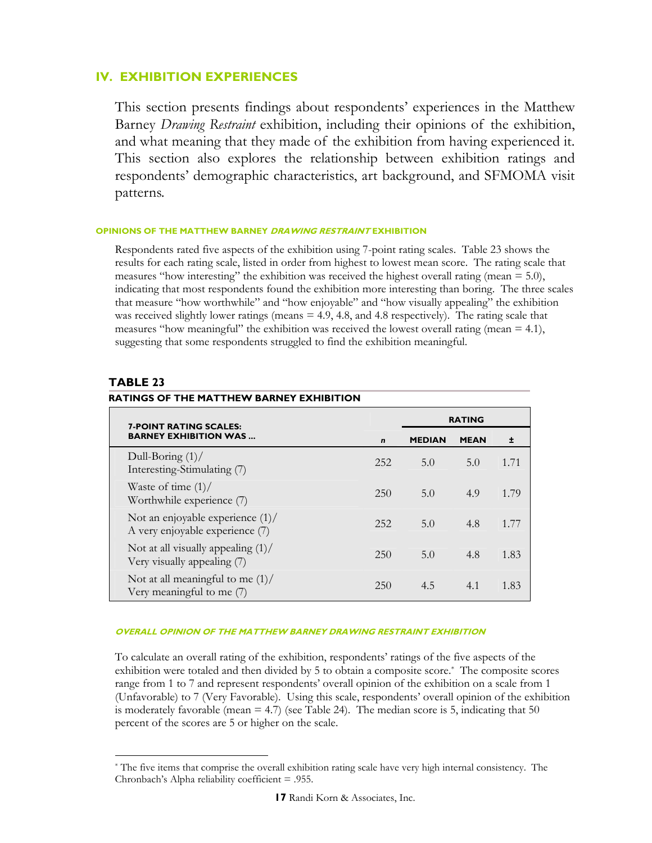## **IV. EXHIBITION EXPERIENCES**

This section presents findings about respondents' experiences in the Matthew Barney *Drawing Restraint* exhibition, including their opinions of the exhibition, and what meaning that they made of the exhibition from having experienced it. This section also explores the relationship between exhibition ratings and respondents' demographic characteristics, art background, and SFMOMA visit patterns.

#### **OPINIONS OF THE MATTHEW BARNEY DRAWING RESTRAINT EXHIBITION**

Respondents rated five aspects of the exhibition using 7-point rating scales. Table 23 shows the results for each rating scale, listed in order from highest to lowest mean score. The rating scale that measures "how interesting" the exhibition was received the highest overall rating (mean = 5.0), indicating that most respondents found the exhibition more interesting than boring. The three scales that measure "how worthwhile" and "how enjoyable" and "how visually appealing" the exhibition was received slightly lower ratings (means  $= 4.9, 4.8,$  and  $4.8$  respectively). The rating scale that measures "how meaningful" the exhibition was received the lowest overall rating (mean  $= 4.1$ ), suggesting that some respondents struggled to find the exhibition meaningful.

## **TABLE 23**

 $\overline{a}$ 

| <b>7-POINT RATING SCALES:</b><br><b>BARNEY EXHIBITION WAS</b>          |              | <b>RATING</b> |             |      |
|------------------------------------------------------------------------|--------------|---------------|-------------|------|
|                                                                        | $\mathbf{r}$ | <b>MEDIAN</b> | <b>MEAN</b> | 士    |
| Dull-Boring $(1)$<br>Interesting-Stimulating (7)                       | 252          | 5.0           | 5.0         | 1.71 |
| Waste of time $(1)$ /<br>Worthwhile experience (7)                     | 250          | 5.0           | 4.9         | 1.79 |
| Not an enjoyable experience $(1)$ /<br>A very enjoyable experience (7) | 252          | 5.0           | 4.8         | 1.77 |
| Not at all visually appealing $(1)$ /<br>Very visually appealing (7)   | 250          | 5.0           | 4.8         | 1.83 |
| Not at all meaningful to me $(1)$ /<br>Very meaningful to me (7)       | 250          | 4.5           | 4.1         | 1.83 |

## **RATINGS OF THE MATTHEW BARNEY EXHIBITION**

#### **OVERALL OPINION OF THE MATTHEW BARNEY DRAWING RESTRAINT EXHIBITION**

To calculate an overall rating of the exhibition, respondents' ratings of the five aspects of the exhibition were totaled and then divided by 5 to obtain a composite score.\* The composite scores range from 1 to 7 and represent respondents' overall opinion of the exhibition on a scale from 1 (Unfavorable) to 7 (Very Favorable). Using this scale, respondents' overall opinion of the exhibition is moderately favorable (mean  $= 4.7$ ) (see Table 24). The median score is 5, indicating that 50 percent of the scores are 5 or higher on the scale.

<sup>\*</sup> The five items that comprise the overall exhibition rating scale have very high internal consistency. The Chronbach's Alpha reliability coefficient = .955.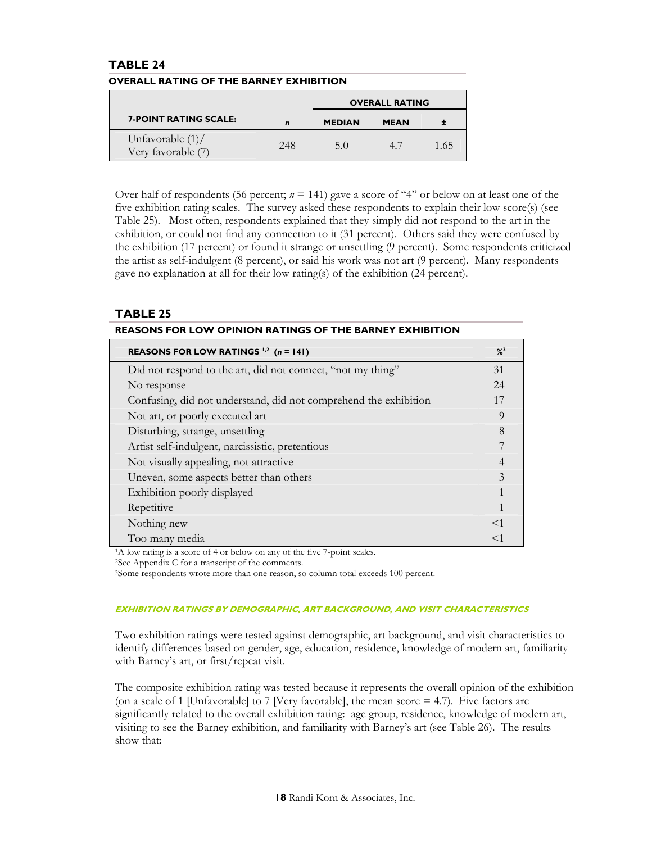## **TABLE 24**

|                                           |      |               | <b>OVERALL RATING</b> |      |
|-------------------------------------------|------|---------------|-----------------------|------|
| <b>7-POINT RATING SCALE:</b>              | n    | <b>MEDIAN</b> | <b>MEAN</b>           |      |
| Unfavorable $(1)$ /<br>Very favorable (7) | 2.48 | 5.0           | $4^{\prime}$          | 1.65 |

#### **OVERALL RATING OF THE BARNEY EXHIBITION**

Over half of respondents (56 percent; *n* = 141) gave a score of "4" or below on at least one of the five exhibition rating scales. The survey asked these respondents to explain their low score(s) (see Table 25). Most often, respondents explained that they simply did not respond to the art in the exhibition, or could not find any connection to it (31 percent). Others said they were confused by the exhibition (17 percent) or found it strange or unsettling (9 percent). Some respondents criticized the artist as self-indulgent (8 percent), or said his work was not art (9 percent). Many respondents gave no explanation at all for their low rating(s) of the exhibition (24 percent).

## **TABLE 25**

| REASONS FOR LOW RATINGS $^{1,2}$ (n = 141)                       | $\frac{9}{3}$  |
|------------------------------------------------------------------|----------------|
| Did not respond to the art, did not connect, "not my thing"      | 31             |
| No response                                                      | 24             |
| Confusing, did not understand, did not comprehend the exhibition | 17             |
| Not art, or poorly executed art                                  | 9              |
| Disturbing, strange, unsettling                                  | 8              |
| Artist self-indulgent, narcissistic, pretentious                 | 7              |
| Not visually appealing, not attractive                           | $\overline{4}$ |
| Uneven, some aspects better than others                          | 3              |
| Exhibition poorly displayed                                      | 1              |
| Repetitive                                                       | $\mathbf{1}$   |
| Nothing new                                                      | $<$ 1          |
| Too many media                                                   | $<$ 1          |

#### **REASONS FOR LOW OPINION RATINGS OF THE BARNEY EXHIBITION**

<sup>1</sup>A low rating is a score of 4 or below on any of the five 7-point scales.

2See Appendix C for a transcript of the comments.

3Some respondents wrote more than one reason, so column total exceeds 100 percent.

#### **EXHIBITION RATINGS BY DEMOGRAPHIC, ART BACKGROUND, AND VISIT CHARACTERISTICS**

Two exhibition ratings were tested against demographic, art background, and visit characteristics to identify differences based on gender, age, education, residence, knowledge of modern art, familiarity with Barney's art, or first/repeat visit.

The composite exhibition rating was tested because it represents the overall opinion of the exhibition (on a scale of 1 [Unfavorable] to 7 [Very favorable], the mean score  $=$  4.7). Five factors are significantly related to the overall exhibition rating: age group, residence, knowledge of modern art, visiting to see the Barney exhibition, and familiarity with Barney's art (see Table 26). The results show that: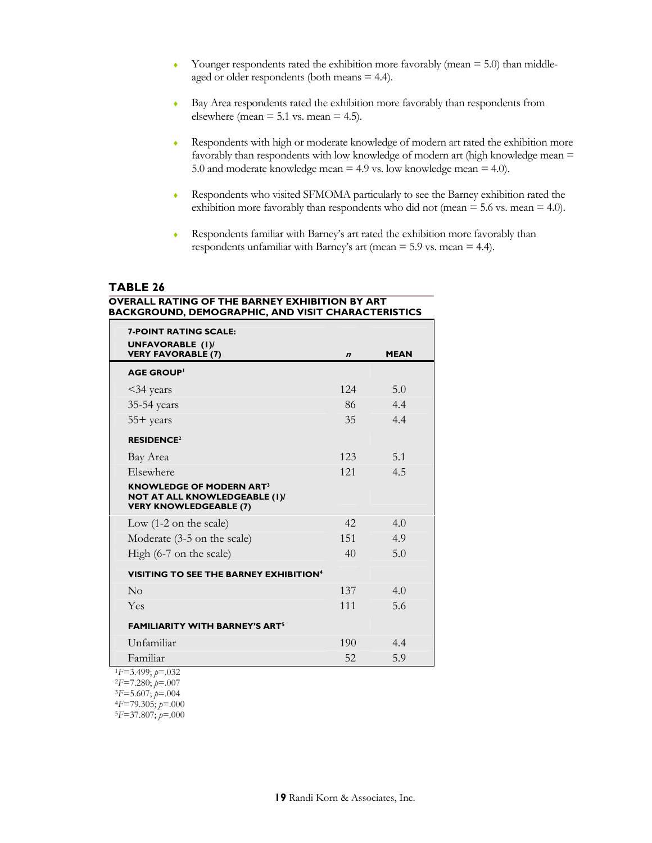- $\bullet$  Younger respondents rated the exhibition more favorably (mean = 5.0) than middleaged or older respondents (both means = 4.4).
- ♦ Bay Area respondents rated the exhibition more favorably than respondents from elsewhere (mean  $= 5.1$  vs. mean  $= 4.5$ ).
- ♦ Respondents with high or moderate knowledge of modern art rated the exhibition more favorably than respondents with low knowledge of modern art (high knowledge mean = 5.0 and moderate knowledge mean = 4.9 vs. low knowledge mean = 4.0).
- ♦ Respondents who visited SFMOMA particularly to see the Barney exhibition rated the exhibition more favorably than respondents who did not (mean  $=$  5.6 vs. mean  $=$  4.0).
- ♦ Respondents familiar with Barney's art rated the exhibition more favorably than respondents unfamiliar with Barney's art (mean = 5.9 vs. mean = 4.4).

## **TABLE 26**

#### **OVERALL RATING OF THE BARNEY EXHIBITION BY ART BACKGROUND, DEMOGRAPHIC, AND VISIT CHARACTERISTICS**

| <b>7-POINT RATING SCALE:</b><br><b>UNFAVORABLE (I)/</b>                                                             |                  |             |
|---------------------------------------------------------------------------------------------------------------------|------------------|-------------|
| <b>VERY FAVORABLE (7)</b>                                                                                           | $\boldsymbol{n}$ | <b>MEAN</b> |
| <b>AGE GROUP</b>                                                                                                    |                  |             |
| $<$ 34 years                                                                                                        | 124              | 5.0         |
| 35-54 years                                                                                                         | 86               | 4.4         |
| $55+$ years                                                                                                         | 35               | 4.4         |
| <b>RESIDENCE<sup>2</sup></b>                                                                                        |                  |             |
| Bay Area                                                                                                            | 123              | 5.1         |
| Elsewhere                                                                                                           | 121              | 4.5         |
| <b>KNOWLEDGE OF MODERN ART<sup>3</sup></b><br><b>NOT AT ALL KNOWLEDGEABLE (I)/</b><br><b>VERY KNOWLEDGEABLE (7)</b> |                  |             |
| Low $(1-2 \text{ on the scale})$                                                                                    | 42               | 4.0         |
| Moderate (3-5 on the scale)                                                                                         | 151              | 4.9         |
| High (6-7 on the scale)                                                                                             | 40               | 5.0         |
| <b>VISITING TO SEE THE BARNEY EXHIBITION<sup>4</sup></b>                                                            |                  |             |
| No                                                                                                                  | 137              | 4.0         |
| Yes                                                                                                                 | 111              | 5.6         |
| <b>FAMILIARITY WITH BARNEY'S ART<sup>5</sup></b>                                                                    |                  |             |
| Unfamiliar                                                                                                          | 190              | 4.4         |
| Familiar                                                                                                            | 52               | 5.9         |
| $1F=3.499; p=.032$<br>$2F=7.280; p=.007$<br>$3F=5.607; p=.004$<br>$4F=79.305; p=.000$<br>$5F=37.807$ ; $p=.000$     |                  |             |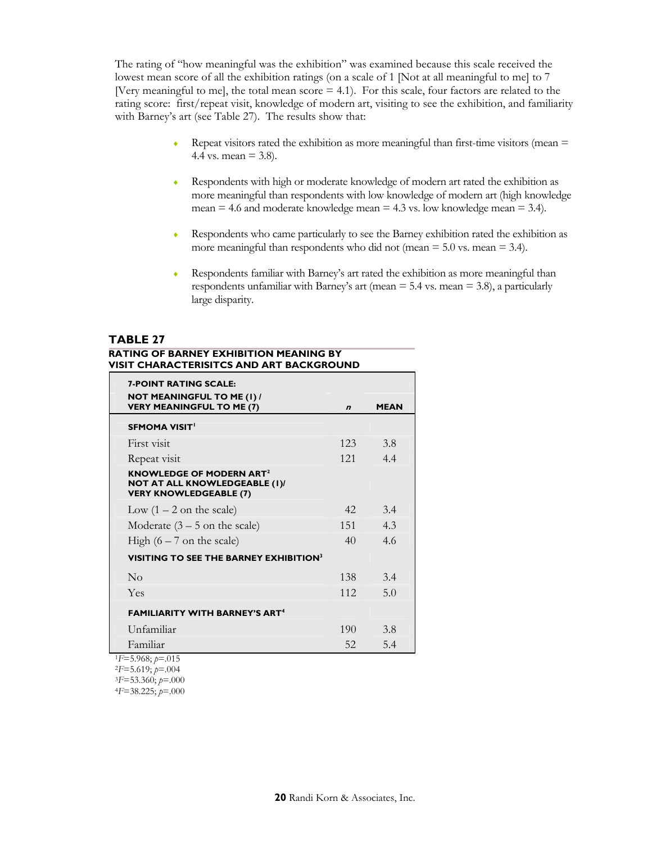The rating of "how meaningful was the exhibition" was examined because this scale received the lowest mean score of all the exhibition ratings (on a scale of 1 [Not at all meaningful to me] to 7 [Very meaningful to me], the total mean score  $= 4.1$ ). For this scale, four factors are related to the rating score: first/repeat visit, knowledge of modern art, visiting to see the exhibition, and familiarity with Barney's art (see Table 27). The results show that:

- $\bullet$  Repeat visitors rated the exhibition as more meaningful than first-time visitors (mean  $=$ 4.4 vs. mean =  $3.8$ ).
- ♦ Respondents with high or moderate knowledge of modern art rated the exhibition as more meaningful than respondents with low knowledge of modern art (high knowledge mean  $= 4.6$  and moderate knowledge mean  $= 4.3$  vs. low knowledge mean  $= 3.4$ ).
- ♦ Respondents who came particularly to see the Barney exhibition rated the exhibition as more meaningful than respondents who did not (mean  $= 5.0$  vs. mean  $= 3.4$ ).
- ♦ Respondents familiar with Barney's art rated the exhibition as more meaningful than respondents unfamiliar with Barney's art (mean  $=$  5.4 vs. mean  $=$  3.8), a particularly large disparity.

## **TABLE 27**

#### **RATING OF BARNEY EXHIBITION MEANING BY VISIT CHARACTERISITCS AND ART BACKGROUND**

| <b>7-POINT RATING SCALE:</b><br><b>NOT MEANINGFUL TO ME (I) /</b><br><b>VERY MEANINGFUL TO ME (7)</b>  | $\boldsymbol{n}$ | <b>MEAN</b> |
|--------------------------------------------------------------------------------------------------------|------------------|-------------|
| <b>SFMOMA VISIT'</b>                                                                                   |                  |             |
| First visit                                                                                            | 123              | 3.8         |
| Repeat visit                                                                                           | 121              | 4.4         |
| KNOWLEDGE OF MODERN ART <sup>2</sup><br>NOT AT ALL KNOWLEDGEABLE (I)/<br><b>VERY KNOWLEDGEABLE (7)</b> |                  |             |
| Low $(1 – 2)$ on the scale)                                                                            | 42.              | 3.4         |
| Moderate $(3 – 5)$ on the scale)                                                                       | 151              | 4.3         |
| High $(6 - 7)$ on the scale)                                                                           | 40               | 4.6         |
| <b>VISITING TO SEE THE BARNEY EXHIBITION<sup>3</sup></b>                                               |                  |             |
| $\overline{N}_{\Omega}$                                                                                | 138              | 3.4         |
| Yes                                                                                                    | 112              | 5.0         |
| <b>FAMILIARITY WITH BARNEY'S ART<sup>4</sup></b>                                                       |                  |             |
| Unfamiliar                                                                                             | 190              | 3.8         |
| Familiar                                                                                               | 52               | 5.4         |
| $1F=5.968; p=.015$<br>$2F=5.619; p=.004$<br>$3F = 53.360; p = .000$<br>$4F = 38.225; p = .000$         |                  |             |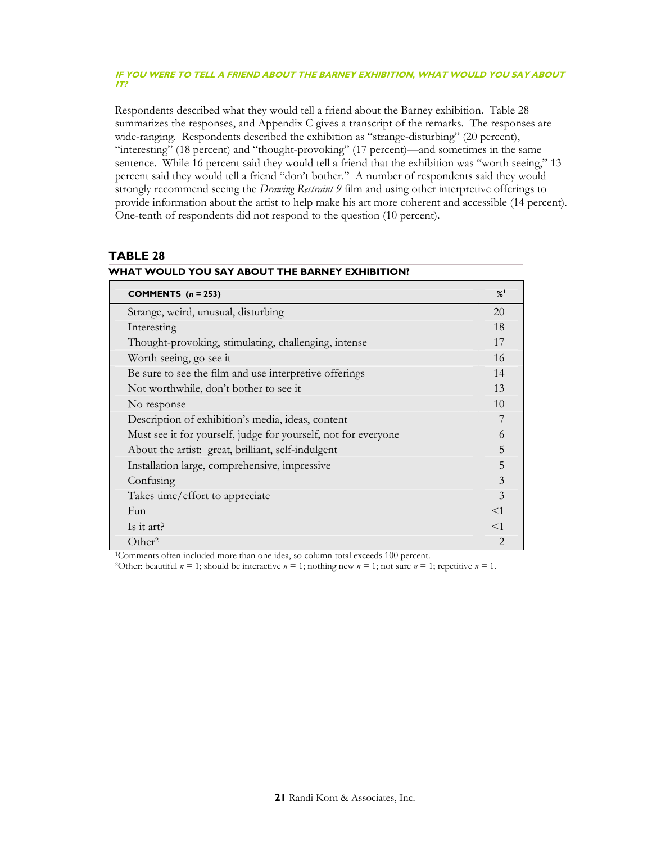#### **IF YOU WERE TO TELL A FRIEND ABOUT THE BARNEY EXHIBITION, WHAT WOULD YOU SAY ABOUT IT?**

Respondents described what they would tell a friend about the Barney exhibition. Table 28 summarizes the responses, and Appendix C gives a transcript of the remarks. The responses are wide-ranging. Respondents described the exhibition as "strange-disturbing" (20 percent), "interesting" (18 percent) and "thought-provoking" (17 percent)—and sometimes in the same sentence. While 16 percent said they would tell a friend that the exhibition was "worth seeing," 13 percent said they would tell a friend "don't bother." A number of respondents said they would strongly recommend seeing the *Drawing Restraint 9* film and using other interpretive offerings to provide information about the artist to help make his art more coherent and accessible (14 percent). One-tenth of respondents did not respond to the question (10 percent).

## **TABLE 28**

| COMMENTS $(n = 253)$                                           | %              |
|----------------------------------------------------------------|----------------|
| Strange, weird, unusual, disturbing                            | 20             |
| Interesting                                                    | 18             |
| Thought-provoking, stimulating, challenging, intense           | 17             |
| Worth seeing, go see it                                        | 16             |
| Be sure to see the film and use interpretive offerings         | 14             |
| Not worthwhile, don't bother to see it                         | 13             |
| No response                                                    | 10             |
| Description of exhibition's media, ideas, content              | 7              |
| Must see it for yourself, judge for yourself, not for everyone | 6              |
| About the artist: great, brilliant, self-indulgent             | 5              |
| Installation large, comprehensive, impressive                  | 5              |
| Confusing                                                      | 3              |
| Takes time/effort to appreciate                                | 3              |
| Fun                                                            | $<$ 1          |
| Is it art?                                                     | $<$ 1          |
| Other <sup>2</sup>                                             | $\mathfrak{D}$ |

## **WHAT WOULD YOU SAY ABOUT THE BARNEY EXHIBITION?**

<sup>1</sup>Comments often included more than one idea, so column total exceeds 100 percent.

<sup>2</sup>Other: beautiful  $n = 1$ ; should be interactive  $n = 1$ ; nothing new  $n = 1$ ; not sure  $n = 1$ ; repetitive  $n = 1$ .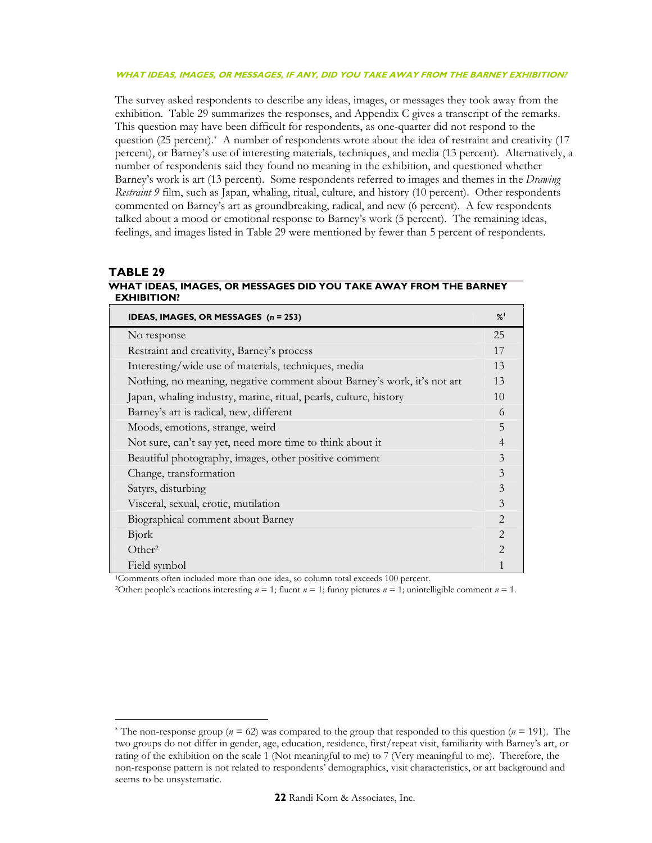#### **WHAT IDEAS, IMAGES, OR MESSAGES, IF ANY, DID YOU TAKE AWAY FROM THE BARNEY EXHIBITION?**

The survey asked respondents to describe any ideas, images, or messages they took away from the exhibition. Table 29 summarizes the responses, and Appendix C gives a transcript of the remarks. This question may have been difficult for respondents, as one-quarter did not respond to the question (25 percent).\* A number of respondents wrote about the idea of restraint and creativity (17 percent), or Barney's use of interesting materials, techniques, and media (13 percent). Alternatively, a number of respondents said they found no meaning in the exhibition, and questioned whether Barney's work is art (13 percent). Some respondents referred to images and themes in the *Drawing Restraint 9* film, such as Japan, whaling, ritual, culture, and history (10 percent). Other respondents commented on Barney's art as groundbreaking, radical, and new (6 percent). A few respondents talked about a mood or emotional response to Barney's work (5 percent). The remaining ideas, feelings, and images listed in Table 29 were mentioned by fewer than 5 percent of respondents.

### **TABLE 29**

 $\ddot{\phantom{a}}$ 

#### **WHAT IDEAS, IMAGES, OR MESSAGES DID YOU TAKE AWAY FROM THE BARNEY EXHIBITION?**

| IDEAS, IMAGES, OR MESSAGES (n = 253)                                    | %                           |
|-------------------------------------------------------------------------|-----------------------------|
| No response                                                             | 25                          |
| Restraint and creativity, Barney's process                              | 17                          |
| Interesting/wide use of materials, techniques, media                    | 13                          |
| Nothing, no meaning, negative comment about Barney's work, it's not art | 13                          |
| Japan, whaling industry, marine, ritual, pearls, culture, history       | 10                          |
| Barney's art is radical, new, different                                 | 6                           |
| Moods, emotions, strange, weird                                         | 5                           |
| Not sure, can't say yet, need more time to think about it               | $\overline{4}$              |
| Beautiful photography, images, other positive comment                   | 3                           |
| Change, transformation                                                  | 3                           |
| Satyrs, disturbing                                                      | 3                           |
| Visceral, sexual, erotic, mutilation                                    | 3                           |
| Biographical comment about Barney                                       | 2                           |
| Bjork                                                                   | $\mathcal{D}_{\mathcal{L}}$ |
| Other <sup>2</sup>                                                      | $\mathcal{D}_{\mathcal{L}}$ |
| Field symbol                                                            |                             |

<sup>1</sup>Comments often included more than one idea, so column total exceeds 100 percent.

<sup>2</sup>Other: people's reactions interesting  $n = 1$ ; fluent  $n = 1$ ; funny pictures  $n = 1$ ; unintelligible comment  $n = 1$ .

<sup>\*</sup> The non-response group (*n* = 62) was compared to the group that responded to this question (*n* = 191). The two groups do not differ in gender, age, education, residence, first/repeat visit, familiarity with Barney's art, or rating of the exhibition on the scale 1 (Not meaningful to me) to 7 (Very meaningful to me). Therefore, the non-response pattern is not related to respondents' demographics, visit characteristics, or art background and seems to be unsystematic.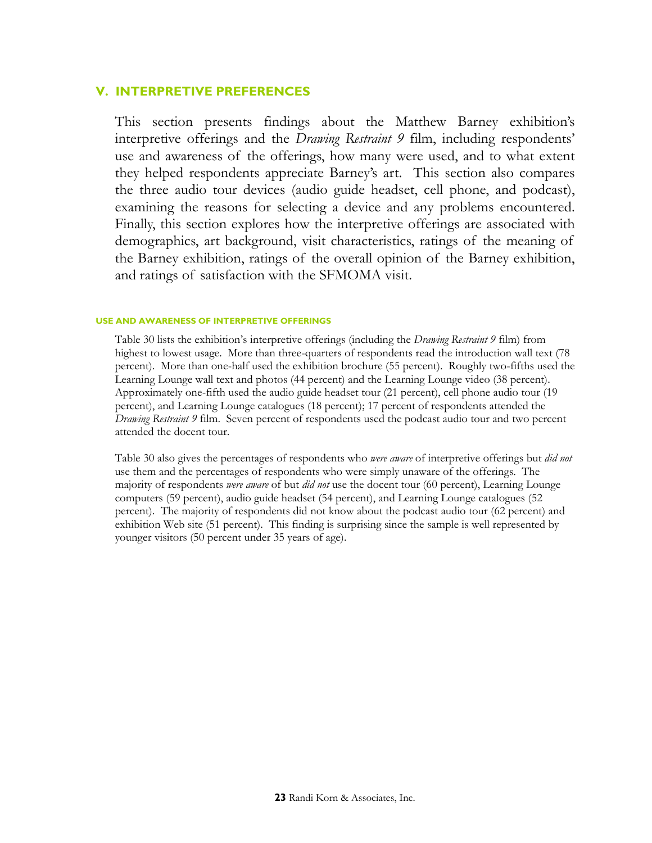## **V. INTERPRETIVE PREFERENCES**

This section presents findings about the Matthew Barney exhibition's interpretive offerings and the *Drawing Restraint 9* film, including respondents' use and awareness of the offerings, how many were used, and to what extent they helped respondents appreciate Barney's art. This section also compares the three audio tour devices (audio guide headset, cell phone, and podcast), examining the reasons for selecting a device and any problems encountered. Finally, this section explores how the interpretive offerings are associated with demographics, art background, visit characteristics, ratings of the meaning of the Barney exhibition, ratings of the overall opinion of the Barney exhibition, and ratings of satisfaction with the SFMOMA visit.

#### **USE AND AWARENESS OF INTERPRETIVE OFFERINGS**

Table 30 lists the exhibition's interpretive offerings (including the *Drawing Restraint 9* film) from highest to lowest usage. More than three-quarters of respondents read the introduction wall text (78) percent). More than one-half used the exhibition brochure (55 percent). Roughly two-fifths used the Learning Lounge wall text and photos (44 percent) and the Learning Lounge video (38 percent). Approximately one-fifth used the audio guide headset tour (21 percent), cell phone audio tour (19 percent), and Learning Lounge catalogues (18 percent); 17 percent of respondents attended the *Drawing Restraint 9* film. Seven percent of respondents used the podcast audio tour and two percent attended the docent tour.

Table 30 also gives the percentages of respondents who *were aware* of interpretive offerings but *did not* use them and the percentages of respondents who were simply unaware of the offerings. The majority of respondents *were aware* of but *did not* use the docent tour (60 percent), Learning Lounge computers (59 percent), audio guide headset (54 percent), and Learning Lounge catalogues (52 percent). The majority of respondents did not know about the podcast audio tour (62 percent) and exhibition Web site (51 percent). This finding is surprising since the sample is well represented by younger visitors (50 percent under 35 years of age).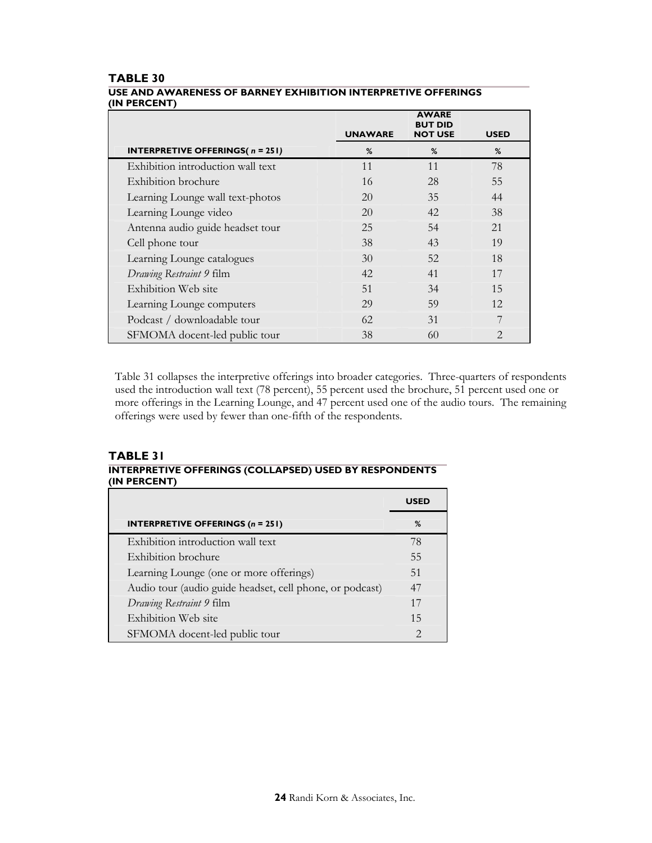|                                                     | <b>UNAWARE</b> | <b>AWARE</b><br><b>BUT DID</b><br><b>NOT USE</b> | <b>USED</b>    |
|-----------------------------------------------------|----------------|--------------------------------------------------|----------------|
| <b>INTERPRETIVE OFFERINGS(<math>n = 251</math>)</b> | %              | %                                                | %              |
| Exhibition introduction wall text                   | 11             | 11                                               | 78             |
| Exhibition brochure                                 | 16             | 28                                               | 55             |
| Learning Lounge wall text-photos                    | 20             | 35                                               | 44             |
| Learning Lounge video                               | 20             | 42                                               | 38             |
| Antenna audio guide headset tour                    | 25             | 54                                               | 21             |
| Cell phone tour                                     | 38             | 43                                               | 19             |
| Learning Lounge catalogues                          | 30             | 52                                               | 18             |
| Drawing Restraint 9 film                            | 42             | 41                                               | 17             |
| Exhibition Web site                                 | 51             | 34                                               | 15             |
| Learning Lounge computers                           | 29             | 59                                               | 12             |
| Podcast / downloadable tour                         | 62             | 31                                               | 7              |
| SFMOMA docent-led public tour                       | 38             | 60                                               | $\overline{2}$ |

## **TABLE 30 USE AND AWARENESS OF BARNEY EXHIBITION INTERPRETIVE OFFERINGS (IN PERCENT)**

Table 31 collapses the interpretive offerings into broader categories. Three-quarters of respondents used the introduction wall text (78 percent), 55 percent used the brochure, 51 percent used one or more offerings in the Learning Lounge, and 47 percent used one of the audio tours. The remaining offerings were used by fewer than one-fifth of the respondents.

# **TABLE 31 INTERPRETIVE OFFERINGS (COLLAPSED) USED BY RESPONDENTS (IN PERCENT)**

|                                                          | USED                        |
|----------------------------------------------------------|-----------------------------|
| <b>INTERPRETIVE OFFERINGS (n = 251)</b>                  | %                           |
| Exhibition introduction wall text                        | 78                          |
| Exhibition brochure                                      | 55                          |
| Learning Lounge (one or more offerings)                  | 51                          |
| Audio tour (audio guide headset, cell phone, or podcast) | 47                          |
| Drawing Restraint 9 film                                 | 17                          |
| Exhibition Web site                                      | 15                          |
| SFMOMA docent-led public tour                            | $\mathcal{D}_{\mathcal{A}}$ |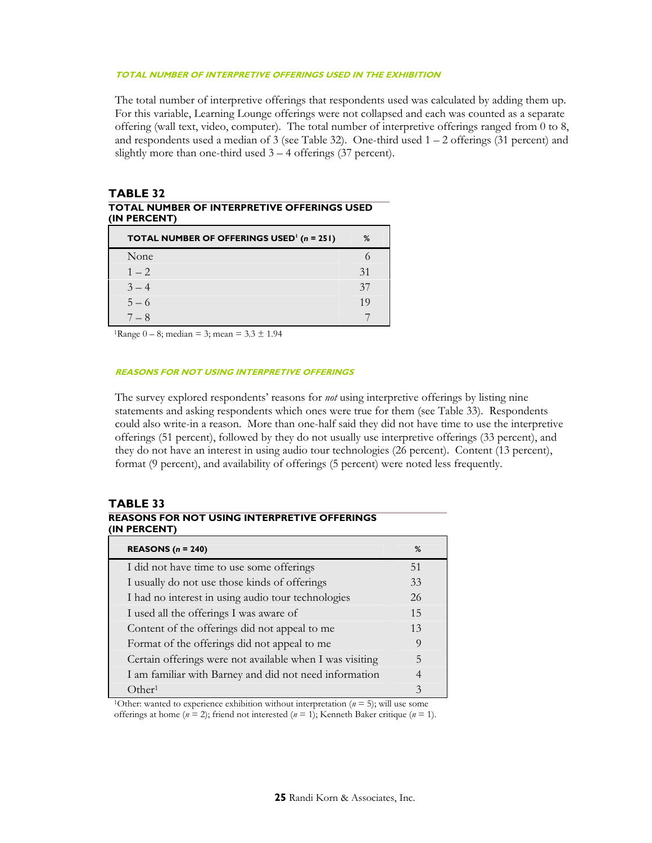### **TOTAL NUMBER OF INTERPRETIVE OFFERINGS USED IN THE EXHIBITION**

The total number of interpretive offerings that respondents used was calculated by adding them up. For this variable, Learning Lounge offerings were not collapsed and each was counted as a separate offering (wall text, video, computer). The total number of interpretive offerings ranged from 0 to 8, and respondents used a median of 3 (see Table 32). One-third used 1 – 2 offerings (31 percent) and slightly more than one-third used  $3 - 4$  offerings (37 percent).

### **TABLE 32 TOTAL NUMBER OF INTERPRETIVE OFFERINGS USED (IN PERCENT)**

| <b>TOTAL NUMBER OF OFFERINGS USED<sup>1</sup></b> ( $n = 251$ ) | ℅  |
|-----------------------------------------------------------------|----|
| None                                                            |    |
| $1 - 2$                                                         | 31 |
| $3 - 4$                                                         | 37 |
| $5 - 6$                                                         | 19 |
| $-8$                                                            |    |

<sup>1</sup>Range  $0 - 8$ ; median = 3; mean =  $3.3 \pm 1.94$ 

#### **REASONS FOR NOT USING INTERPRETIVE OFFERINGS**

The survey explored respondents' reasons for *not* using interpretive offerings by listing nine statements and asking respondents which ones were true for them (see Table 33). Respondents could also write-in a reason. More than one-half said they did not have time to use the interpretive offerings (51 percent), followed by they do not usually use interpretive offerings (33 percent), and they do not have an interest in using audio tour technologies (26 percent). Content (13 percent), format (9 percent), and availability of offerings (5 percent) were noted less frequently.

## **TABLE 33**

| (IN PERCENT)                                             |    |  |
|----------------------------------------------------------|----|--|
| <b>REASONS</b> $(n = 240)$                               | %  |  |
| I did not have time to use some offerings                | 51 |  |
| I usually do not use those kinds of offerings            | 33 |  |
| I had no interest in using audio tour technologies       | 26 |  |
| I used all the offerings I was aware of                  | 15 |  |
| Content of the offerings did not appeal to me            | 13 |  |
| Format of the offerings did not appeal to me             | 9  |  |
| Certain offerings were not available when I was visiting | 5  |  |
| I am familiar with Barney and did not need information   | 4  |  |
| Other <sup>1</sup>                                       | 3  |  |

**REASONS FOR NOT USING INTERPRETIVE OFFERINGS (IN PERCENT)** 

<sup>1</sup>Other: wanted to experience exhibition without interpretation ( $n = 5$ ); will use some offerings at home  $(n = 2)$ ; friend not interested  $(n = 1)$ ; Kenneth Baker critique  $(n = 1)$ .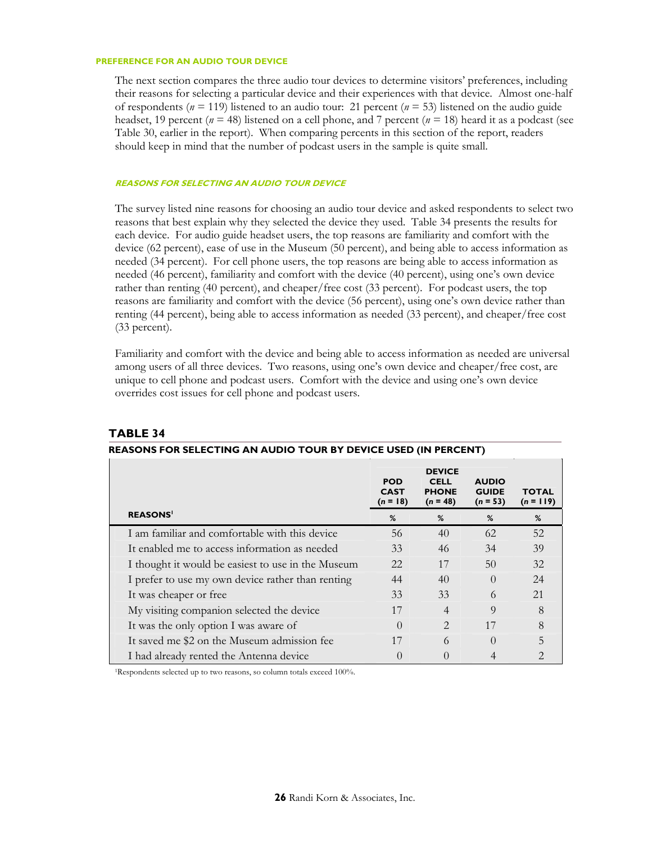#### **PREFERENCE FOR AN AUDIO TOUR DEVICE**

The next section compares the three audio tour devices to determine visitors' preferences, including their reasons for selecting a particular device and their experiences with that device. Almost one-half of respondents ( $n = 119$ ) listened to an audio tour: 21 percent ( $n = 53$ ) listened on the audio guide headset, 19 percent ( $n = 48$ ) listened on a cell phone, and 7 percent ( $n = 18$ ) heard it as a podcast (see Table 30, earlier in the report). When comparing percents in this section of the report, readers should keep in mind that the number of podcast users in the sample is quite small.

#### **REASONS FOR SELECTING AN AUDIO TOUR DEVICE**

The survey listed nine reasons for choosing an audio tour device and asked respondents to select two reasons that best explain why they selected the device they used. Table 34 presents the results for each device. For audio guide headset users, the top reasons are familiarity and comfort with the device (62 percent), ease of use in the Museum (50 percent), and being able to access information as needed (34 percent). For cell phone users, the top reasons are being able to access information as needed (46 percent), familiarity and comfort with the device (40 percent), using one's own device rather than renting (40 percent), and cheaper/free cost (33 percent). For podcast users, the top reasons are familiarity and comfort with the device (56 percent), using one's own device rather than renting (44 percent), being able to access information as needed (33 percent), and cheaper/free cost (33 percent).

Familiarity and comfort with the device and being able to access information as needed are universal among users of all three devices. Two reasons, using one's own device and cheaper/free cost, are unique to cell phone and podcast users. Comfort with the device and using one's own device overrides cost issues for cell phone and podcast users.

| REASONS FOR SELECTING AN AUDIO TOUR BY DEVICE USED (IN PERCENT) |                                         |                                                            |                                            |                             |
|-----------------------------------------------------------------|-----------------------------------------|------------------------------------------------------------|--------------------------------------------|-----------------------------|
|                                                                 | <b>POD</b><br><b>CAST</b><br>$(n = 18)$ | <b>DEVICE</b><br><b>CELL</b><br><b>PHONE</b><br>$(n = 48)$ | <b>AUDIO</b><br><b>GUIDE</b><br>$(n = 53)$ | <b>TOTAL</b><br>$(n = 119)$ |
| <b>REASONS'</b>                                                 | %                                       | %                                                          | %                                          | %                           |
| I am familiar and comfortable with this device                  | 56                                      | 40                                                         | 62                                         | 52                          |
| It enabled me to access information as needed                   | 33                                      | 46                                                         | 34                                         | 39                          |
| I thought it would be easiest to use in the Museum              | 22                                      | 17                                                         | 50                                         | 32                          |
| I prefer to use my own device rather than renting               | 44                                      | 40                                                         | $\Omega$                                   | 24                          |
| It was cheaper or free                                          | 33                                      | 33                                                         | 6                                          | 21                          |
| My visiting companion selected the device                       | 17                                      | $\overline{4}$                                             | 9                                          | 8                           |
| It was the only option I was aware of                           | $\Omega$                                | $\mathcal{D}_{\mathcal{L}}$                                | 17                                         | 8                           |
| It saved me \$2 on the Museum admission fee                     | 17                                      | 6                                                          | $\Omega$                                   | 5                           |
| I had already rented the Antenna device                         | $\left( \right)$                        |                                                            |                                            | 2                           |

#### **TABLE 34**

<sup>1</sup>Respondents selected up to two reasons, so column totals exceed 100%.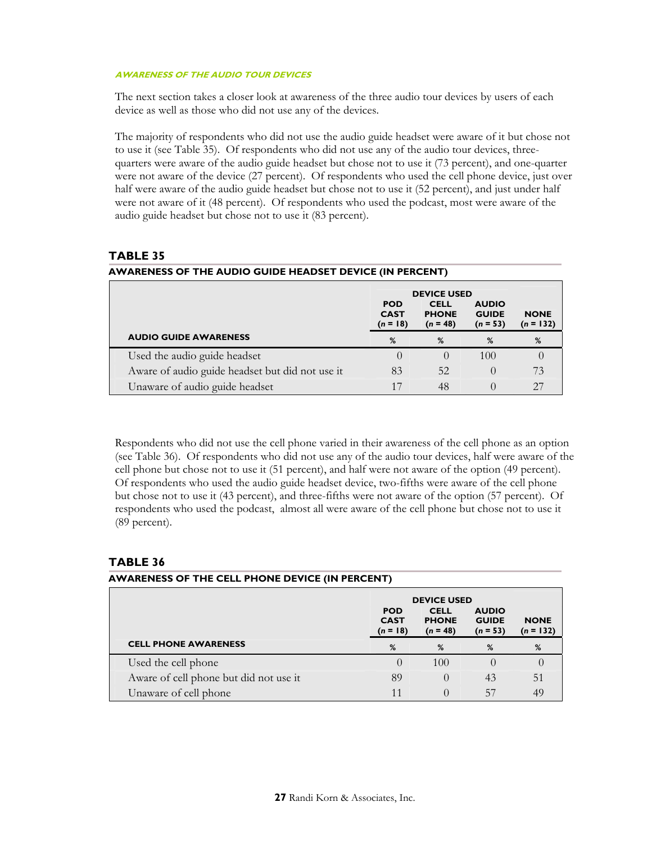#### **AWARENESS OF THE AUDIO TOUR DEVICES**

The next section takes a closer look at awareness of the three audio tour devices by users of each device as well as those who did not use any of the devices.

The majority of respondents who did not use the audio guide headset were aware of it but chose not to use it (see Table 35). Of respondents who did not use any of the audio tour devices, threequarters were aware of the audio guide headset but chose not to use it (73 percent), and one-quarter were not aware of the device (27 percent). Of respondents who used the cell phone device, just over half were aware of the audio guide headset but chose not to use it (52 percent), and just under half were not aware of it (48 percent). Of respondents who used the podcast, most were aware of the audio guide headset but chose not to use it (83 percent).

## **TABLE 35**

| AWARENESS OF THE AUDIO GUIDE HEADSET DEVICE (IN PERCENT) |                                         |                                           |                                            |                            |  |
|----------------------------------------------------------|-----------------------------------------|-------------------------------------------|--------------------------------------------|----------------------------|--|
|                                                          | <b>DEVICE USED</b>                      |                                           |                                            |                            |  |
|                                                          | <b>POD</b><br><b>CAST</b><br>$(n = 18)$ | <b>CELL</b><br><b>PHONE</b><br>$(n = 48)$ | <b>AUDIO</b><br><b>GUIDE</b><br>$(n = 53)$ | <b>NONE</b><br>$(n = 132)$ |  |
| <b>AUDIO GUIDE AWARENESS</b>                             | %                                       | %                                         | %                                          | %                          |  |
| Used the audio guide headset                             |                                         | $\left( \right)$                          | 100                                        |                            |  |
| Aware of audio guide headset but did not use it          | 83                                      | 52                                        | $\left( \right)$                           | 73                         |  |
| Unaware of audio guide headset                           | 17                                      | 48                                        |                                            | 27                         |  |

Respondents who did not use the cell phone varied in their awareness of the cell phone as an option (see Table 36). Of respondents who did not use any of the audio tour devices, half were aware of the cell phone but chose not to use it (51 percent), and half were not aware of the option (49 percent). Of respondents who used the audio guide headset device, two-fifths were aware of the cell phone but chose not to use it (43 percent), and three-fifths were not aware of the option (57 percent). Of respondents who used the podcast, almost all were aware of the cell phone but chose not to use it (89 percent).

## **TABLE 36**

## **AWARENESS OF THE CELL PHONE DEVICE (IN PERCENT)**

|                                        | <b>DEVICE USED</b>                      |                                           |                                            |                            |
|----------------------------------------|-----------------------------------------|-------------------------------------------|--------------------------------------------|----------------------------|
|                                        | <b>POD</b><br><b>CAST</b><br>$(n = 18)$ | <b>CELL</b><br><b>PHONE</b><br>$(n = 48)$ | <b>AUDIO</b><br><b>GUIDE</b><br>$(n = 53)$ | <b>NONE</b><br>$(n = 132)$ |
| <b>CELL PHONE AWARENESS</b>            | %                                       | %                                         | %                                          | %                          |
| Used the cell phone                    |                                         | 100                                       |                                            |                            |
| Aware of cell phone but did not use it | 89                                      |                                           | 43                                         | 51                         |
| Unaware of cell phone                  |                                         |                                           | 57                                         | 49                         |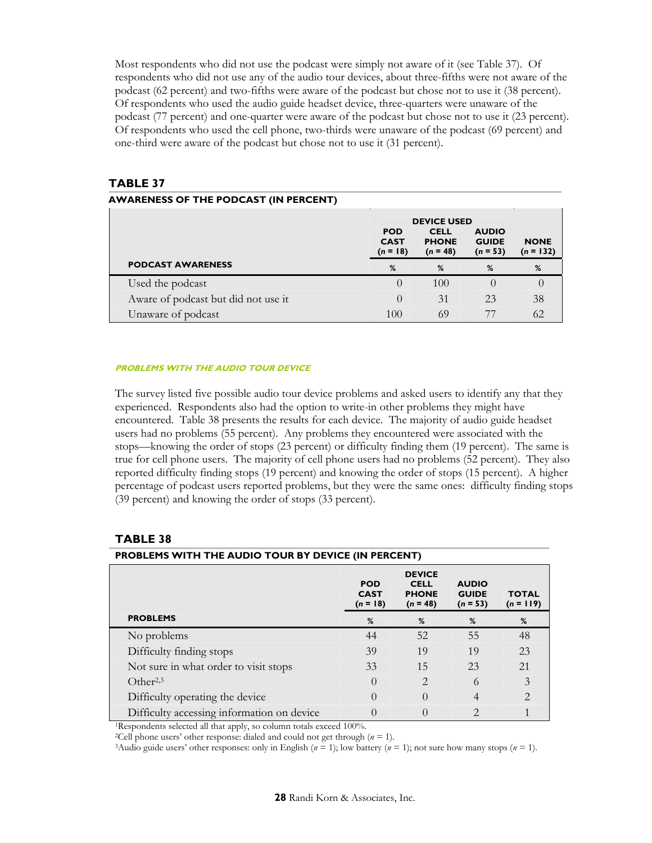Most respondents who did not use the podcast were simply not aware of it (see Table 37). Of respondents who did not use any of the audio tour devices, about three-fifths were not aware of the podcast (62 percent) and two-fifths were aware of the podcast but chose not to use it (38 percent). Of respondents who used the audio guide headset device, three-quarters were unaware of the podcast (77 percent) and one-quarter were aware of the podcast but chose not to use it (23 percent). Of respondents who used the cell phone, two-thirds were unaware of the podcast (69 percent) and one-third were aware of the podcast but chose not to use it (31 percent).

## **TABLE 37**

|                                     | <b>DEVICE USED</b>                      |                                           |                                            |                            |
|-------------------------------------|-----------------------------------------|-------------------------------------------|--------------------------------------------|----------------------------|
|                                     | <b>POD</b><br><b>CAST</b><br>$(n = 18)$ | <b>CELL</b><br><b>PHONE</b><br>$(n = 48)$ | <b>AUDIO</b><br><b>GUIDE</b><br>$(n = 53)$ | <b>NONE</b><br>$(n = 132)$ |
| <b>PODCAST AWARENESS</b>            | %                                       | %                                         | %                                          | %                          |
| Used the podcast                    |                                         | 100                                       |                                            |                            |
| Aware of podcast but did not use it |                                         | 31                                        | 23                                         | 38                         |
| Unaware of podcast                  | 100                                     | 69                                        |                                            | 62                         |

#### **PROBLEMS WITH THE AUDIO TOUR DEVICE**

The survey listed five possible audio tour device problems and asked users to identify any that they experienced. Respondents also had the option to write-in other problems they might have encountered. Table 38 presents the results for each device. The majority of audio guide headset users had no problems (55 percent). Any problems they encountered were associated with the stops—knowing the order of stops (23 percent) or difficulty finding them (19 percent). The same is true for cell phone users. The majority of cell phone users had no problems (52 percent). They also reported difficulty finding stops (19 percent) and knowing the order of stops (15 percent). A higher percentage of podcast users reported problems, but they were the same ones: difficulty finding stops (39 percent) and knowing the order of stops (33 percent).

|                                            | <b>POD</b><br><b>CAST</b><br>$(n = 18)$ | <b>DEVICE</b><br><b>CELL</b><br><b>PHONE</b><br>$(n = 48)$ | <b>AUDIO</b><br><b>GUIDE</b><br>$(n = 53)$ | <b>TOTAL</b><br>$(n = 119)$ |
|--------------------------------------------|-----------------------------------------|------------------------------------------------------------|--------------------------------------------|-----------------------------|
| <b>PROBLEMS</b>                            | %                                       | %                                                          | %                                          | %                           |
| No problems                                | 44                                      | 52                                                         | 55                                         | 48                          |
| Difficulty finding stops                   | 39                                      | 19                                                         | 19                                         | 23                          |
| Not sure in what order to visit stops      | 33                                      | 15                                                         | 23                                         | 21                          |
| Other <sup>2,3</sup>                       | $\Omega$                                | $\mathfrak{D}_{\mathfrak{p}}$                              | 6                                          | 3                           |
| Difficulty operating the device            | $\bigcap$                               | $\Omega$                                                   | 4                                          | $\mathfrak{D}$              |
| Difficulty accessing information on device | $\bigcap$                               | 0                                                          | $\overline{2}$                             |                             |

#### **TABLE 38**

<sup>1</sup>Respondents selected all that apply, so column totals exceed 100%.<br><sup>2</sup>Cell phone users' other response: dialed and could not get through ( $n = 1$ ).

**PROBLEMS WITH THE AUDIO TOUR BY DEVICE (IN PERCENT)**

<sup>3</sup>Audio guide users' other responses: only in English ( $n = 1$ ); low battery ( $n = 1$ ); not sure how many stops ( $n = 1$ ).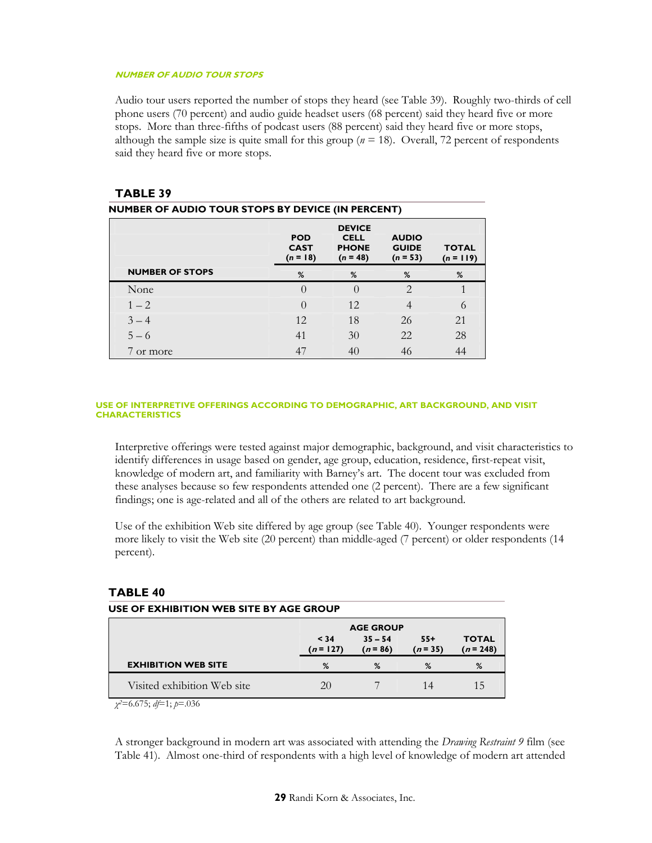#### **NUMBER OF AUDIO TOUR STOPS**

Audio tour users reported the number of stops they heard (see Table 39). Roughly two-thirds of cell phone users (70 percent) and audio guide headset users (68 percent) said they heard five or more stops. More than three-fifths of podcast users (88 percent) said they heard five or more stops, although the sample size is quite small for this group ( $n = 18$ ). Overall, 72 percent of respondents said they heard five or more stops.

## **TABLE 39**

| <b>NUMBER OF AUDIO TOUR STOPS BY DEVICE (IN PERCENT)</b> |                                         |                                                            |                                            |                             |  |  |
|----------------------------------------------------------|-----------------------------------------|------------------------------------------------------------|--------------------------------------------|-----------------------------|--|--|
|                                                          | <b>POD</b><br><b>CAST</b><br>$(n = 18)$ | <b>DEVICE</b><br><b>CELL</b><br><b>PHONE</b><br>$(n = 48)$ | <b>AUDIO</b><br><b>GUIDE</b><br>$(n = 53)$ | <b>TOTAL</b><br>$(n = 119)$ |  |  |
| <b>NUMBER OF STOPS</b>                                   | %                                       | %                                                          | %                                          | %                           |  |  |
| None                                                     | $\left($                                | $\theta$                                                   | $\mathcal{L}$                              |                             |  |  |
| $1 - 2$                                                  | $\Omega$                                | 12                                                         | 4                                          | 6                           |  |  |
| $3 - 4$                                                  | 12                                      | 18                                                         | 26                                         | 21                          |  |  |
| $5 - 6$                                                  | 41                                      | 30                                                         | 22                                         | 28                          |  |  |
| 7 or more                                                | 47                                      | 40                                                         | 46                                         | 44                          |  |  |

#### **USE OF INTERPRETIVE OFFERINGS ACCORDING TO DEMOGRAPHIC, ART BACKGROUND, AND VISIT CHARACTERISTICS**

Interpretive offerings were tested against major demographic, background, and visit characteristics to identify differences in usage based on gender, age group, education, residence, first-repeat visit, knowledge of modern art, and familiarity with Barney's art. The docent tour was excluded from these analyses because so few respondents attended one (2 percent). There are a few significant findings; one is age-related and all of the others are related to art background.

Use of the exhibition Web site differed by age group (see Table 40). Younger respondents were more likely to visit the Web site (20 percent) than middle-aged (7 percent) or older respondents (14 percent).

## **TABLE 40**

|                             |                     | <b>AGE GROUP</b>        |                   |                             |
|-----------------------------|---------------------|-------------------------|-------------------|-----------------------------|
|                             | < 34<br>$(n = 127)$ | $35 - 54$<br>$(n = 86)$ | $55+$<br>$(n=35)$ | <b>TOTAL</b><br>$(n = 248)$ |
| <b>EXHIBITION WEB SITE</b>  | %                   | %                       | %                 | %                           |
| Visited exhibition Web site | 20                  |                         | 14                | 15                          |

*χ2*=6.675; *df*=1; *p*=.036

**USE OF EXHIBITION WEB SITE BY AGE GROUP** 

A stronger background in modern art was associated with attending the *Drawing Restraint 9* film (see Table 41). Almost one-third of respondents with a high level of knowledge of modern art attended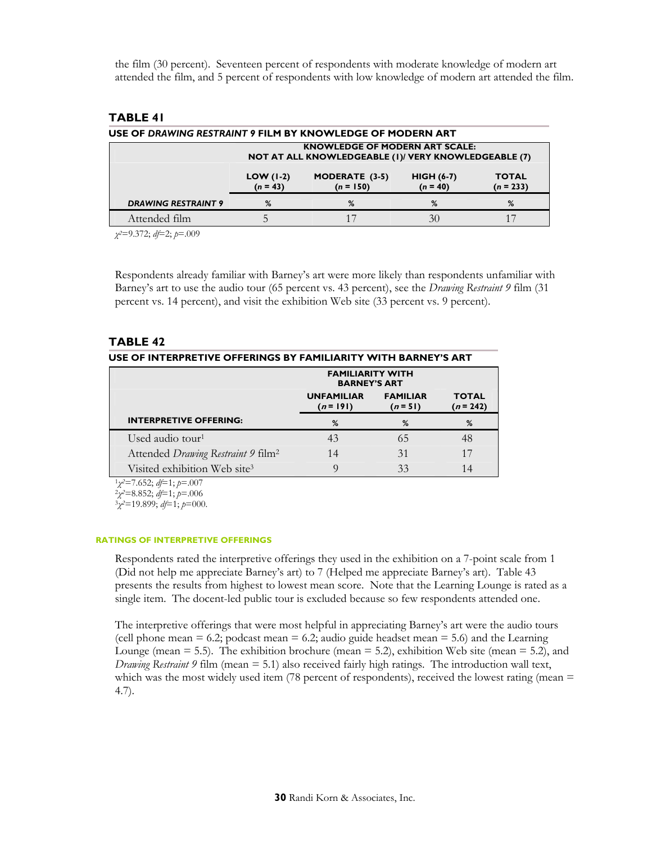the film (30 percent). Seventeen percent of respondents with moderate knowledge of modern art attended the film, and 5 percent of respondents with low knowledge of modern art attended the film.

## **TABLE 41**

| USE OF DRAWING RESTRAINT 9 FILM BY KNOWLEDGE OF MODERN ART                                    |                                                                                                                                |   |    |   |  |  |  |
|-----------------------------------------------------------------------------------------------|--------------------------------------------------------------------------------------------------------------------------------|---|----|---|--|--|--|
| <b>KNOWLEDGE OF MODERN ART SCALE:</b><br>NOT AT ALL KNOWLEDGEABLE (1)/ VERY KNOWLEDGEABLE (7) |                                                                                                                                |   |    |   |  |  |  |
|                                                                                               | <b>MODERATE (3-5)</b><br>$LOW (1-2)$<br>$HIGH (6-7)$<br><b>TOTAL</b><br>$(n = 150)$<br>$(n = 233)$<br>$(n = 40)$<br>$(n = 43)$ |   |    |   |  |  |  |
| <b>DRAWING RESTRAINT 9</b>                                                                    | %                                                                                                                              | % | %  | % |  |  |  |
| Attended film                                                                                 |                                                                                                                                |   | 30 |   |  |  |  |

*χ2*=9.372; *df*=2; *p*=.009

Respondents already familiar with Barney's art were more likely than respondents unfamiliar with Barney's art to use the audio tour (65 percent vs. 43 percent), see the *Drawing Restraint 9* film (31 percent vs. 14 percent), and visit the exhibition Web site (33 percent vs. 9 percent).

## **TABLE 42**

| USE OF INTERPRETIVE OFFERINGS BY FAMILIARITY WITH BARNEY'S ART                                                                                  |                                                |                               |                             |  |  |
|-------------------------------------------------------------------------------------------------------------------------------------------------|------------------------------------------------|-------------------------------|-----------------------------|--|--|
|                                                                                                                                                 | <b>FAMILIARITY WITH</b><br><b>BARNEY'S ART</b> |                               |                             |  |  |
|                                                                                                                                                 | <b>UNFAMILIAR</b><br>$(n = 191)$               | <b>FAMILIAR</b><br>$(n = 51)$ | <b>TOTAL</b><br>$(n = 242)$ |  |  |
| <b>INTERPRETIVE OFFERING:</b>                                                                                                                   | %                                              | %                             | %                           |  |  |
| Used audio tour <sup>1</sup>                                                                                                                    | 43                                             | 65                            | 48                          |  |  |
| Attended Drawing Restraint 9 film <sup>2</sup>                                                                                                  | 14                                             | 31                            | 17                          |  |  |
| Visited exhibition Web site <sup>3</sup>                                                                                                        | 9                                              | 33                            | 14                          |  |  |
| $1\gamma^2 = 7.652$ ; $df=1$ ; $p=.007$<br>$2\chi^2 = 8.852$ ; $d\mathfrak{f} = 1$ ; $p = .006$<br>$3\gamma^2 = 19.899$ ; $d = 1$ ; $p = 000$ . |                                                |                               |                             |  |  |

#### **RATINGS OF INTERPRETIVE OFFERINGS**

Respondents rated the interpretive offerings they used in the exhibition on a 7-point scale from 1 (Did not help me appreciate Barney's art) to 7 (Helped me appreciate Barney's art). Table 43 presents the results from highest to lowest mean score. Note that the Learning Lounge is rated as a single item. The docent-led public tour is excluded because so few respondents attended one.

The interpretive offerings that were most helpful in appreciating Barney's art were the audio tours (cell phone mean  $= 6.2$ ; podcast mean  $= 6.2$ ; audio guide headset mean  $= 5.6$ ) and the Learning Lounge (mean  $= 5.5$ ). The exhibition brochure (mean  $= 5.2$ ), exhibition Web site (mean  $= 5.2$ ), and *Drawing Restraint 9* film (mean = 5.1) also received fairly high ratings. The introduction wall text, which was the most widely used item  $(78 \text{ percent of respondents})$ , received the lowest rating (mean  $=$ 4.7).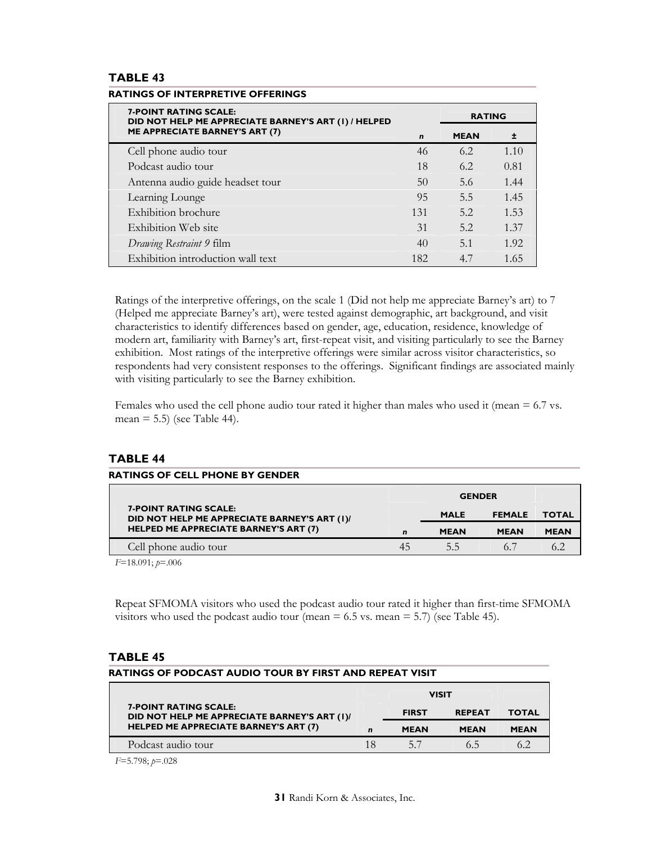## **TABLE 43**

| <b>7-POINT RATING SCALE:</b><br>DID NOT HELP ME APPRECIATE BARNEY'S ART (1) / HELPED |             | <b>RATING</b> |       |  |
|--------------------------------------------------------------------------------------|-------------|---------------|-------|--|
| <b>ME APPRECIATE BARNEY'S ART (7)</b>                                                | $\mathbf n$ | <b>MEAN</b>   | $\pm$ |  |
| Cell phone audio tour                                                                | 46          | 6.2           | 1.10  |  |
| Podcast audio tour                                                                   | 18          | 6.2           | 0.81  |  |
| Antenna audio guide headset tour                                                     | 50          | 5.6           | 1.44  |  |
| Learning Lounge                                                                      | 95          | 5.5           | 1.45  |  |
| <b>Exhibition</b> brochure                                                           | 131         | 5.2           | 1.53  |  |
| Exhibition Web site                                                                  | 31          | 5.2           | 1.37  |  |
| Drawing Restraint 9 film                                                             | 40          | 5.1           | 1.92  |  |
| Exhibition introduction wall text                                                    | 182         | 4.7           | 1.65  |  |

#### **RATINGS OF INTERPRETIVE OFFERINGS**

Ratings of the interpretive offerings, on the scale 1 (Did not help me appreciate Barney's art) to 7 (Helped me appreciate Barney's art), were tested against demographic, art background, and visit characteristics to identify differences based on gender, age, education, residence, knowledge of modern art, familiarity with Barney's art, first-repeat visit, and visiting particularly to see the Barney exhibition. Most ratings of the interpretive offerings were similar across visitor characteristics, so respondents had very consistent responses to the offerings. Significant findings are associated mainly with visiting particularly to see the Barney exhibition.

Females who used the cell phone audio tour rated it higher than males who used it (mean  $= 6.7$  vs. mean  $= 5.5$ ) (see Table 44).

## **TABLE 44**

#### **RATINGS OF CELL PHONE BY GENDER**

|                                                                              |    | <b>GENDER</b> |               |              |
|------------------------------------------------------------------------------|----|---------------|---------------|--------------|
| <b>7-POINT RATING SCALE:</b><br>DID NOT HELP ME APPRECIATE BARNEY'S ART (1)/ |    | <b>MALE</b>   | <b>FEMALE</b> | <b>TOTAL</b> |
| <b>HELPED ME APPRECIATE BARNEY'S ART (7)</b>                                 |    | <b>MEAN</b>   | <b>MEAN</b>   | <b>MEAN</b>  |
| Cell phone audio tour                                                        | 45 | 5.5           |               |              |

*F*=18.091; *p*=.006

Repeat SFMOMA visitors who used the podcast audio tour rated it higher than first-time SFMOMA visitors who used the podcast audio tour (mean  $= 6.5$  vs. mean  $= 5.7$ ) (see Table 45).

#### **TABLE 45**

| RATINGS OF PODCAST AUDIO TOUR BY FIRST AND REPEAT VISIT                                                                      |    |              |               |              |  |
|------------------------------------------------------------------------------------------------------------------------------|----|--------------|---------------|--------------|--|
| <b>VISIT</b>                                                                                                                 |    |              |               |              |  |
| <b>7-POINT RATING SCALE:</b><br>DID NOT HELP ME APPRECIATE BARNEY'S ART (1)/<br><b>HELPED ME APPRECIATE BARNEY'S ART (7)</b> |    | <b>FIRST</b> | <b>REPEAT</b> | <b>TOTAL</b> |  |
|                                                                                                                              |    | <b>MEAN</b>  | <b>MEAN</b>   | <b>MEAN</b>  |  |
| Podcast audio tour                                                                                                           | 18 | 57           | 65            | 62           |  |

*F*=5.798; *p*=.028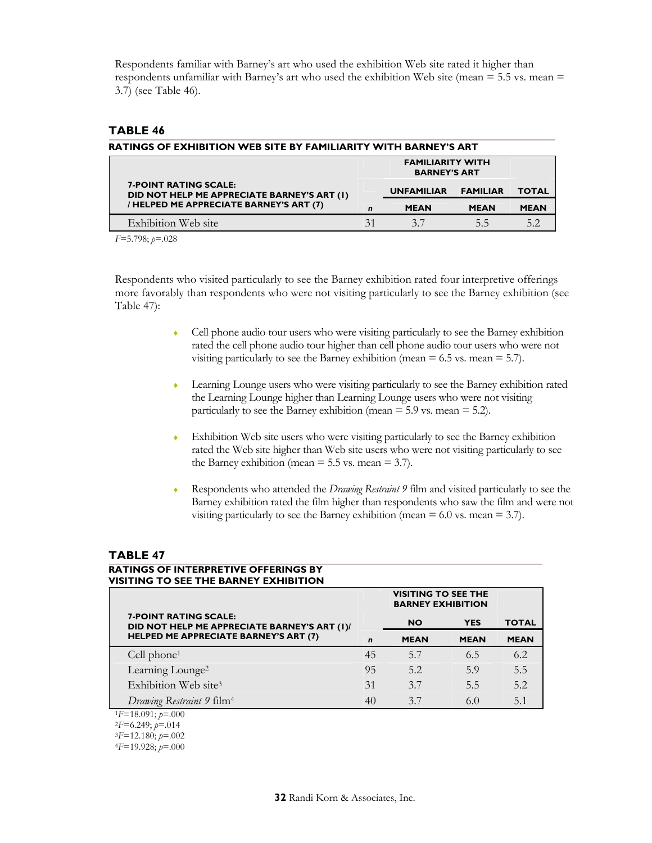Respondents familiar with Barney's art who used the exhibition Web site rated it higher than respondents unfamiliar with Barney's art who used the exhibition Web site (mean = 5.5 vs. mean = 3.7) (see Table 46).

## **TABLE 46**

| RATINGS OF EXHIBITION WEB SITE BY FAMILIARITY WITH BARNEY'S ART             |             |                                                |                 |              |  |
|-----------------------------------------------------------------------------|-------------|------------------------------------------------|-----------------|--------------|--|
|                                                                             |             | <b>FAMILIARITY WITH</b><br><b>BARNEY'S ART</b> |                 |              |  |
| <b>7-POINT RATING SCALE:</b><br>DID NOT HELP ME APPRECIATE BARNEY'S ART (1) |             | <b>UNFAMILIAR</b>                              | <b>FAMILIAR</b> | <b>TOTAL</b> |  |
| / HELPED ME APPRECIATE BARNEY'S ART (7)                                     | $\mathbf n$ | <b>MEAN</b>                                    | <b>MEAN</b>     | <b>MEAN</b>  |  |
| Exhibition Web site                                                         | 31          | 37                                             | 5.5             | 5.2          |  |

*F*=5.798; *p*=.028

Respondents who visited particularly to see the Barney exhibition rated four interpretive offerings more favorably than respondents who were not visiting particularly to see the Barney exhibition (see Table 47):

- ♦ Cell phone audio tour users who were visiting particularly to see the Barney exhibition rated the cell phone audio tour higher than cell phone audio tour users who were not visiting particularly to see the Barney exhibition (mean  $= 6.5$  vs. mean  $= 5.7$ ).
- Learning Lounge users who were visiting particularly to see the Barney exhibition rated the Learning Lounge higher than Learning Lounge users who were not visiting particularly to see the Barney exhibition (mean  $=$  5.9 vs. mean  $=$  5.2).
- ♦ Exhibition Web site users who were visiting particularly to see the Barney exhibition rated the Web site higher than Web site users who were not visiting particularly to see the Barney exhibition (mean  $= 5.5$  vs. mean  $= 3.7$ ).
- ♦ Respondents who attended the *Drawing Restraint 9* film and visited particularly to see the Barney exhibition rated the film higher than respondents who saw the film and were not visiting particularly to see the Barney exhibition (mean  $= 6.0$  vs. mean  $= 3.7$ ).

## **TABLE 47**

## **RATINGS OF INTERPRETIVE OFFERINGS BY VISITING TO SEE THE BARNEY EXHIBITION**

|                                                                              | <b>VISITING TO SEE THE</b><br><b>BARNEY EXHIBITION</b> |             |             |              |
|------------------------------------------------------------------------------|--------------------------------------------------------|-------------|-------------|--------------|
| <b>7-POINT RATING SCALE:</b><br>DID NOT HELP ME APPRECIATE BARNEY'S ART (1)/ |                                                        | <b>NO</b>   | <b>YES</b>  | <b>TOTAL</b> |
| <b>HELPED ME APPRECIATE BARNEY'S ART (7)</b>                                 | $\mathbf{r}$                                           | <b>MEAN</b> | <b>MEAN</b> | <b>MEAN</b>  |
| Cell $phone1$                                                                | 45                                                     | 5.7         | 6.5         | 6.2          |
| Learning Lounge <sup>2</sup>                                                 | 95                                                     | 5.2         | 5.9         | 5.5          |
| Exhibition Web site <sup>3</sup>                                             | 31                                                     | 3.7         | 5.5         | 5.2          |
| Drawing Restraint 9 film <sup>4</sup>                                        | 40                                                     | 3.7         | 6.0         | 5.1          |
| $E=18.091; p=.000$                                                           |                                                        |             |             |              |
| $2F=6.249$ ; $p=.014$                                                        |                                                        |             |             |              |
| $3F=12.180; p=.002$                                                          |                                                        |             |             |              |
| $4F=19.928$ ; $p=.000$                                                       |                                                        |             |             |              |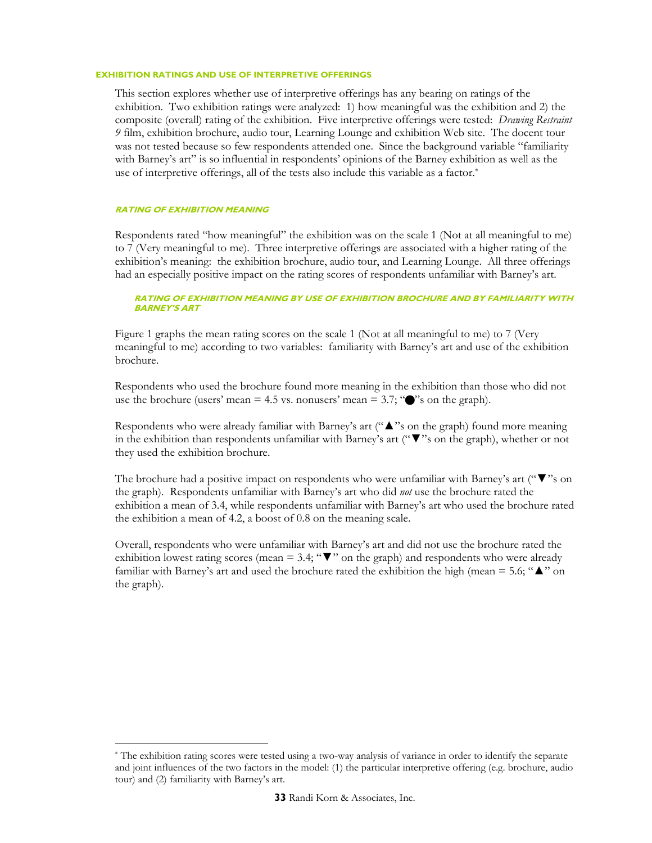#### **EXHIBITION RATINGS AND USE OF INTERPRETIVE OFFERINGS**

This section explores whether use of interpretive offerings has any bearing on ratings of the exhibition. Two exhibition ratings were analyzed: 1) how meaningful was the exhibition and 2) the composite (overall) rating of the exhibition. Five interpretive offerings were tested: *Drawing Restraint 9* film, exhibition brochure, audio tour, Learning Lounge and exhibition Web site. The docent tour was not tested because so few respondents attended one. Since the background variable "familiarity with Barney's art" is so influential in respondents' opinions of the Barney exhibition as well as the use of interpretive offerings, all of the tests also include this variable as a factor.<sup>\*</sup>

#### **RATING OF EXHIBITION MEANING**

 $\ddot{\phantom{a}}$ 

Respondents rated "how meaningful" the exhibition was on the scale 1 (Not at all meaningful to me) to 7 (Very meaningful to me). Three interpretive offerings are associated with a higher rating of the exhibition's meaning: the exhibition brochure, audio tour, and Learning Lounge. All three offerings had an especially positive impact on the rating scores of respondents unfamiliar with Barney's art.

#### **RATING OF EXHIBITION MEANING BY USE OF EXHIBITION BROCHURE AND BY FAMILIARITY WITH BARNEY'S ART**

Figure 1 graphs the mean rating scores on the scale 1 (Not at all meaningful to me) to 7 (Very meaningful to me) according to two variables: familiarity with Barney's art and use of the exhibition brochure.

Respondents who used the brochure found more meaning in the exhibition than those who did not use the brochure (users' mean  $= 4.5$  vs. nonusers' mean  $= 3.7$ ; " $\bullet$ "'s on the graph).

Respondents who were already familiar with Barney's art ("▲"s on the graph) found more meaning in the exhibition than respondents unfamiliar with Barney's art ("▼"s on the graph), whether or not they used the exhibition brochure.

The brochure had a positive impact on respondents who were unfamiliar with Barney's art ("▼"s on the graph). Respondents unfamiliar with Barney's art who did *not* use the brochure rated the exhibition a mean of 3.4, while respondents unfamiliar with Barney's art who used the brochure rated the exhibition a mean of 4.2, a boost of 0.8 on the meaning scale.

Overall, respondents who were unfamiliar with Barney's art and did not use the brochure rated the exhibition lowest rating scores (mean = 3.4; " $\blacktriangledown$ " on the graph) and respondents who were already familiar with Barney's art and used the brochure rated the exhibition the high (mean = 5.6; " $\blacktriangle$ " on the graph).

<sup>\*</sup> The exhibition rating scores were tested using a two-way analysis of variance in order to identify the separate and joint influences of the two factors in the model: (1) the particular interpretive offering (e.g. brochure, audio tour) and (2) familiarity with Barney's art.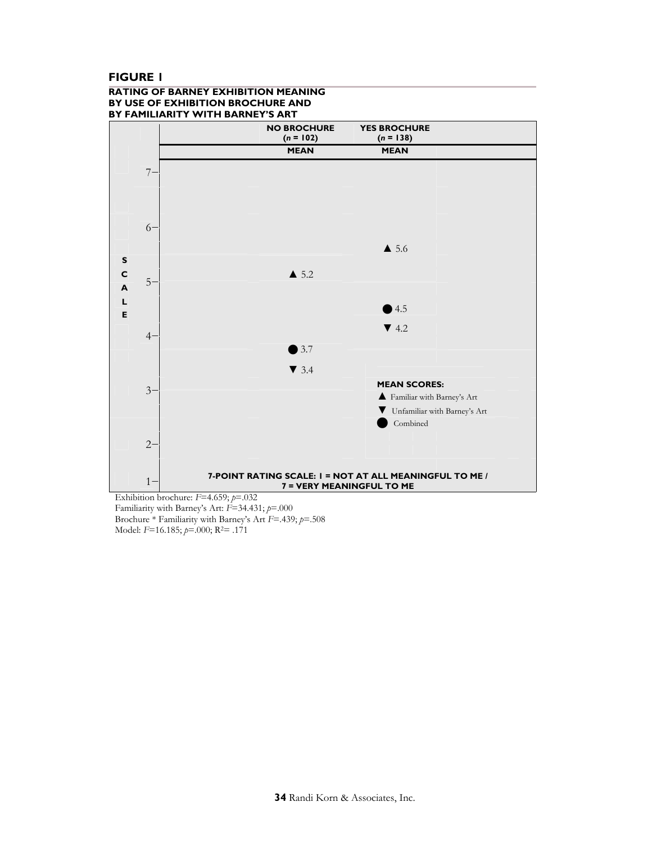## **FIGURE 1**

#### **RATING OF BARNEY EXHIBITION MEANING BY USE OF EXHIBITION BROCHURE AND BY FAMILIARITY WITH BARNEY'S ART**



Familiarity with Barney's Art: *F*=34.431; *p*=.000 Brochure \* Familiarity with Barney's Art *F*=.439; *p*=.508 Model: *F*=16.185; *p*=.000; R2= .171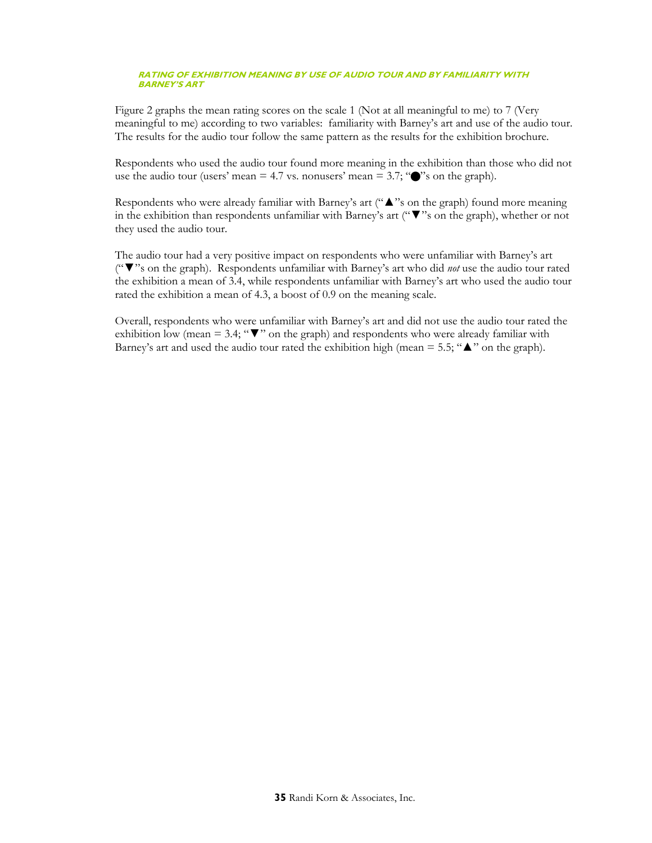#### **RATING OF EXHIBITION MEANING BY USE OF AUDIO TOUR AND BY FAMILIARITY WITH BARNEY'S ART**

Figure 2 graphs the mean rating scores on the scale 1 (Not at all meaningful to me) to 7 (Very meaningful to me) according to two variables: familiarity with Barney's art and use of the audio tour. The results for the audio tour follow the same pattern as the results for the exhibition brochure.

Respondents who used the audio tour found more meaning in the exhibition than those who did not use the audio tour (users' mean  $= 4.7$  vs. nonusers' mean  $= 3.7$ ; " $\bullet$ "'s on the graph).

Respondents who were already familiar with Barney's art ("▲"s on the graph) found more meaning in the exhibition than respondents unfamiliar with Barney's art ("▼"s on the graph), whether or not they used the audio tour.

The audio tour had a very positive impact on respondents who were unfamiliar with Barney's art ("▼"s on the graph). Respondents unfamiliar with Barney's art who did *not* use the audio tour rated the exhibition a mean of 3.4, while respondents unfamiliar with Barney's art who used the audio tour rated the exhibition a mean of 4.3, a boost of 0.9 on the meaning scale.

Overall, respondents who were unfamiliar with Barney's art and did not use the audio tour rated the exhibition low (mean = 3.4; " $\nabla$ " on the graph) and respondents who were already familiar with Barney's art and used the audio tour rated the exhibition high (mean  $= 5.5$ ; " $\triangle$ " on the graph).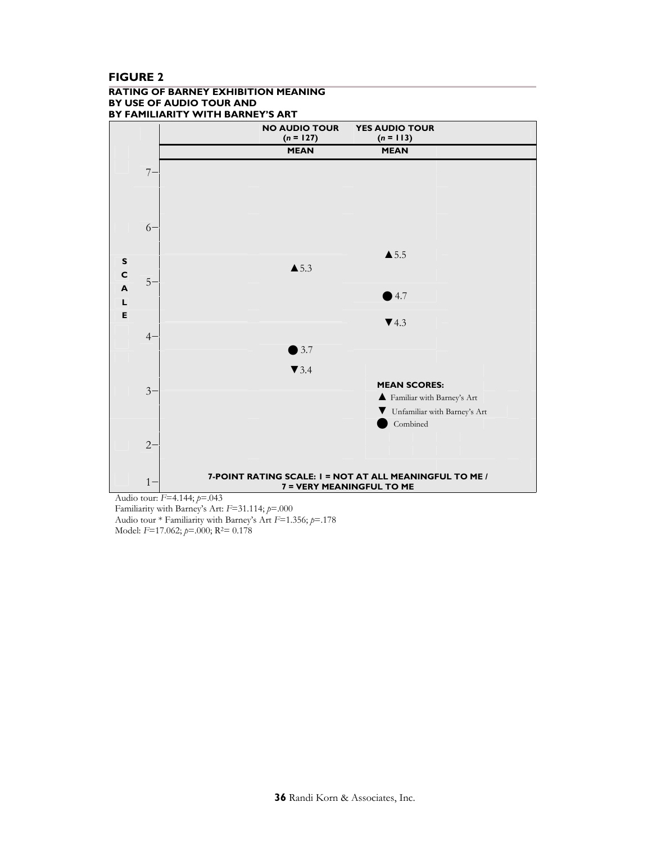## **FIGURE 2**

#### **RATING OF BARNEY EXHIBITION MEANING BY USE OF AUDIO TOUR AND BY FAMILIARITY WITH BARNEY'S ART**



Audio tour: *F*=4.144; *p*=.043 Familiarity with Barney's Art: *F*=31.114; *p*=.000 Audio tour \* Familiarity with Barney's Art *F*=1.356; *p*=.178 Model: *F*=17.062; *p*=.000; R2= 0.178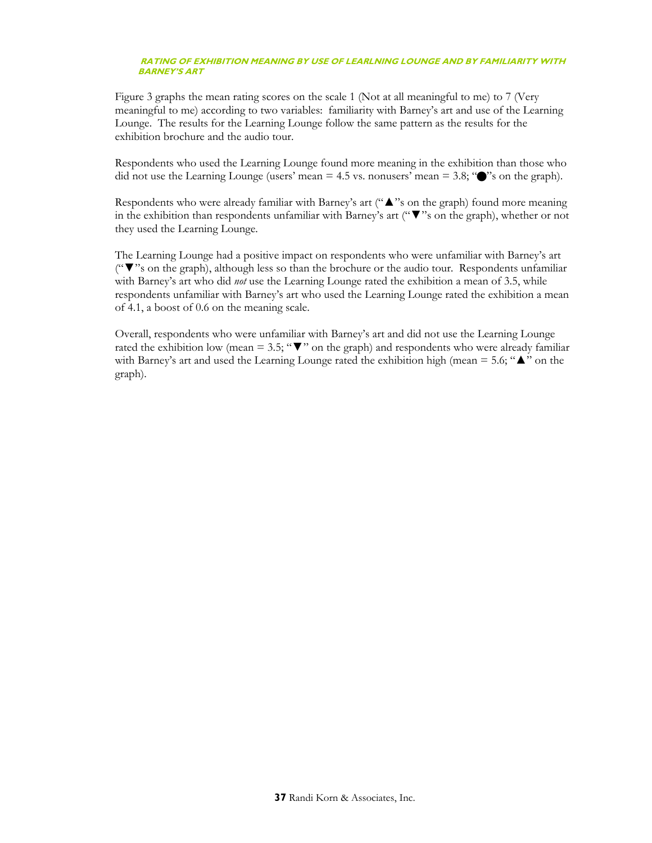#### **RATING OF EXHIBITION MEANING BY USE OF LEARLNING LOUNGE AND BY FAMILIARITY WITH BARNEY'S ART**

Figure 3 graphs the mean rating scores on the scale 1 (Not at all meaningful to me) to 7 (Very meaningful to me) according to two variables: familiarity with Barney's art and use of the Learning Lounge. The results for the Learning Lounge follow the same pattern as the results for the exhibition brochure and the audio tour.

Respondents who used the Learning Lounge found more meaning in the exhibition than those who did not use the Learning Lounge (users' mean  $= 4.5$  vs. nonusers' mean  $= 3.8$ ; " $\bullet$ "'s on the graph).

Respondents who were already familiar with Barney's art ("▲"s on the graph) found more meaning in the exhibition than respondents unfamiliar with Barney's art ("▼"s on the graph), whether or not they used the Learning Lounge.

The Learning Lounge had a positive impact on respondents who were unfamiliar with Barney's art ("▼"s on the graph), although less so than the brochure or the audio tour. Respondents unfamiliar with Barney's art who did *not* use the Learning Lounge rated the exhibition a mean of 3.5, while respondents unfamiliar with Barney's art who used the Learning Lounge rated the exhibition a mean of 4.1, a boost of 0.6 on the meaning scale.

Overall, respondents who were unfamiliar with Barney's art and did not use the Learning Lounge rated the exhibition low (mean = 3.5; " $\nabla$ " on the graph) and respondents who were already familiar with Barney's art and used the Learning Lounge rated the exhibition high (mean = 5.6;  $\Delta$ " on the graph).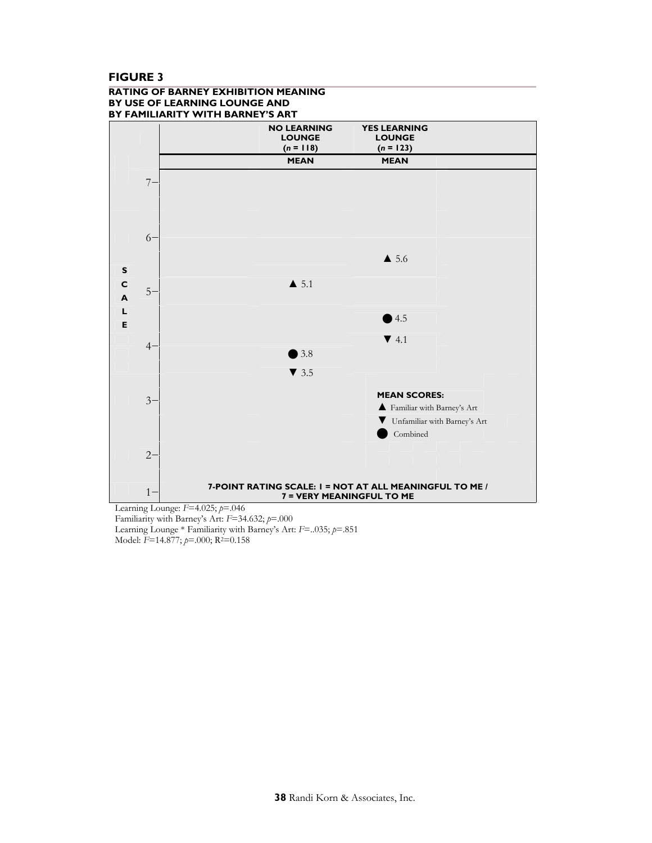## **FIGURE 3**

#### **RATING OF BARNEY EXHIBITION MEANING BY USE OF LEARNING LOUNGE AND BY FAMILIARITY WITH BARNEY'S ART**



Familiarity with Barney's Art: *F*=34.632; *p*=.000 Learning Lounge \* Familiarity with Barney's Art: *F*=..035; *p*=.851 Model: *F*=14.877; *p*=.000; R2=0.158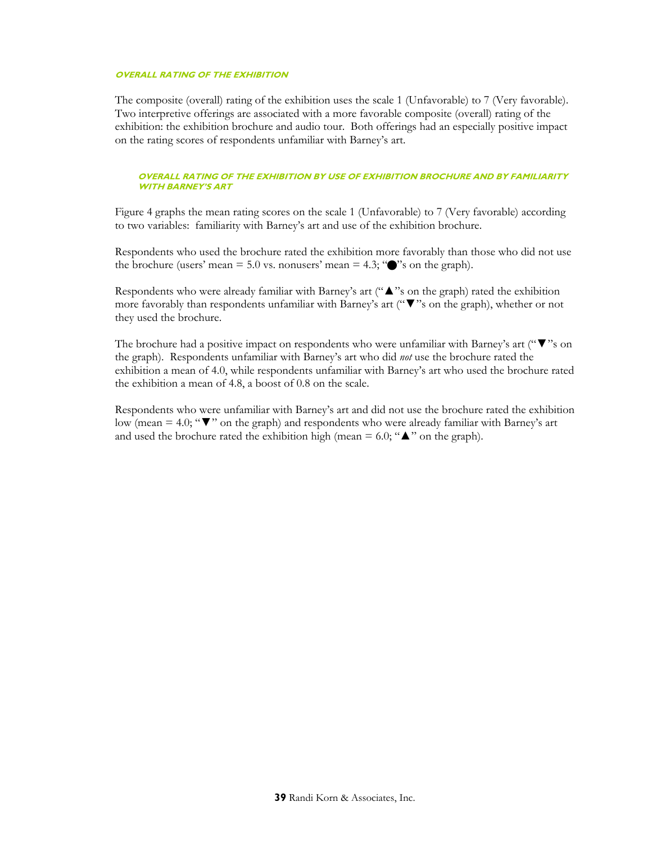#### **OVERALL RATING OF THE EXHIBITION**

The composite (overall) rating of the exhibition uses the scale 1 (Unfavorable) to 7 (Very favorable). Two interpretive offerings are associated with a more favorable composite (overall) rating of the exhibition: the exhibition brochure and audio tour. Both offerings had an especially positive impact on the rating scores of respondents unfamiliar with Barney's art.

#### **OVERALL RATING OF THE EXHIBITION BY USE OF EXHIBITION BROCHURE AND BY FAMILIARITY WITH BARNEY'S ART**

Figure 4 graphs the mean rating scores on the scale 1 (Unfavorable) to 7 (Very favorable) according to two variables: familiarity with Barney's art and use of the exhibition brochure.

Respondents who used the brochure rated the exhibition more favorably than those who did not use the brochure (users' mean  $= 5.0$  vs. nonusers' mean  $= 4.3$ ; " $\bullet$ " son the graph).

Respondents who were already familiar with Barney's art ( $"$   $\blacktriangle$ "s on the graph) rated the exhibition more favorably than respondents unfamiliar with Barney's art ("▼"s on the graph), whether or not they used the brochure.

The brochure had a positive impact on respondents who were unfamiliar with Barney's art (" $\blacktriangledown$ "s on the graph). Respondents unfamiliar with Barney's art who did *not* use the brochure rated the exhibition a mean of 4.0, while respondents unfamiliar with Barney's art who used the brochure rated the exhibition a mean of 4.8, a boost of 0.8 on the scale.

Respondents who were unfamiliar with Barney's art and did not use the brochure rated the exhibition low (mean = 4.0; "▼" on the graph) and respondents who were already familiar with Barney's art and used the brochure rated the exhibition high (mean =  $6.0$ ; " $\triangle$ " on the graph).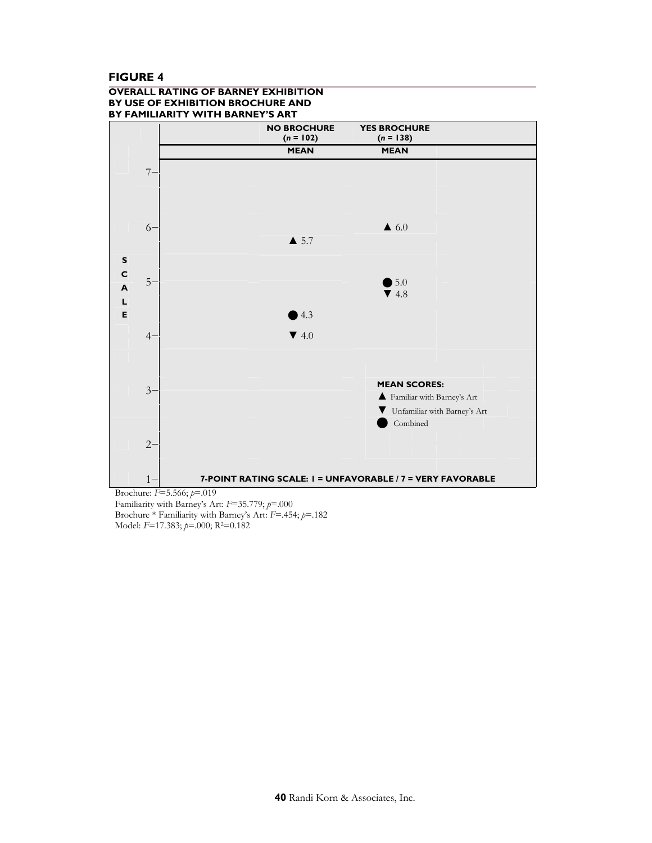## **FIGURE 4**

#### **OVERALL RATING OF BARNEY EXHIBITION BY USE OF EXHIBITION BROCHURE AND BY FAMILIARITY WITH BARNEY'S ART**



Familiarity with Barney's Art: *F*=35.779; *p*=.000 Brochure \* Familiarity with Barney's Art: *F*=.454; *p*=.182 Model: *F*=17.383; *p*=.000; R2=0.182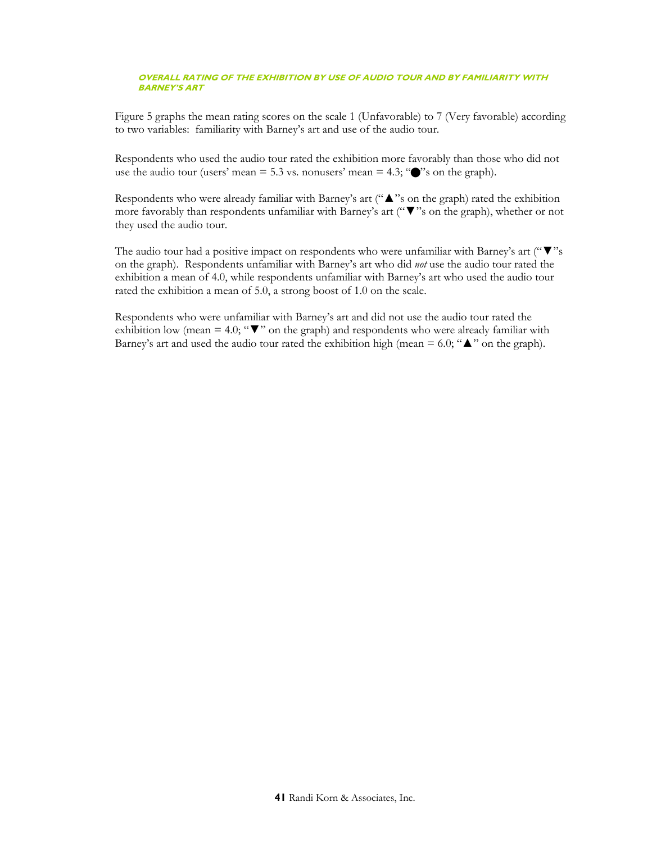#### **OVERALL RATING OF THE EXHIBITION BY USE OF AUDIO TOUR AND BY FAMILIARITY WITH BARNEY'S ART**

Figure 5 graphs the mean rating scores on the scale 1 (Unfavorable) to 7 (Very favorable) according to two variables: familiarity with Barney's art and use of the audio tour.

Respondents who used the audio tour rated the exhibition more favorably than those who did not use the audio tour (users' mean  $= 5.3$  vs. nonusers' mean  $= 4.3$ ; " $\bullet$ "'s on the graph).

Respondents who were already familiar with Barney's art ("▲"s on the graph) rated the exhibition more favorably than respondents unfamiliar with Barney's art ("▼"s on the graph), whether or not they used the audio tour.

The audio tour had a positive impact on respondents who were unfamiliar with Barney's art ("▼"s on the graph). Respondents unfamiliar with Barney's art who did *not* use the audio tour rated the exhibition a mean of 4.0, while respondents unfamiliar with Barney's art who used the audio tour rated the exhibition a mean of 5.0, a strong boost of 1.0 on the scale.

Respondents who were unfamiliar with Barney's art and did not use the audio tour rated the exhibition low (mean = 4.0; " $\nabla$ " on the graph) and respondents who were already familiar with Barney's art and used the audio tour rated the exhibition high (mean =  $6.0$ ; " $\blacktriangle$ " on the graph).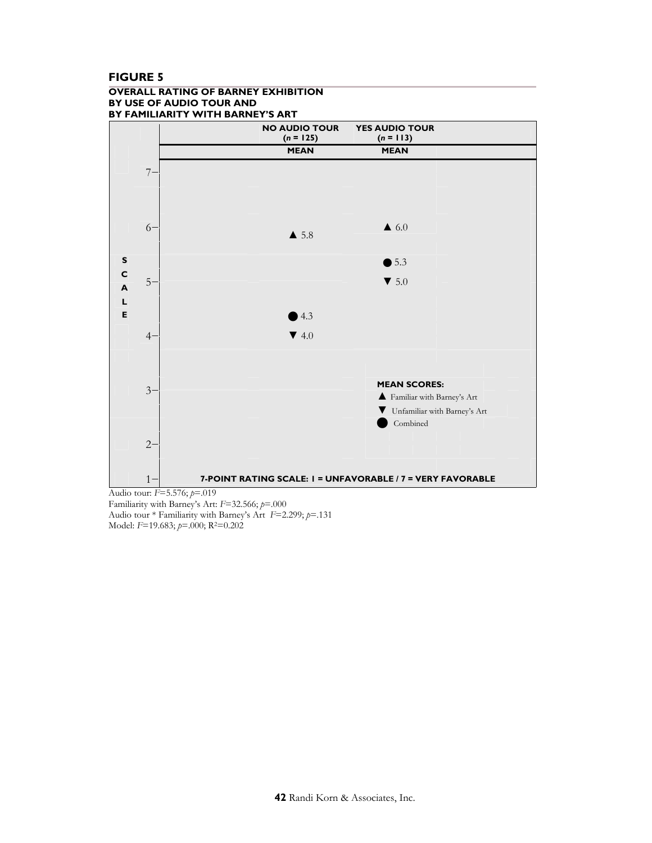## **FIGURE 5**

#### **OVERALL RATING OF BARNEY EXHIBITION BY USE OF AUDIO TOUR AND BY FAMILIARITY WITH BARNEY'S ART**



Familiarity with Barney's Art: *F*=32.566; *p*=.000 Audio tour \* Familiarity with Barney's Art *F*=2.299; *p*=.131 Model: *F*=19.683; *p*=.000; R2=0.202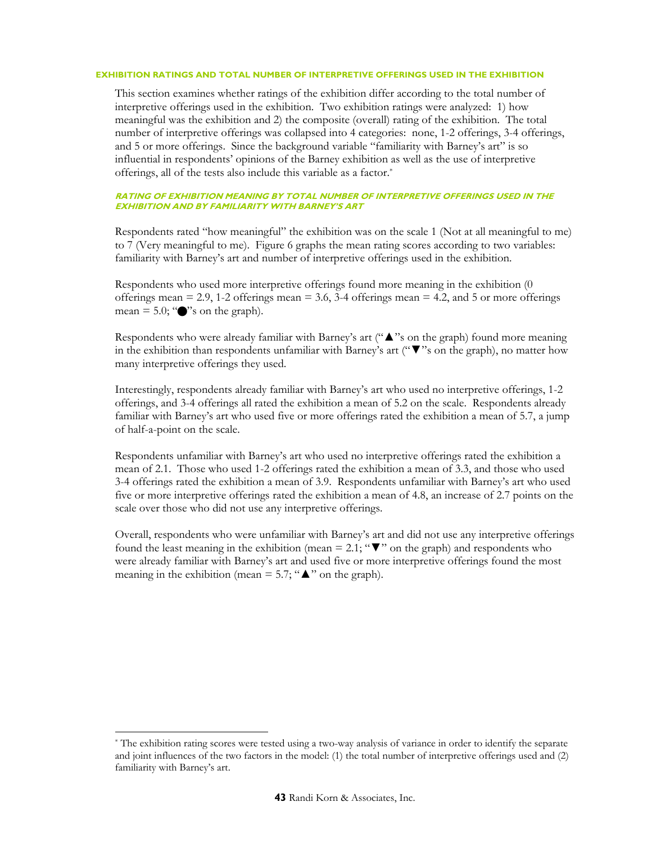#### **EXHIBITION RATINGS AND TOTAL NUMBER OF INTERPRETIVE OFFERINGS USED IN THE EXHIBITION**

This section examines whether ratings of the exhibition differ according to the total number of interpretive offerings used in the exhibition. Two exhibition ratings were analyzed: 1) how meaningful was the exhibition and 2) the composite (overall) rating of the exhibition. The total number of interpretive offerings was collapsed into 4 categories: none, 1-2 offerings, 3-4 offerings, and 5 or more offerings. Since the background variable "familiarity with Barney's art" is so influential in respondents' opinions of the Barney exhibition as well as the use of interpretive offerings, all of the tests also include this variable as a factor.\*

#### **RATING OF EXHIBITION MEANING BY TOTAL NUMBER OF INTERPRETIVE OFFERINGS USED IN THE EXHIBITION AND BY FAMILIARITY WITH BARNEY'S ART**

Respondents rated "how meaningful" the exhibition was on the scale 1 (Not at all meaningful to me) to 7 (Very meaningful to me). Figure 6 graphs the mean rating scores according to two variables: familiarity with Barney's art and number of interpretive offerings used in the exhibition.

Respondents who used more interpretive offerings found more meaning in the exhibition (0 offerings mean  $= 2.9$ , 1-2 offerings mean  $= 3.6$ , 3-4 offerings mean  $= 4.2$ , and 5 or more offerings mean  $= 5.0$ ; " $\bullet$ " s on the graph).

Respondents who were already familiar with Barney's art ("▲"s on the graph) found more meaning in the exhibition than respondents unfamiliar with Barney's art (" $\nabla$ " s on the graph), no matter how many interpretive offerings they used.

Interestingly, respondents already familiar with Barney's art who used no interpretive offerings, 1-2 offerings, and 3-4 offerings all rated the exhibition a mean of 5.2 on the scale. Respondents already familiar with Barney's art who used five or more offerings rated the exhibition a mean of 5.7, a jump of half-a-point on the scale.

Respondents unfamiliar with Barney's art who used no interpretive offerings rated the exhibition a mean of 2.1. Those who used 1-2 offerings rated the exhibition a mean of 3.3, and those who used 3-4 offerings rated the exhibition a mean of 3.9. Respondents unfamiliar with Barney's art who used five or more interpretive offerings rated the exhibition a mean of 4.8, an increase of 2.7 points on the scale over those who did not use any interpretive offerings.

Overall, respondents who were unfamiliar with Barney's art and did not use any interpretive offerings found the least meaning in the exhibition (mean = 2.1;  $\mathbf{w}$  on the graph) and respondents who were already familiar with Barney's art and used five or more interpretive offerings found the most meaning in the exhibition (mean = 5.7; " $\triangle$ " on the graph).

 $\overline{a}$ 

<sup>\*</sup> The exhibition rating scores were tested using a two-way analysis of variance in order to identify the separate and joint influences of the two factors in the model: (1) the total number of interpretive offerings used and (2) familiarity with Barney's art.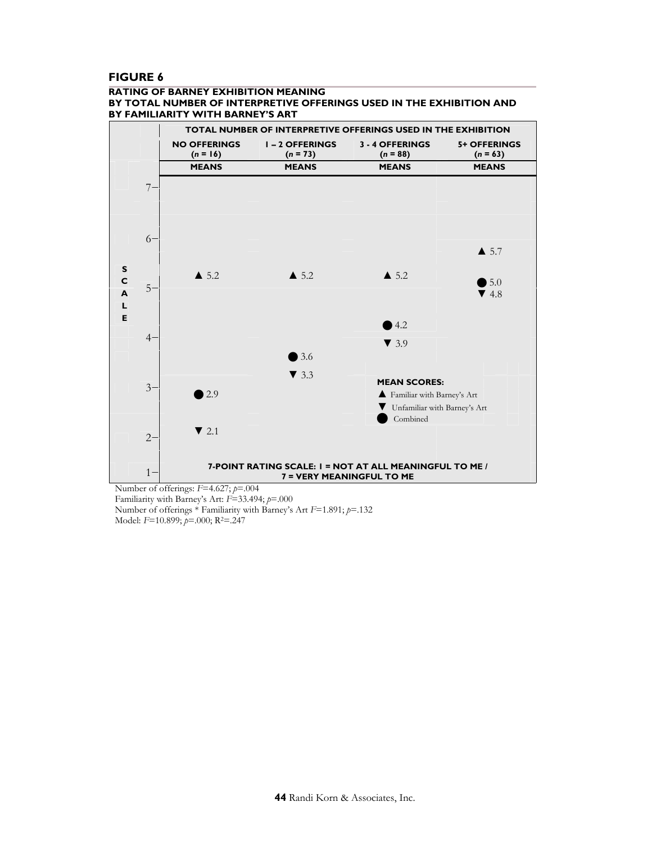## **FIGURE 6**

#### **RATING OF BARNEY EXHIBITION MEANING BY TOTAL NUMBER OF INTERPRETIVE OFFERINGS USED IN THE EXHIBITION AND BY FAMILIARITY WITH BARNEY'S ART**



Number of offerings: *F*=4.627; *p*=.004 Familiarity with Barney's Art: *F*=33.494; *p*=.000 Number of offerings \* Familiarity with Barney's Art *F*=1.891; *p*=.132 Model: *F*=10.899; *p*=.000; R2=.247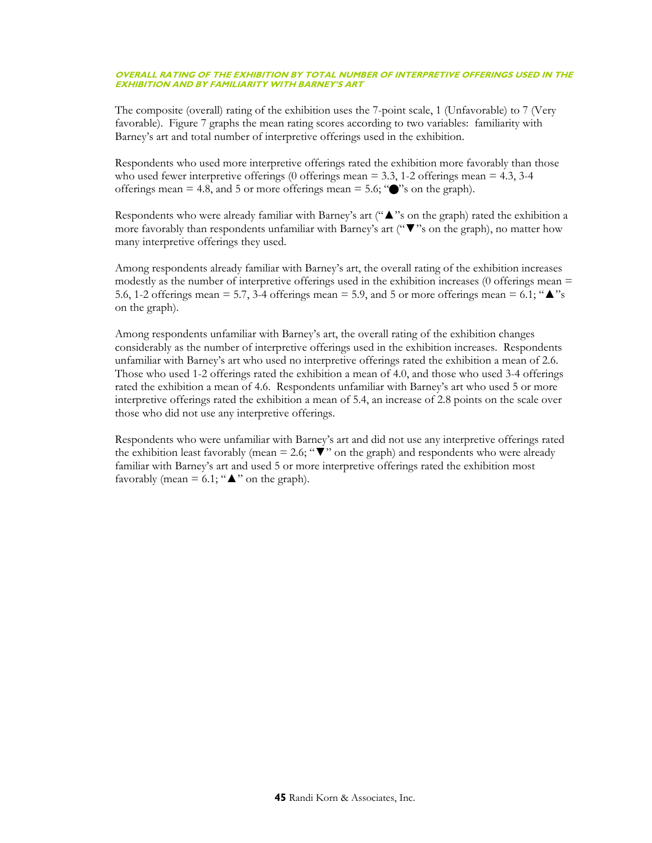#### **OVERALL RATING OF THE EXHIBITION BY TOTAL NUMBER OF INTERPRETIVE OFFERINGS USED IN THE EXHIBITION AND BY FAMILIARITY WITH BARNEY'S ART**

The composite (overall) rating of the exhibition uses the 7-point scale, 1 (Unfavorable) to 7 (Very favorable). Figure 7 graphs the mean rating scores according to two variables: familiarity with Barney's art and total number of interpretive offerings used in the exhibition.

Respondents who used more interpretive offerings rated the exhibition more favorably than those who used fewer interpretive offerings (0 offerings mean  $= 3.3$ , 1-2 offerings mean  $= 4.3$ , 3-4 offerings mean  $= 4.8$ , and 5 or more offerings mean  $= 5.6$ ; " $\bullet$ " s on the graph).

Respondents who were already familiar with Barney's art ("▲"s on the graph) rated the exhibition a more favorably than respondents unfamiliar with Barney's art ("▼"s on the graph), no matter how many interpretive offerings they used.

Among respondents already familiar with Barney's art, the overall rating of the exhibition increases modestly as the number of interpretive offerings used in the exhibition increases (0 offerings mean  $=$ 5.6, 1-2 offerings mean = 5.7, 3-4 offerings mean = 5.9, and 5 or more offerings mean = 6.1; " $\triangleq$ "s on the graph).

Among respondents unfamiliar with Barney's art, the overall rating of the exhibition changes considerably as the number of interpretive offerings used in the exhibition increases. Respondents unfamiliar with Barney's art who used no interpretive offerings rated the exhibition a mean of 2.6. Those who used 1-2 offerings rated the exhibition a mean of 4.0, and those who used 3-4 offerings rated the exhibition a mean of 4.6. Respondents unfamiliar with Barney's art who used 5 or more interpretive offerings rated the exhibition a mean of 5.4, an increase of 2.8 points on the scale over those who did not use any interpretive offerings.

Respondents who were unfamiliar with Barney's art and did not use any interpretive offerings rated the exhibition least favorably (mean = 2.6; " $\nabla$ " on the graph) and respondents who were already familiar with Barney's art and used 5 or more interpretive offerings rated the exhibition most favorably (mean = 6.1; " $\triangle$ " on the graph).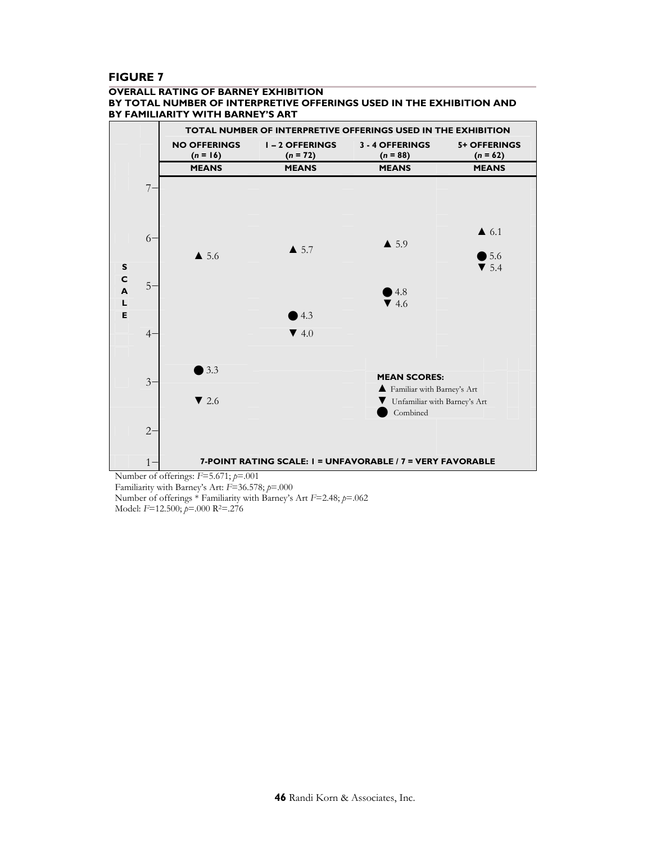## **FIGURE 7**

#### **OVERALL RATING OF BARNEY EXHIBITION BY TOTAL NUMBER OF INTERPRETIVE OFFERINGS USED IN THE EXHIBITION AND BY FAMILIARITY WITH BARNEY'S ART**



Familiarity with Barney's Art: *F*=36.578; *p*=.000 Number of offerings \* Familiarity with Barney's Art *F*=2.48; *p*=.062 Model: *F*=12.500; *p*=.000 R2=.276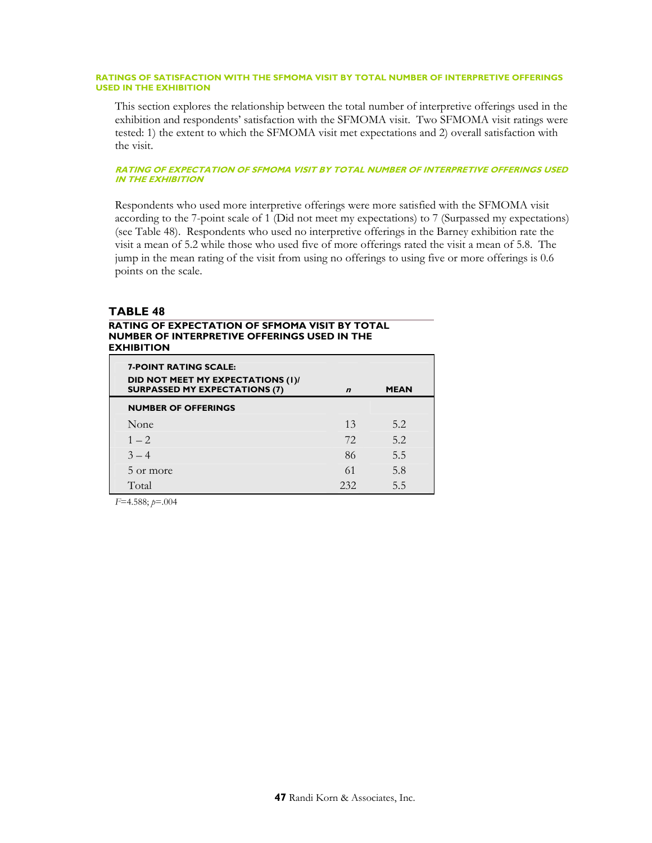#### **RATINGS OF SATISFACTION WITH THE SFMOMA VISIT BY TOTAL NUMBER OF INTERPRETIVE OFFERINGS USED IN THE EXHIBITION**

This section explores the relationship between the total number of interpretive offerings used in the exhibition and respondents' satisfaction with the SFMOMA visit. Two SFMOMA visit ratings were tested: 1) the extent to which the SFMOMA visit met expectations and 2) overall satisfaction with the visit.

#### **RATING OF EXPECTATION OF SFMOMA VISIT BY TOTAL NUMBER OF INTERPRETIVE OFFERINGS USED IN THE EXHIBITION**

Respondents who used more interpretive offerings were more satisfied with the SFMOMA visit according to the 7-point scale of 1 (Did not meet my expectations) to 7 (Surpassed my expectations) (see Table 48). Respondents who used no interpretive offerings in the Barney exhibition rate the visit a mean of 5.2 while those who used five of more offerings rated the visit a mean of 5.8. The jump in the mean rating of the visit from using no offerings to using five or more offerings is 0.6 points on the scale.

## **TABLE 48**

#### **RATING OF EXPECTATION OF SFMOMA VISIT BY TOTAL NUMBER OF INTERPRETIVE OFFERINGS USED IN THE EXHIBITION**

| <b>7-POINT RATING SCALE:</b><br>DID NOT MEET MY EXPECTATIONS (I)/<br><b>SURPASSED MY EXPECTATIONS (7)</b> | $\boldsymbol{n}$ | <b>MEAN</b> |
|-----------------------------------------------------------------------------------------------------------|------------------|-------------|
| <b>NUMBER OF OFFERINGS</b>                                                                                |                  |             |
| None                                                                                                      | 13               | 5.2         |
| $1 - 2$                                                                                                   | 72.              | 5.2         |
| $3 - 4$                                                                                                   | 86               | 5.5         |
| 5 or more                                                                                                 | 61               | 5.8         |
| Total                                                                                                     | 232              | 5.5         |

*F*=4.588; *p*=.004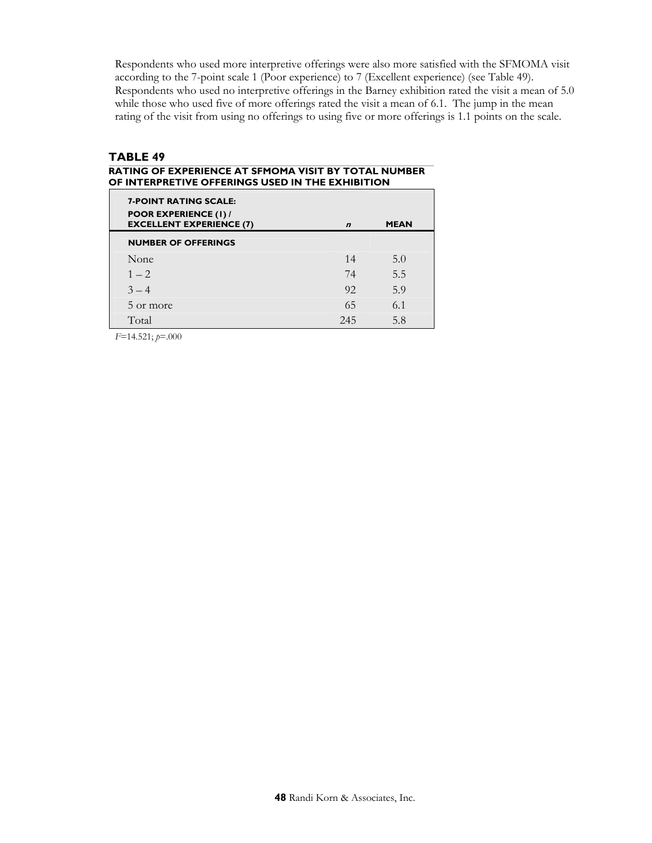Respondents who used more interpretive offerings were also more satisfied with the SFMOMA visit according to the 7-point scale 1 (Poor experience) to 7 (Excellent experience) (see Table 49). Respondents who used no interpretive offerings in the Barney exhibition rated the visit a mean of 5.0 while those who used five of more offerings rated the visit a mean of 6.1. The jump in the mean rating of the visit from using no offerings to using five or more offerings is 1.1 points on the scale.

## **TABLE 49**

#### **RATING OF EXPERIENCE AT SFMOMA VISIT BY TOTAL NUMBER OF INTERPRETIVE OFFERINGS USED IN THE EXHIBITION**

| <b>7-POINT RATING SCALE:</b><br><b>POOR EXPERIENCE (1) /</b><br><b>EXCELLENT EXPERIENCE (7)</b> | $\boldsymbol{n}$ | <b>MEAN</b> |
|-------------------------------------------------------------------------------------------------|------------------|-------------|
| <b>NUMBER OF OFFERINGS</b>                                                                      |                  |             |
| None                                                                                            | 14               | 5.0         |
| $1 - 2$                                                                                         | 74               | 5.5         |
| $3 - 4$                                                                                         | 92               | 5.9         |
| 5 or more                                                                                       | 65               | 6.1         |
| Total                                                                                           | 245              | 5.8         |

*F*=14.521; *p*=.000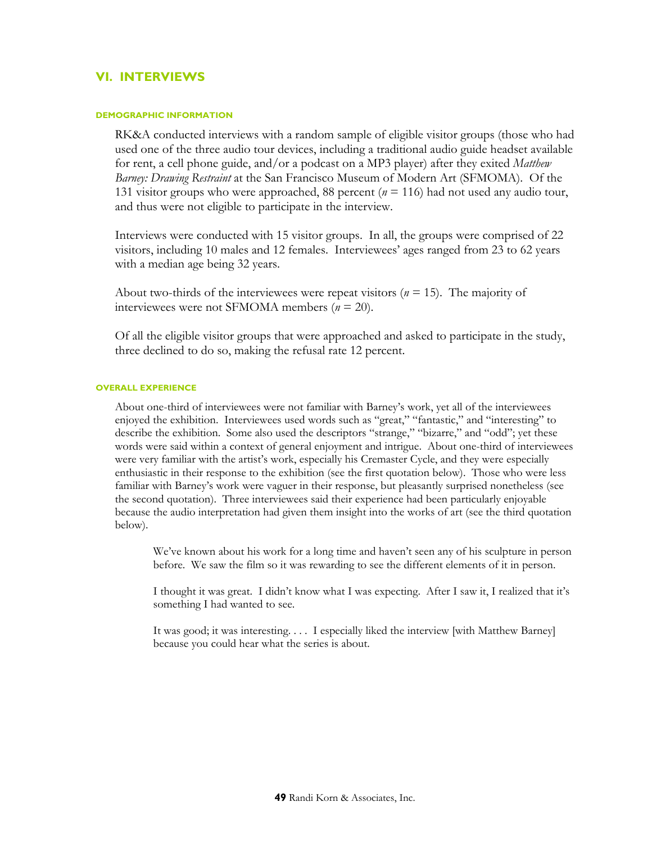# **VI. INTERVIEWS**

#### **DEMOGRAPHIC INFORMATION**

RK&A conducted interviews with a random sample of eligible visitor groups (those who had used one of the three audio tour devices, including a traditional audio guide headset available for rent, a cell phone guide, and/or a podcast on a MP3 player) after they exited *Matthew Barney: Drawing Restraint* at the San Francisco Museum of Modern Art (SFMOMA). Of the 131 visitor groups who were approached, 88 percent (*n* = 116) had not used any audio tour, and thus were not eligible to participate in the interview.

Interviews were conducted with 15 visitor groups. In all, the groups were comprised of 22 visitors, including 10 males and 12 females. Interviewees' ages ranged from 23 to 62 years with a median age being 32 years.

About two-thirds of the interviewees were repeat visitors (*n* = 15). The majority of interviewees were not SFMOMA members (*n* = 20).

Of all the eligible visitor groups that were approached and asked to participate in the study, three declined to do so, making the refusal rate 12 percent.

#### **OVERALL EXPERIENCE**

About one-third of interviewees were not familiar with Barney's work, yet all of the interviewees enjoyed the exhibition. Interviewees used words such as "great," "fantastic," and "interesting" to describe the exhibition. Some also used the descriptors "strange," "bizarre," and "odd"; yet these words were said within a context of general enjoyment and intrigue. About one-third of interviewees were very familiar with the artist's work, especially his Cremaster Cycle, and they were especially enthusiastic in their response to the exhibition (see the first quotation below). Those who were less familiar with Barney's work were vaguer in their response, but pleasantly surprised nonetheless (see the second quotation). Three interviewees said their experience had been particularly enjoyable because the audio interpretation had given them insight into the works of art (see the third quotation below).

We've known about his work for a long time and haven't seen any of his sculpture in person before. We saw the film so it was rewarding to see the different elements of it in person.

I thought it was great. I didn't know what I was expecting. After I saw it, I realized that it's something I had wanted to see.

It was good; it was interesting. . . . I especially liked the interview [with Matthew Barney] because you could hear what the series is about.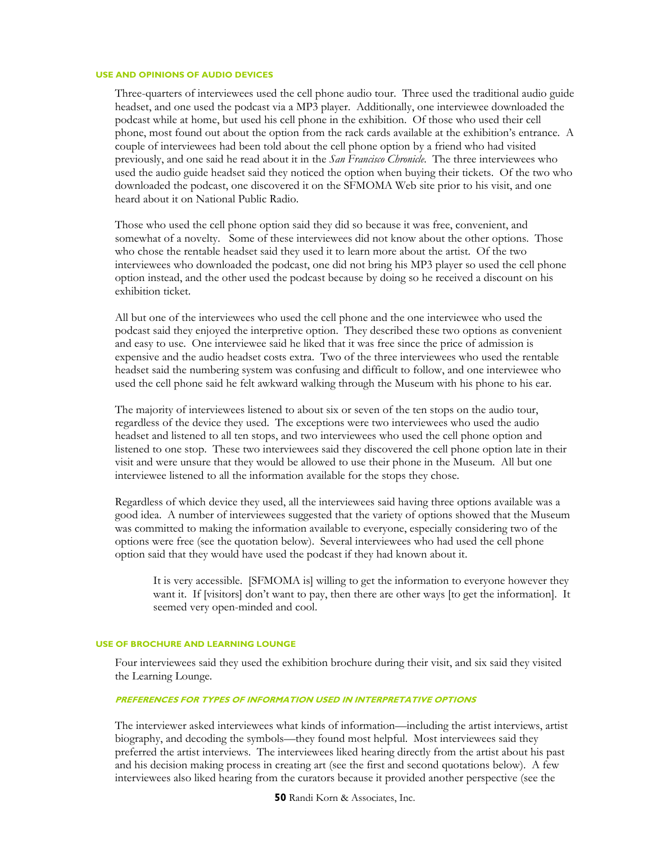#### **USE AND OPINIONS OF AUDIO DEVICES**

Three-quarters of interviewees used the cell phone audio tour. Three used the traditional audio guide headset, and one used the podcast via a MP3 player. Additionally, one interviewee downloaded the podcast while at home, but used his cell phone in the exhibition. Of those who used their cell phone, most found out about the option from the rack cards available at the exhibition's entrance. A couple of interviewees had been told about the cell phone option by a friend who had visited previously, and one said he read about it in the *San Francisco Chronicle*. The three interviewees who used the audio guide headset said they noticed the option when buying their tickets. Of the two who downloaded the podcast, one discovered it on the SFMOMA Web site prior to his visit, and one heard about it on National Public Radio.

Those who used the cell phone option said they did so because it was free, convenient, and somewhat of a novelty. Some of these interviewees did not know about the other options. Those who chose the rentable headset said they used it to learn more about the artist. Of the two interviewees who downloaded the podcast, one did not bring his MP3 player so used the cell phone option instead, and the other used the podcast because by doing so he received a discount on his exhibition ticket.

All but one of the interviewees who used the cell phone and the one interviewee who used the podcast said they enjoyed the interpretive option. They described these two options as convenient and easy to use. One interviewee said he liked that it was free since the price of admission is expensive and the audio headset costs extra. Two of the three interviewees who used the rentable headset said the numbering system was confusing and difficult to follow, and one interviewee who used the cell phone said he felt awkward walking through the Museum with his phone to his ear.

The majority of interviewees listened to about six or seven of the ten stops on the audio tour, regardless of the device they used. The exceptions were two interviewees who used the audio headset and listened to all ten stops, and two interviewees who used the cell phone option and listened to one stop. These two interviewees said they discovered the cell phone option late in their visit and were unsure that they would be allowed to use their phone in the Museum. All but one interviewee listened to all the information available for the stops they chose.

Regardless of which device they used, all the interviewees said having three options available was a good idea. A number of interviewees suggested that the variety of options showed that the Museum was committed to making the information available to everyone, especially considering two of the options were free (see the quotation below). Several interviewees who had used the cell phone option said that they would have used the podcast if they had known about it.

It is very accessible. [SFMOMA is] willing to get the information to everyone however they want it. If [visitors] don't want to pay, then there are other ways [to get the information]. It seemed very open-minded and cool.

### **USE OF BROCHURE AND LEARNING LOUNGE**

Four interviewees said they used the exhibition brochure during their visit, and six said they visited the Learning Lounge.

#### **PREFERENCES FOR TYPES OF INFORMATION USED IN INTERPRETATIVE OPTIONS**

The interviewer asked interviewees what kinds of information—including the artist interviews, artist biography, and decoding the symbols—they found most helpful. Most interviewees said they preferred the artist interviews. The interviewees liked hearing directly from the artist about his past and his decision making process in creating art (see the first and second quotations below). A few interviewees also liked hearing from the curators because it provided another perspective (see the

**50** Randi Korn & Associates, Inc.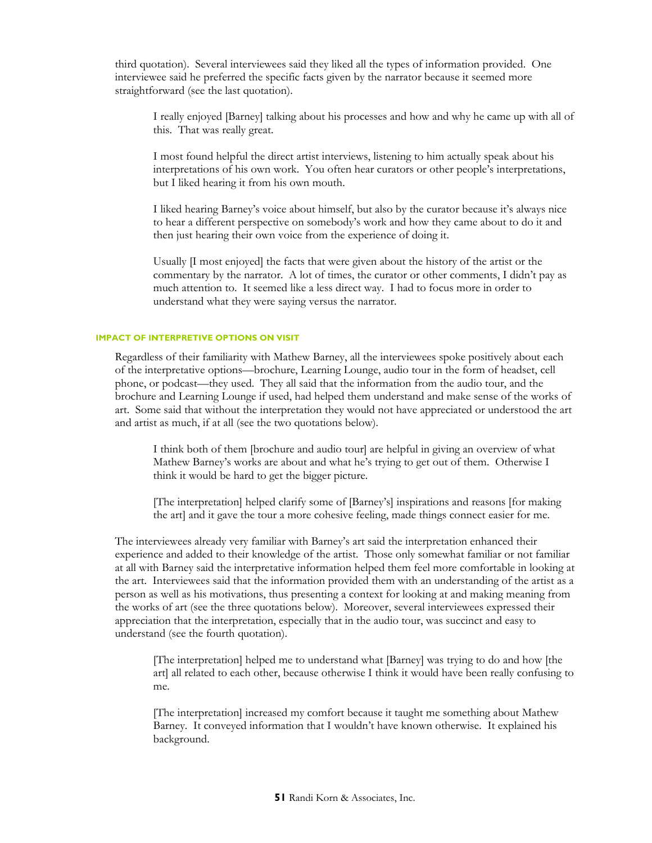third quotation). Several interviewees said they liked all the types of information provided. One interviewee said he preferred the specific facts given by the narrator because it seemed more straightforward (see the last quotation).

I really enjoyed [Barney] talking about his processes and how and why he came up with all of this. That was really great.

I most found helpful the direct artist interviews, listening to him actually speak about his interpretations of his own work. You often hear curators or other people's interpretations, but I liked hearing it from his own mouth.

I liked hearing Barney's voice about himself, but also by the curator because it's always nice to hear a different perspective on somebody's work and how they came about to do it and then just hearing their own voice from the experience of doing it.

Usually [I most enjoyed] the facts that were given about the history of the artist or the commentary by the narrator. A lot of times, the curator or other comments, I didn't pay as much attention to. It seemed like a less direct way. I had to focus more in order to understand what they were saying versus the narrator.

#### **IMPACT OF INTERPRETIVE OPTIONS ON VISIT**

Regardless of their familiarity with Mathew Barney, all the interviewees spoke positively about each of the interpretative options—brochure, Learning Lounge, audio tour in the form of headset, cell phone, or podcast—they used. They all said that the information from the audio tour, and the brochure and Learning Lounge if used, had helped them understand and make sense of the works of art. Some said that without the interpretation they would not have appreciated or understood the art and artist as much, if at all (see the two quotations below).

I think both of them [brochure and audio tour] are helpful in giving an overview of what Mathew Barney's works are about and what he's trying to get out of them. Otherwise I think it would be hard to get the bigger picture.

[The interpretation] helped clarify some of [Barney's] inspirations and reasons [for making the art] and it gave the tour a more cohesive feeling, made things connect easier for me.

The interviewees already very familiar with Barney's art said the interpretation enhanced their experience and added to their knowledge of the artist. Those only somewhat familiar or not familiar at all with Barney said the interpretative information helped them feel more comfortable in looking at the art. Interviewees said that the information provided them with an understanding of the artist as a person as well as his motivations, thus presenting a context for looking at and making meaning from the works of art (see the three quotations below). Moreover, several interviewees expressed their appreciation that the interpretation, especially that in the audio tour, was succinct and easy to understand (see the fourth quotation).

[The interpretation] helped me to understand what [Barney] was trying to do and how [the art] all related to each other, because otherwise I think it would have been really confusing to me.

[The interpretation] increased my comfort because it taught me something about Mathew Barney. It conveyed information that I wouldn't have known otherwise. It explained his background.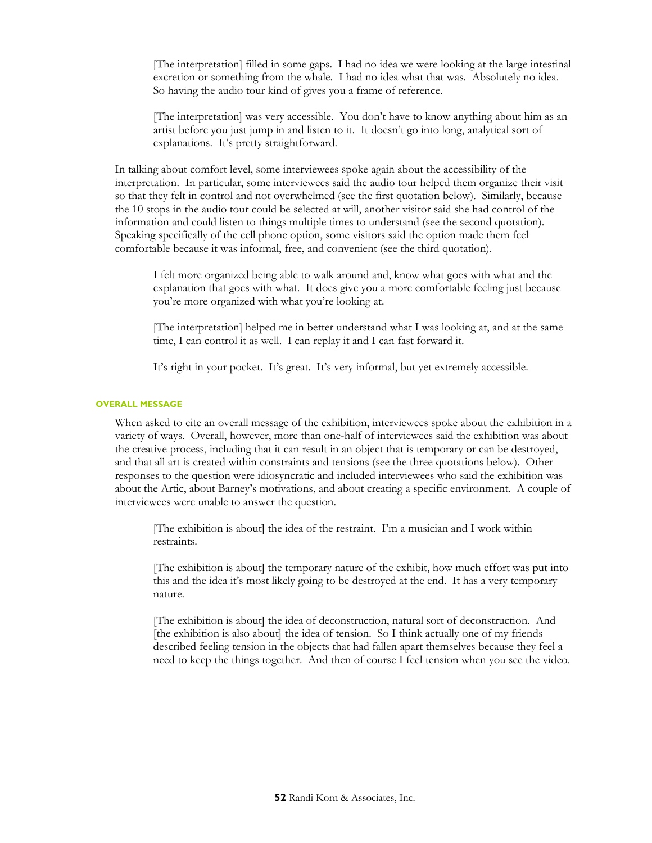[The interpretation] filled in some gaps. I had no idea we were looking at the large intestinal excretion or something from the whale. I had no idea what that was. Absolutely no idea. So having the audio tour kind of gives you a frame of reference.

[The interpretation] was very accessible. You don't have to know anything about him as an artist before you just jump in and listen to it. It doesn't go into long, analytical sort of explanations. It's pretty straightforward.

In talking about comfort level, some interviewees spoke again about the accessibility of the interpretation. In particular, some interviewees said the audio tour helped them organize their visit so that they felt in control and not overwhelmed (see the first quotation below). Similarly, because the 10 stops in the audio tour could be selected at will, another visitor said she had control of the information and could listen to things multiple times to understand (see the second quotation). Speaking specifically of the cell phone option, some visitors said the option made them feel comfortable because it was informal, free, and convenient (see the third quotation).

I felt more organized being able to walk around and, know what goes with what and the explanation that goes with what. It does give you a more comfortable feeling just because you're more organized with what you're looking at.

[The interpretation] helped me in better understand what I was looking at, and at the same time, I can control it as well. I can replay it and I can fast forward it.

It's right in your pocket. It's great. It's very informal, but yet extremely accessible.

#### **OVERALL MESSAGE**

When asked to cite an overall message of the exhibition, interviewees spoke about the exhibition in a variety of ways. Overall, however, more than one-half of interviewees said the exhibition was about the creative process, including that it can result in an object that is temporary or can be destroyed, and that all art is created within constraints and tensions (see the three quotations below). Other responses to the question were idiosyncratic and included interviewees who said the exhibition was about the Artic, about Barney's motivations, and about creating a specific environment. A couple of interviewees were unable to answer the question.

[The exhibition is about] the idea of the restraint. I'm a musician and I work within restraints.

[The exhibition is about] the temporary nature of the exhibit, how much effort was put into this and the idea it's most likely going to be destroyed at the end. It has a very temporary nature.

[The exhibition is about] the idea of deconstruction, natural sort of deconstruction. And [the exhibition is also about] the idea of tension. So I think actually one of my friends described feeling tension in the objects that had fallen apart themselves because they feel a need to keep the things together. And then of course I feel tension when you see the video.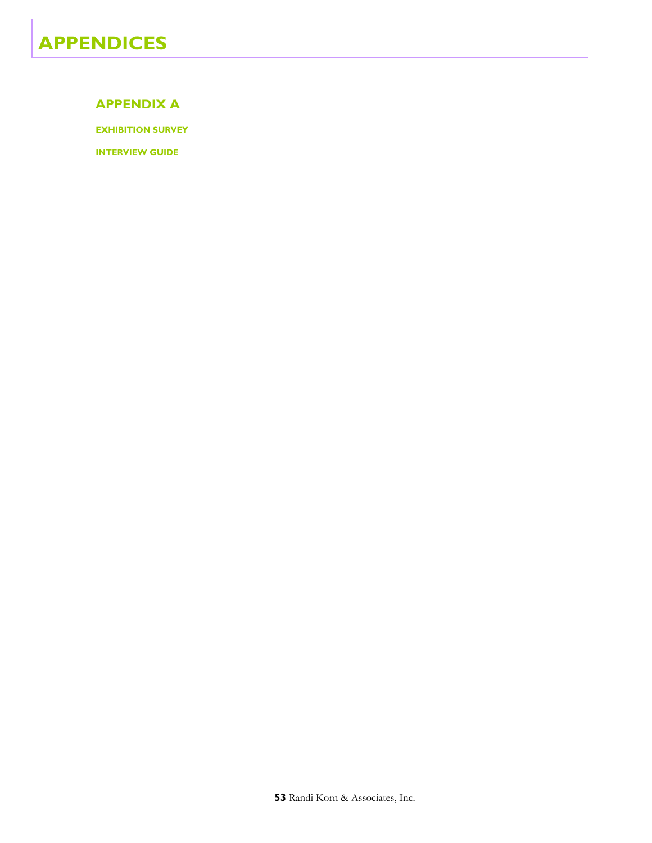## **APPENDIX A**

**EXHIBITION SURVEY** 

**INTERVIEW GUIDE**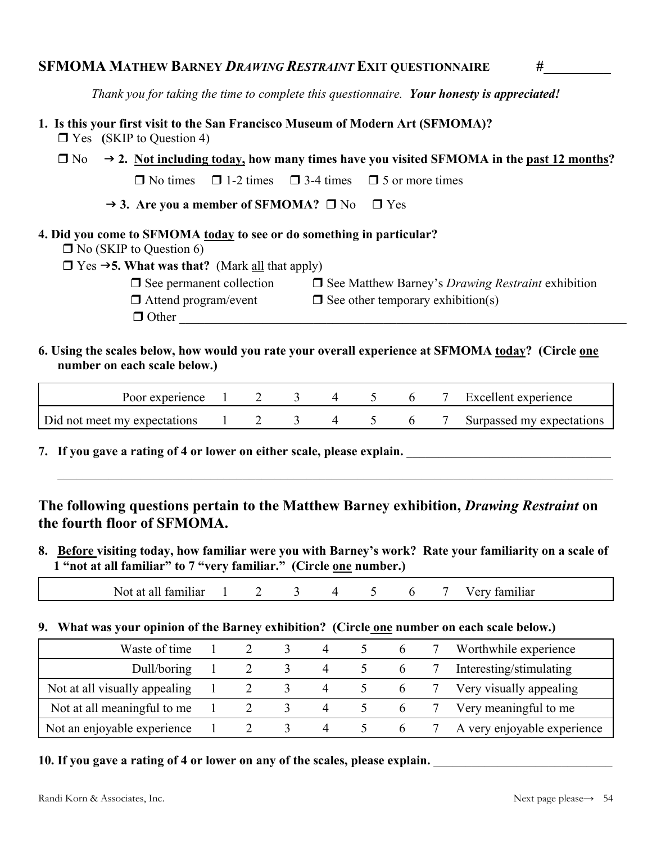*Thank you for taking the time to complete this questionnaire. Your honesty is appreciated!* 

**1. Is this your first visit to the San Francisco Museum of Modern Art (SFMOMA)?** 

Yes **(**SKIP to Question 4)

- $\Box$  No  $\rightarrow$  2. Not including today, how many times have you visited SFMOMA in the past 12 months?  $\Box$  No times  $\Box$  1-2 times  $\Box$  3-4 times  $\Box$  5 or more times
	- $\rightarrow$  3. Are you a member of SFMOMA?  $\Box$  No  $\Box$  Yes

Other \_\_\_\_\_\_\_\_\_\_\_\_\_\_\_\_\_\_\_\_\_\_\_\_\_\_\_\_\_\_\_\_\_\_\_\_\_\_\_\_\_\_\_\_\_\_\_\_\_\_\_\_\_\_\_\_\_\_\_\_\_\_\_\_\_\_\_\_\_\_

# **4. Did you come to SFMOMA today to see or do something in particular?**

 $\Box$  No (SKIP to Question 6)

 $\Box$  Yes  $\rightarrow$  5. What was that? (Mark all that apply)

 $\Box$  See permanent collection  $\Box$  See Matthew Barney's *Drawing Restraint* exhibition  $\Box$  Attend program/event  $\Box$  See other temporary exhibition(s)

 $\Box$  Attend program/event  $\Box$  See other temporary exhibition(s)

**6. Using the scales below, how would you rate your overall experience at SFMOMA today? (Circle one number on each scale below.)** 

| Poor experience              |  |  |  | Excellent experience      |
|------------------------------|--|--|--|---------------------------|
| Did not meet my expectations |  |  |  | Surpassed my expectations |

 $\mathcal{L}_\mathcal{L} = \{ \mathcal{L}_\mathcal{L} = \{ \mathcal{L}_\mathcal{L} = \{ \mathcal{L}_\mathcal{L} = \{ \mathcal{L}_\mathcal{L} = \{ \mathcal{L}_\mathcal{L} = \{ \mathcal{L}_\mathcal{L} = \{ \mathcal{L}_\mathcal{L} = \{ \mathcal{L}_\mathcal{L} = \{ \mathcal{L}_\mathcal{L} = \{ \mathcal{L}_\mathcal{L} = \{ \mathcal{L}_\mathcal{L} = \{ \mathcal{L}_\mathcal{L} = \{ \mathcal{L}_\mathcal{L} = \{ \mathcal{L}_\mathcal{$ 

**7. If you gave a rating of 4 or lower on either scale, please explain.** \_\_\_\_\_\_\_\_\_\_\_\_\_\_\_\_\_\_\_\_\_\_\_\_\_\_\_\_\_\_\_\_

# **The following questions pertain to the Matthew Barney exhibition,** *Drawing Restraint* **on the fourth floor of SFMOMA.**

**8. Before visiting today, how familiar were you with Barney's work? Rate your familiarity on a scale of 1 "not at all familiar" to 7 "very familiar." (Circle one number.)** 

| 6<br>Not at all familiar<br>tamılıar<br>$'$ erv |  |
|-------------------------------------------------|--|
|-------------------------------------------------|--|

# **9. What was your opinion of the Barney exhibition? (Circle one number on each scale below.)**

| Waste of time                 |  |               | 4              |                     | Worthwhile experience       |
|-------------------------------|--|---------------|----------------|---------------------|-----------------------------|
| Dull/boring                   |  |               | $\sim$ 4       | 5 6 /               | Interesting/stimulating     |
| Not at all visually appealing |  | $\rightarrow$ | $\overline{4}$ | $5\qquad 6\qquad 7$ | Very visually appealing     |
| Not at all meaningful to me   |  | $\sim$        | $\overline{4}$ |                     | Very meaningful to me       |
| Not an enjoyable experience   |  |               | 4              |                     | A very enjoyable experience |

**10.** If you gave a rating of 4 or lower on any of the scales, please explain.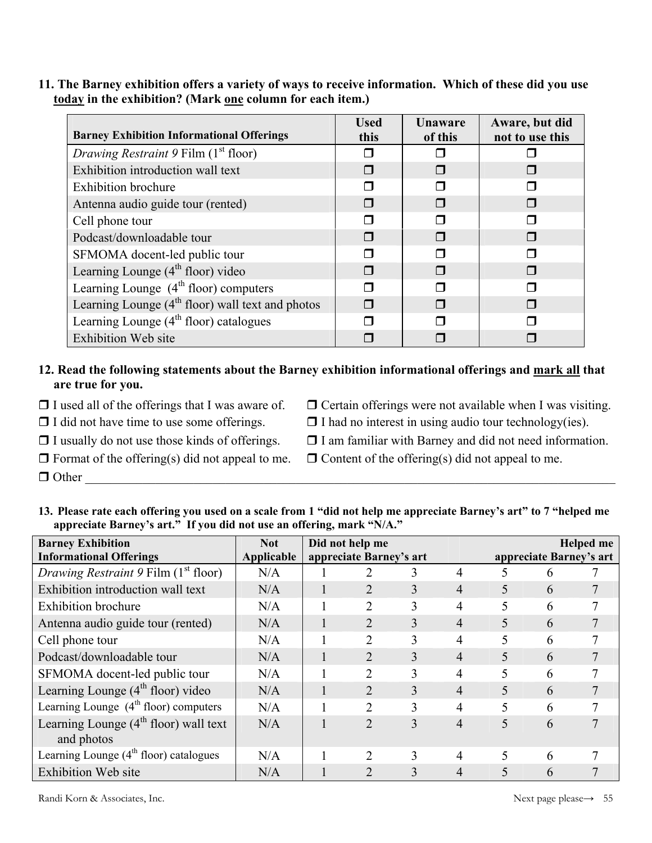**11. The Barney exhibition offers a variety of ways to receive information. Which of these did you use today in the exhibition? (Mark one column for each item.)** 

| <b>Barney Exhibition Informational Offerings</b>       | <b>Used</b><br>this | Unaware<br>of this | Aware, but did<br>not to use this |
|--------------------------------------------------------|---------------------|--------------------|-----------------------------------|
| <i>Drawing Restraint 9 Film (1<sup>st</sup> floor)</i> |                     |                    |                                   |
| Exhibition introduction wall text                      |                     |                    |                                   |
| <b>Exhibition</b> brochure                             |                     |                    |                                   |
| Antenna audio guide tour (rented)                      | П                   |                    |                                   |
| Cell phone tour                                        |                     |                    |                                   |
| Podcast/downloadable tour                              | ⊓                   |                    |                                   |
| SFMOMA docent-led public tour                          |                     |                    |                                   |
| Learning Lounge $(4th$ floor) video                    | П                   |                    |                                   |
| Learning Lounge $(4th floor)$ computers                |                     |                    |                                   |
| Learning Lounge $(4th$ floor) wall text and photos     |                     |                    |                                   |
| Learning Lounge $(4th$ floor) catalogues               |                     |                    |                                   |
| <b>Exhibition Web site</b>                             |                     |                    |                                   |

# **12. Read the following statements about the Barney exhibition informational offerings and mark all that are true for you.**

- $\Box$  I used all of the offerings that I was aware of.  $\Box$  Certain offerings were not available when I was visiting.
- $\Box$  I did not have time to use some offerings.  $\Box$  I had no interest in using audio tour technology(ies).
- 
- $\Box$  I usually do not use those kinds of offerings.  $\Box$  I am familiar with Barney and did not need information.
- 

 $\Box$  Other

- $\Box$  Format of the offering(s) did not appeal to me.  $\Box$  Content of the offering(s) did not appeal to me.
- **13. Please rate each offering you used on a scale from 1 "did not help me appreciate Barney's art" to 7 "helped me appreciate Barney's art." If you did not use an offering, mark "N/A."**

| <b>Barney Exhibition</b>                              | <b>Not</b> | Did not help me               |   |   |   |                         | <b>Helped</b> me |
|-------------------------------------------------------|------------|-------------------------------|---|---|---|-------------------------|------------------|
| <b>Informational Offerings</b>                        | Applicable | appreciate Barney's art       |   |   |   | appreciate Barney's art |                  |
| Drawing Restraint 9 Film $(1st$ floor)                | N/A        |                               | 3 | 4 | 5 | 6                       |                  |
| Exhibition introduction wall text                     | N/A        | $\overline{2}$                | 3 | 4 | 5 | 6                       |                  |
| <b>Exhibition</b> brochure                            | N/A        | 2                             | 3 | 4 | 5 | 6                       |                  |
| Antenna audio guide tour (rented)                     | N/A        | $\overline{2}$                | 3 | 4 | 5 | 6                       | 7                |
| Cell phone tour                                       | N/A        | $\overline{2}$                | 3 | 4 | 5 | 6                       | 7                |
| Podcast/downloadable tour                             | N/A        | 2                             | 3 | 4 | 5 | 6                       | 7                |
| SFMOMA docent-led public tour                         | N/A        | 2                             | 3 | 4 | 5 | 6                       | 7                |
| Learning Lounge $(4th floor)$ video                   | N/A        | $\overline{2}$                | 3 | 4 | 5 | 6                       | 7                |
| Learning Lounge $(4th floor)$ computers               | N/A        | $\overline{2}$                | 3 | 4 | 5 | 6                       | 7                |
| Learning Lounge $(4th$ floor) wall text<br>and photos | N/A        | $\overline{2}$                | 3 | 4 | 5 | 6                       |                  |
| Learning Lounge $(4th$ floor) catalogues              | N/A        | $\mathfrak{D}_{\mathfrak{p}}$ | 3 | 4 | 5 | 6                       |                  |
| <b>Exhibition Web site</b>                            | N/A        | $\mathcal{D}_{\mathcal{L}}$   | 3 | 4 | 5 | 6                       |                  |

Randi Korn & Associates, Inc. Next page please→ 55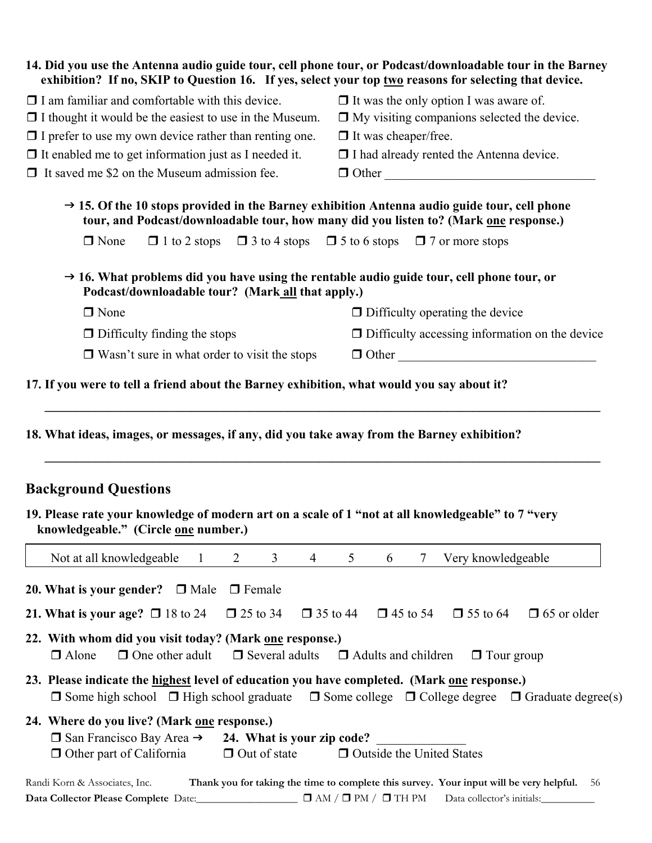| 14. Did you use the Antenna audio guide tour, cell phone tour, or Podcast/downloadable tour in the Barney<br>exhibition? If no, SKIP to Question 16. If yes, select your top two reasons for selecting that device. |                                                                                                                                                                      |  |  |  |
|---------------------------------------------------------------------------------------------------------------------------------------------------------------------------------------------------------------------|----------------------------------------------------------------------------------------------------------------------------------------------------------------------|--|--|--|
| $\Box$ I am familiar and comfortable with this device.                                                                                                                                                              | $\Box$ It was the only option I was aware of.                                                                                                                        |  |  |  |
| $\Box$ I thought it would be the easiest to use in the Museum.                                                                                                                                                      | $\Box$ My visiting companions selected the device.                                                                                                                   |  |  |  |
| $\Box$ I prefer to use my own device rather than renting one.                                                                                                                                                       | $\Box$ It was cheaper/free.                                                                                                                                          |  |  |  |
| $\Box$ It enabled me to get information just as I needed it.                                                                                                                                                        | □ I had already rented the Antenna device.                                                                                                                           |  |  |  |
| $\Box$ It saved me \$2 on the Museum admission fee.                                                                                                                                                                 | $\Box$ Other                                                                                                                                                         |  |  |  |
| $\rightarrow$ 15. Of the 10 stops provided in the Barney exhibition Antenna audio guide tour, cell phone<br>tour, and Podcast/downloadable tour, how many did you listen to? (Mark one response.)                   |                                                                                                                                                                      |  |  |  |
| $\Box$ None<br>$\Box$ 1 to 2 stops                                                                                                                                                                                  | $\Box$ 3 to 4 stops $\Box$ 5 to 6 stops $\Box$ 7 or more stops                                                                                                       |  |  |  |
| $\rightarrow$ 16. What problems did you have using the rentable audio guide tour, cell phone tour, or<br>Podcast/downloadable tour? (Mark all that apply.)                                                          |                                                                                                                                                                      |  |  |  |
| $\Box$ None                                                                                                                                                                                                         | $\Box$ Difficulty operating the device                                                                                                                               |  |  |  |
| $\Box$ Difficulty finding the stops                                                                                                                                                                                 | $\Box$ Difficulty accessing information on the device                                                                                                                |  |  |  |
| $\Box$ Wasn't sure in what order to visit the stops                                                                                                                                                                 | $\Box$ Other                                                                                                                                                         |  |  |  |
| <b>Background Questions</b><br>19. Please rate your knowledge of modern art on a scale of 1 "not at all knowledgeable" to 7 "very<br>knowledgeable." (Circle one number.)                                           |                                                                                                                                                                      |  |  |  |
| $\overline{3}$<br>Not at all knowledgeable<br>2<br>$\overline{4}$<br>$\mathbf{1}$                                                                                                                                   | 5<br>Very knowledgeable<br>6<br>7                                                                                                                                    |  |  |  |
| $\Box$ Female<br>20. What is your gender? $\Box$ Male<br>$\Box$ 25 to 34<br>$\Box$ 35 to 44<br>21. What is your age? $\Box$ 18 to 24                                                                                | $\Box$ 45 to 54<br>$\Box$ 55 to 64<br>$\Box$ 65 or older                                                                                                             |  |  |  |
|                                                                                                                                                                                                                     |                                                                                                                                                                      |  |  |  |
| 22. With whom did you visit today? (Mark one response.)<br>$\Box$ Several adults<br>□ Alone<br>$\Box$ One other adult                                                                                               | $\Box$ Adults and children<br>$\Box$ Tour group                                                                                                                      |  |  |  |
| 23. Please indicate the <u>highest</u> level of education you have completed. (Mark one response.)                                                                                                                  | $\Box$ Some high school $\Box$ High school graduate $\Box$ Some college $\Box$ College degree $\Box$ Graduate degree(s)                                              |  |  |  |
| 24. Where do you live? (Mark one response.)<br>$\Box$ San Francisco Bay Area $\rightarrow$<br>24. What is your zip code?<br>$\Box$ Out of state<br>$\Box$ Other part of California                                  | <b>D</b> Outside the United States                                                                                                                                   |  |  |  |
| Randi Korn & Associates, Inc.<br>Data Collector Please Complete Date:                                                                                                                                               | Thank you for taking the time to complete this survey. Your input will be very helpful.<br>-56<br>$\Box$ AM / $\Box$ PM / $\Box$ TH PM<br>Data collector's initials: |  |  |  |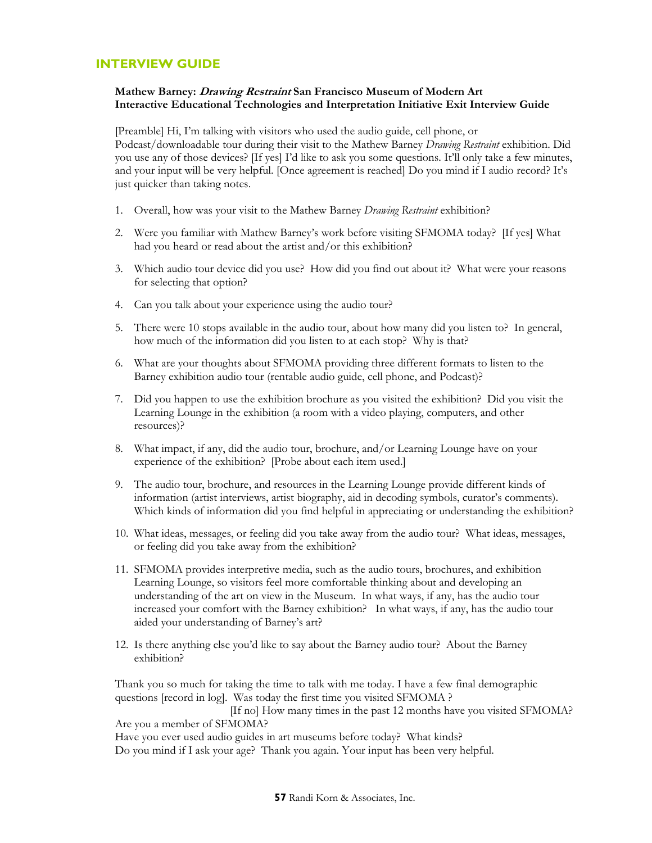## **INTERVIEW GUIDE**

## **Mathew Barney: Drawing Restraint San Francisco Museum of Modern Art Interactive Educational Technologies and Interpretation Initiative Exit Interview Guide**

[Preamble] Hi, I'm talking with visitors who used the audio guide, cell phone, or Podcast/downloadable tour during their visit to the Mathew Barney *Drawing Restraint* exhibition. Did you use any of those devices? [If yes] I'd like to ask you some questions. It'll only take a few minutes, and your input will be very helpful. [Once agreement is reached] Do you mind if I audio record? It's just quicker than taking notes.

- 1. Overall, how was your visit to the Mathew Barney *Drawing Restraint* exhibition?
- 2. Were you familiar with Mathew Barney's work before visiting SFMOMA today? [If yes] What had you heard or read about the artist and/or this exhibition?
- 3. Which audio tour device did you use? How did you find out about it? What were your reasons for selecting that option?
- 4. Can you talk about your experience using the audio tour?
- 5. There were 10 stops available in the audio tour, about how many did you listen to? In general, how much of the information did you listen to at each stop? Why is that?
- 6. What are your thoughts about SFMOMA providing three different formats to listen to the Barney exhibition audio tour (rentable audio guide, cell phone, and Podcast)?
- 7. Did you happen to use the exhibition brochure as you visited the exhibition? Did you visit the Learning Lounge in the exhibition (a room with a video playing, computers, and other resources)?
- 8. What impact, if any, did the audio tour, brochure, and/or Learning Lounge have on your experience of the exhibition? [Probe about each item used.]
- 9. The audio tour, brochure, and resources in the Learning Lounge provide different kinds of information (artist interviews, artist biography, aid in decoding symbols, curator's comments). Which kinds of information did you find helpful in appreciating or understanding the exhibition?
- 10. What ideas, messages, or feeling did you take away from the audio tour? What ideas, messages, or feeling did you take away from the exhibition?
- 11. SFMOMA provides interpretive media, such as the audio tours, brochures, and exhibition Learning Lounge, so visitors feel more comfortable thinking about and developing an understanding of the art on view in the Museum. In what ways, if any, has the audio tour increased your comfort with the Barney exhibition? In what ways, if any, has the audio tour aided your understanding of Barney's art?
- 12. Is there anything else you'd like to say about the Barney audio tour? About the Barney exhibition?

Thank you so much for taking the time to talk with me today. I have a few final demographic questions [record in log]. Was today the first time you visited SFMOMA ? [If no] How many times in the past 12 months have you visited SFMOMA? Are you a member of SFMOMA? Have you ever used audio guides in art museums before today? What kinds?

Do you mind if I ask your age? Thank you again. Your input has been very helpful.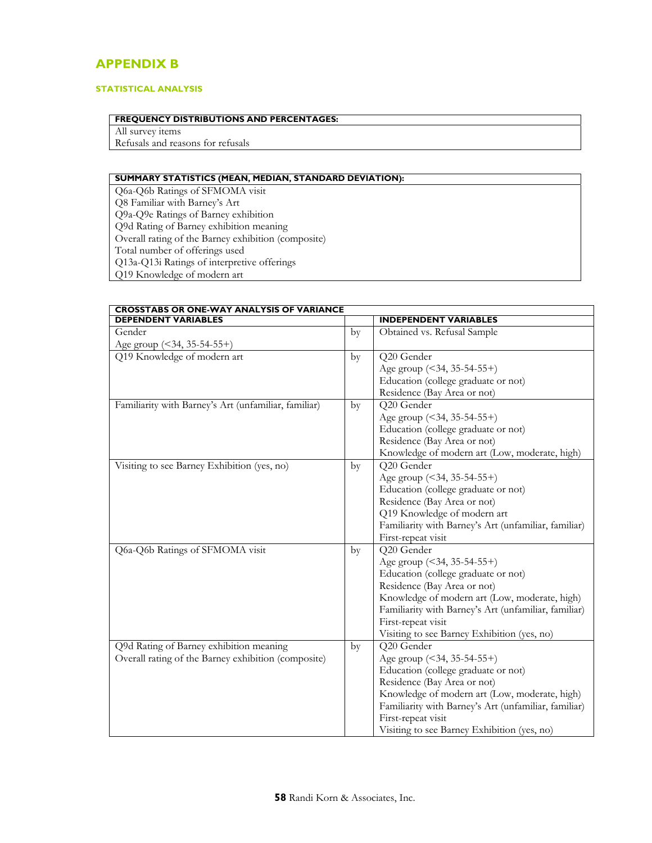# **APPENDIX B**

## **STATISTICAL ANALYSIS**

## **FREQUENCY DISTRIBUTIONS AND PERCENTAGES:**

All survey items Refusals and reasons for refusals

## **SUMMARY STATISTICS (MEAN, MEDIAN, STANDARD DEVIATION):**

Q6a-Q6b Ratings of SFMOMA visit Q8 Familiar with Barney's Art Q9a-Q9e Ratings of Barney exhibition Q9d Rating of Barney exhibition meaning Overall rating of the Barney exhibition (composite) Total number of offerings used Q13a-Q13i Ratings of interpretive offerings Q19 Knowledge of modern art

| <b>CROSSTABS OR ONE-WAY ANALYSIS OF VARIANCE</b>     |    |                                                      |  |
|------------------------------------------------------|----|------------------------------------------------------|--|
| <b>DEPENDENT VARIABLES</b>                           |    | <b>INDEPENDENT VARIABLES</b>                         |  |
| Gender                                               | by | Obtained vs. Refusal Sample                          |  |
| Age group (<34, 35-54-55+)                           |    |                                                      |  |
| Q19 Knowledge of modern art                          | by | Q20 Gender                                           |  |
|                                                      |    | Age group (<34, 35-54-55+)                           |  |
|                                                      |    | Education (college graduate or not)                  |  |
|                                                      |    | Residence (Bay Area or not)                          |  |
| Familiarity with Barney's Art (unfamiliar, familiar) |    | Q20 Gender                                           |  |
|                                                      | by | Age group (<34, 35-54-55+)                           |  |
|                                                      |    | Education (college graduate or not)                  |  |
|                                                      |    | Residence (Bay Area or not)                          |  |
|                                                      |    | Knowledge of modern art (Low, moderate, high)        |  |
| Visiting to see Barney Exhibition (yes, no)          | by | Q20 Gender                                           |  |
|                                                      |    | Age group (<34, 35-54-55+)                           |  |
|                                                      |    | Education (college graduate or not)                  |  |
|                                                      |    | Residence (Bay Area or not)                          |  |
|                                                      |    | Q19 Knowledge of modern art                          |  |
|                                                      |    | Familiarity with Barney's Art (unfamiliar, familiar) |  |
|                                                      |    | First-repeat visit                                   |  |
| Q6a-Q6b Ratings of SFMOMA visit                      |    | Q20 Gender                                           |  |
|                                                      | by |                                                      |  |
|                                                      |    | Age group (<34, 35-54-55+)                           |  |
|                                                      |    | Education (college graduate or not)                  |  |
|                                                      |    | Residence (Bay Area or not)                          |  |
|                                                      |    | Knowledge of modern art (Low, moderate, high)        |  |
|                                                      |    | Familiarity with Barney's Art (unfamiliar, familiar) |  |
|                                                      |    | First-repeat visit                                   |  |
|                                                      |    | Visiting to see Barney Exhibition (yes, no)          |  |
| Q9d Rating of Barney exhibition meaning              | by | Q20 Gender                                           |  |
| Overall rating of the Barney exhibition (composite)  |    | Age group (<34, 35-54-55+)                           |  |
|                                                      |    | Education (college graduate or not)                  |  |
|                                                      |    | Residence (Bay Area or not)                          |  |
|                                                      |    | Knowledge of modern art (Low, moderate, high)        |  |
|                                                      |    | Familiarity with Barney's Art (unfamiliar, familiar) |  |
|                                                      |    | First-repeat visit                                   |  |
|                                                      |    | Visiting to see Barney Exhibition (yes, no)          |  |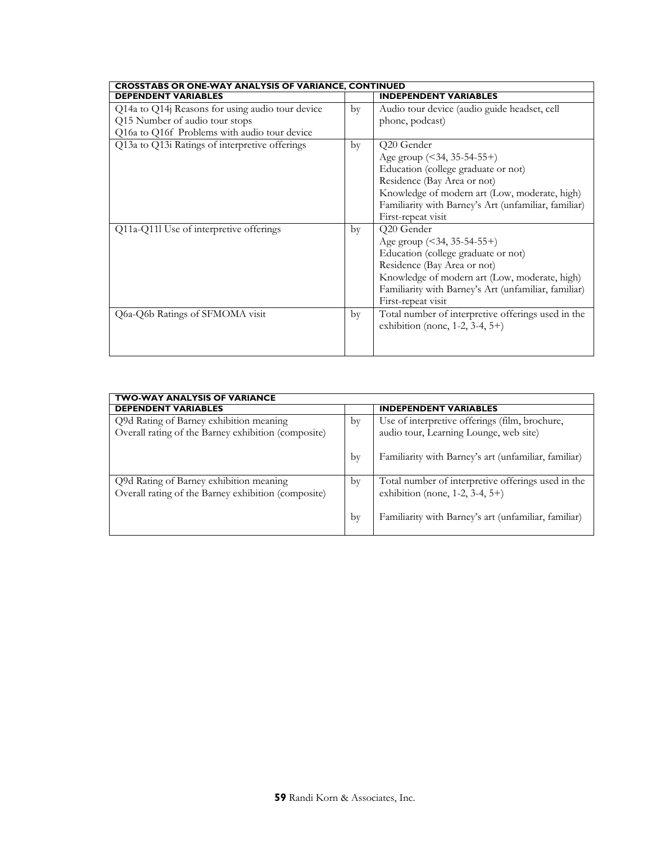|    | <b>CROSSTABS OR ONE-WAY ANALYSIS OF VARIANCE, CONTINUED</b>                              |  |
|----|------------------------------------------------------------------------------------------|--|
|    | <b>INDEPENDENT VARIABLES</b>                                                             |  |
| by | Audio tour device (audio guide headset, cell                                             |  |
|    | phone, podcast)                                                                          |  |
|    |                                                                                          |  |
| by | Q20 Gender                                                                               |  |
|    | Age group $($ < 34, 35-54-55+)                                                           |  |
|    | Education (college graduate or not)                                                      |  |
|    | Residence (Bay Area or not)                                                              |  |
|    | Knowledge of modern art (Low, moderate, high)                                            |  |
|    | Familiarity with Barney's Art (unfamiliar, familiar)                                     |  |
|    | First-repeat visit                                                                       |  |
| by | Q20 Gender                                                                               |  |
|    | Age group (<34, 35-54-55+)                                                               |  |
|    | Education (college graduate or not)                                                      |  |
|    | Residence (Bay Area or not)                                                              |  |
|    | Knowledge of modern art (Low, moderate, high)                                            |  |
|    | Familiarity with Barney's Art (unfamiliar, familiar)                                     |  |
|    | First-repeat visit                                                                       |  |
| by | Total number of interpretive offerings used in the<br>exhibition (none, 1-2, 3-4, $5+$ ) |  |
|    |                                                                                          |  |
|    |                                                                                          |  |

| <b>TWO-WAY ANALYSIS OF VARIANCE</b>                                                            |    |                                                                                                |  |
|------------------------------------------------------------------------------------------------|----|------------------------------------------------------------------------------------------------|--|
| <b>DEPENDENT VARIABLES</b>                                                                     |    | <b>INDEPENDENT VARIABLES</b>                                                                   |  |
| Q9d Rating of Barney exhibition meaning                                                        |    | Use of interpretive offerings (film, brochure,                                                 |  |
| Overall rating of the Barney exhibition (composite)                                            |    | audio tour, Learning Lounge, web site)                                                         |  |
|                                                                                                | by | Familiarity with Barney's art (unfamiliar, familiar)                                           |  |
| Q9d Rating of Barney exhibition meaning<br>Overall rating of the Barney exhibition (composite) | by | Total number of interpretive offerings used in the<br>exhibition (none, $1-2$ , $3-4$ , $5+$ ) |  |
|                                                                                                | by | Familiarity with Barney's art (unfamiliar, familiar)                                           |  |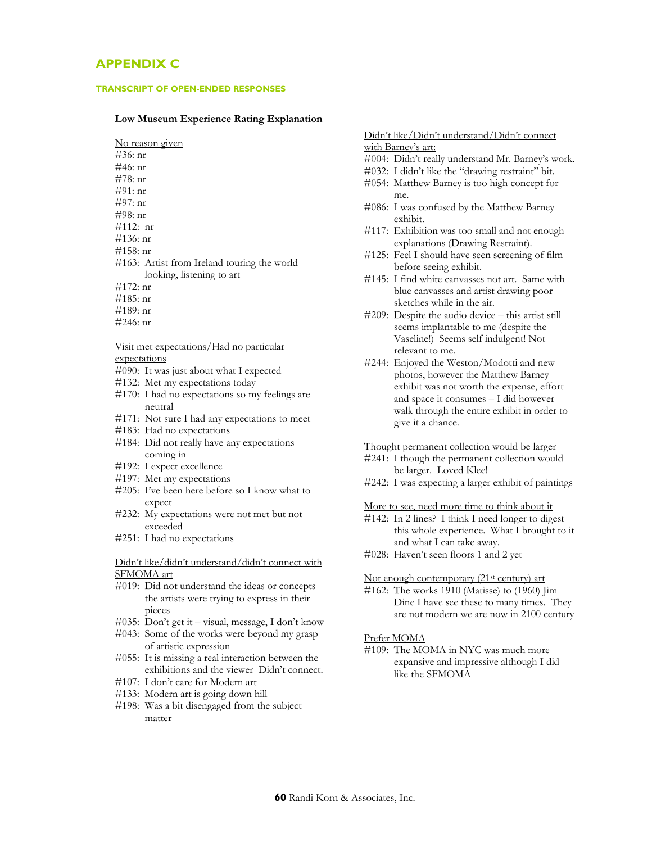## **APPENDIX C**

#### **TRANSCRIPT OF OPEN-ENDED RESPONSES**

#### **Low Museum Experience Rating Explanation**

No reason given #36: nr #46: nr #78: nr #91: nr #97: nr #98: nr #112: nr #136: nr #158: nr #163: Artist from Ireland touring the world looking, listening to art #172: nr #185: nr

- #189: nr
- #246: nr

# Visit met expectations/Had no particular

## expectations

- #090: It was just about what I expected
- #132: Met my expectations today
- #170: I had no expectations so my feelings are neutral
- #171: Not sure I had any expectations to meet
- #183: Had no expectations
- #184: Did not really have any expectations coming in
- #192: I expect excellence
- #197: Met my expectations
- #205: I've been here before so I know what to expect
- #232: My expectations were not met but not exceeded
- #251: I had no expectations

## Didn't like/didn't understand/didn't connect with SFMOMA art

- #019: Did not understand the ideas or concepts the artists were trying to express in their pieces
- #035: Don't get it visual, message, I don't know
- #043: Some of the works were beyond my grasp of artistic expression
- #055: It is missing a real interaction between the exhibitions and the viewer Didn't connect.
- #107: I don't care for Modern art
- #133: Modern art is going down hill
- #198: Was a bit disengaged from the subject matter

### Didn't like/Didn't understand/Didn't connect with Barney's art:

- #004: Didn't really understand Mr. Barney's work.
- #032: I didn't like the "drawing restraint" bit.
- #054: Matthew Barney is too high concept for me.
- #086: I was confused by the Matthew Barney exhibit.
- #117: Exhibition was too small and not enough explanations (Drawing Restraint).
- #125: Feel I should have seen screening of film before seeing exhibit.
- #145: I find white canvasses not art. Same with blue canvasses and artist drawing poor sketches while in the air.
- #209: Despite the audio device this artist still seems implantable to me (despite the Vaseline!) Seems self indulgent! Not relevant to me.
- #244: Enjoyed the Weston/Modotti and new photos, however the Matthew Barney exhibit was not worth the expense, effort and space it consumes – I did however walk through the entire exhibit in order to give it a chance.

#### Thought permanent collection would be larger

- #241: I though the permanent collection would be larger. Loved Klee!
- #242: I was expecting a larger exhibit of paintings

#### More to see, need more time to think about it

- #142: In 2 lines? I think I need longer to digest this whole experience. What I brought to it and what I can take away.
- #028: Haven't seen floors 1 and 2 yet

#### Not enough contemporary (21<sup>st</sup> century) art

#162: The works 1910 (Matisse) to (1960) Jim Dine I have see these to many times. They are not modern we are now in 2100 century

## Prefer MOMA

#109: The MOMA in NYC was much more expansive and impressive although I did like the SFMOMA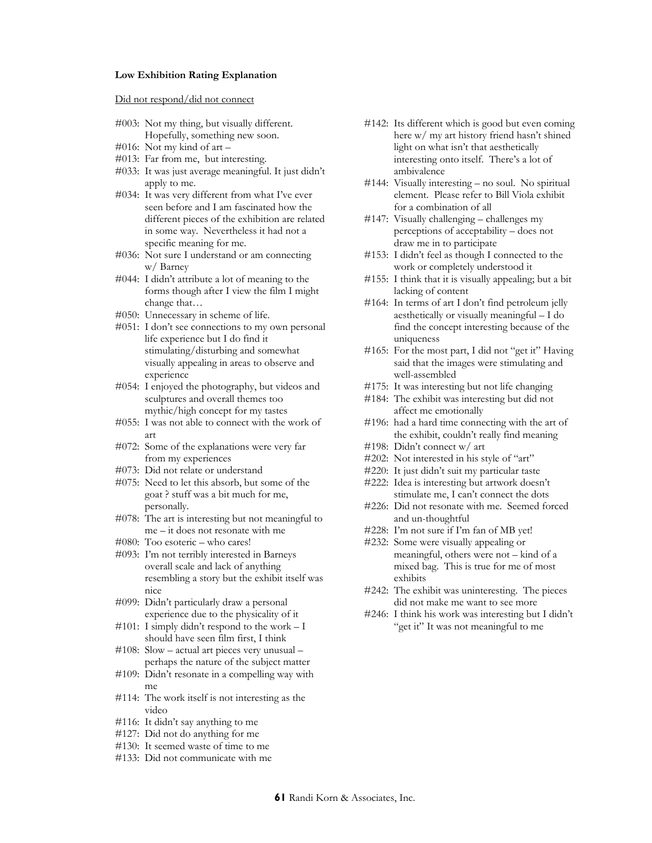### **Low Exhibition Rating Explanation**

Did not respond/did not connect

- #003: Not my thing, but visually different. Hopefully, something new soon.
- #016: Not my kind of art –
- #013: Far from me, but interesting.
- #033: It was just average meaningful. It just didn't apply to me.
- #034: It was very different from what I've ever seen before and I am fascinated how the different pieces of the exhibition are related in some way. Nevertheless it had not a specific meaning for me.
- #036: Not sure I understand or am connecting w/ Barney
- #044: I didn't attribute a lot of meaning to the forms though after I view the film I might change that…
- #050: Unnecessary in scheme of life.
- #051: I don't see connections to my own personal life experience but I do find it stimulating/disturbing and somewhat visually appealing in areas to observe and experience
- #054: I enjoyed the photography, but videos and sculptures and overall themes too mythic/high concept for my tastes
- #055: I was not able to connect with the work of art
- #072: Some of the explanations were very far from my experiences
- #073: Did not relate or understand
- #075: Need to let this absorb, but some of the goat ? stuff was a bit much for me, personally.
- #078: The art is interesting but not meaningful to me – it does not resonate with me
- #080: Too esoteric who cares!
- #093: I'm not terribly interested in Barneys overall scale and lack of anything resembling a story but the exhibit itself was nice
- #099: Didn't particularly draw a personal experience due to the physicality of it
- #101: I simply didn't respond to the work  $I$ should have seen film first, I think
- #108: Slow actual art pieces very unusual perhaps the nature of the subject matter
- #109: Didn't resonate in a compelling way with me
- #114: The work itself is not interesting as the video
- #116: It didn't say anything to me
- #127: Did not do anything for me
- #130: It seemed waste of time to me
- #133: Did not communicate with me
- #142: Its different which is good but even coming here w/ my art history friend hasn't shined light on what isn't that aesthetically interesting onto itself. There's a lot of ambivalence
- #144: Visually interesting no soul. No spiritual element. Please refer to Bill Viola exhibit for a combination of all
- #147: Visually challenging challenges my perceptions of acceptability – does not draw me in to participate
- #153: I didn't feel as though I connected to the work or completely understood it
- #155: I think that it is visually appealing; but a bit lacking of content
- #164: In terms of art I don't find petroleum jelly aesthetically or visually meaningful – I do find the concept interesting because of the uniqueness
- #165: For the most part, I did not "get it" Having said that the images were stimulating and well-assembled
- #175: It was interesting but not life changing
- #184: The exhibit was interesting but did not affect me emotionally
- #196: had a hard time connecting with the art of the exhibit, couldn't really find meaning
- #198: Didn't connect w/ art
- #202: Not interested in his style of "art"
- #220: It just didn't suit my particular taste
- #222: Idea is interesting but artwork doesn't stimulate me, I can't connect the dots
- #226: Did not resonate with me. Seemed forced and un-thoughtful
- #228: I'm not sure if I'm fan of MB yet!
- #232: Some were visually appealing or meaningful, others were not – kind of a mixed bag. This is true for me of most exhibits
- #242: The exhibit was uninteresting. The pieces did not make me want to see more
- #246: I think his work was interesting but I didn't "get it" It was not meaningful to me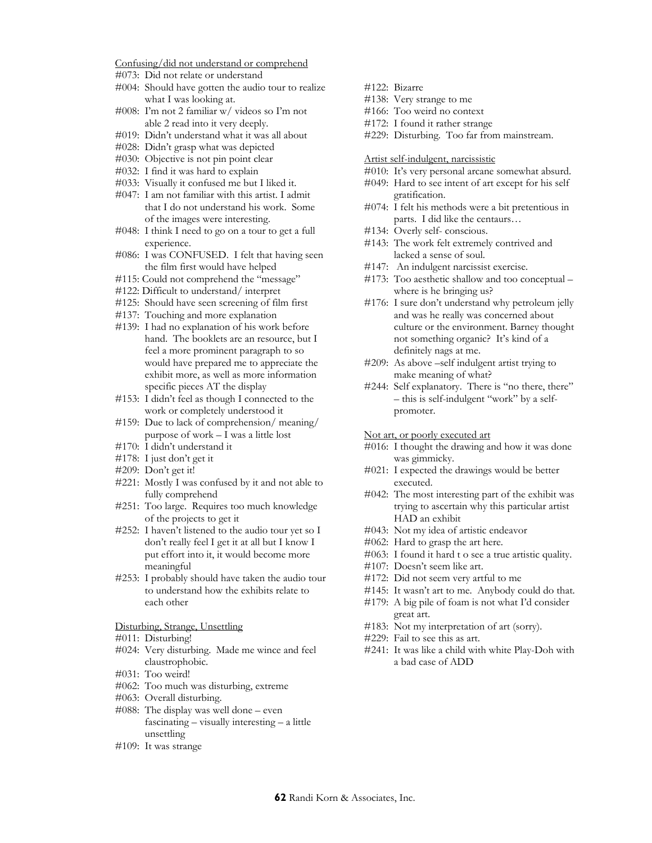Confusing/did not understand or comprehend

- #073: Did not relate or understand
- #004: Should have gotten the audio tour to realize what I was looking at.
- #008: I'm not 2 familiar w/ videos so I'm not able 2 read into it very deeply.
- #019: Didn't understand what it was all about
- #028: Didn't grasp what was depicted
- #030: Objective is not pin point clear
- #032: I find it was hard to explain
- #033: Visually it confused me but I liked it.
- #047: I am not familiar with this artist. I admit that I do not understand his work. Some of the images were interesting.
- #048: I think I need to go on a tour to get a full experience.
- #086: I was CONFUSED. I felt that having seen the film first would have helped
- #115: Could not comprehend the "message"
- #122: Difficult to understand/ interpret
- #125: Should have seen screening of film first
- #137: Touching and more explanation
- #139: I had no explanation of his work before hand. The booklets are an resource, but I feel a more prominent paragraph to so would have prepared me to appreciate the exhibit more, as well as more information specific pieces AT the display
- #153: I didn't feel as though I connected to the work or completely understood it
- #159: Due to lack of comprehension/ meaning/ purpose of work  $-\bar{1}$  was a little lost
- #170: I didn't understand it
- #178: I just don't get it
- #209: Don't get it!
- #221: Mostly I was confused by it and not able to fully comprehend
- #251: Too large. Requires too much knowledge of the projects to get it
- #252: I haven't listened to the audio tour yet so I don't really feel I get it at all but I know I put effort into it, it would become more meaningful
- #253: I probably should have taken the audio tour to understand how the exhibits relate to each other

Disturbing, Strange, Unsettling

- #011: Disturbing!
- #024: Very disturbing. Made me wince and feel claustrophobic.
- #031: Too weird!
- #062: Too much was disturbing, extreme
- #063: Overall disturbing.
- #088: The display was well done even fascinating – visually interesting – a little unsettling
- #109: It was strange
- #122: Bizarre
- #138: Very strange to me
- #166: Too weird no context
- #172: I found it rather strange
- #229: Disturbing. Too far from mainstream.

Artist self-indulgent, narcissistic

- #010: It's very personal arcane somewhat absurd.
- #049: Hard to see intent of art except for his self gratification.
- #074: I felt his methods were a bit pretentious in parts. I did like the centaurs…
- #134: Overly self- conscious.
- #143: The work felt extremely contrived and lacked a sense of soul.
- #147: An indulgent narcissist exercise.
- #173: Too aesthetic shallow and too conceptual where is he bringing us?
- #176: I sure don't understand why petroleum jelly and was he really was concerned about culture or the environment. Barney thought not something organic? It's kind of a definitely nags at me.
- #209: As above –self indulgent artist trying to make meaning of what?
- #244: Self explanatory. There is "no there, there" – this is self-indulgent "work" by a selfpromoter.
- Not art, or poorly executed art
- #016: I thought the drawing and how it was done was gimmicky.
- #021: I expected the drawings would be better executed.
- #042: The most interesting part of the exhibit was trying to ascertain why this particular artist HAD an exhibit
- #043: Not my idea of artistic endeavor
- #062: Hard to grasp the art here.
- #063: I found it hard t o see a true artistic quality.
- #107: Doesn't seem like art.
- #172: Did not seem very artful to me
- #145: It wasn't art to me. Anybody could do that.
- #179: A big pile of foam is not what I'd consider great art.
- #183: Not my interpretation of art (sorry).
- #229: Fail to see this as art.
- #241: It was like a child with white Play-Doh with a bad case of ADD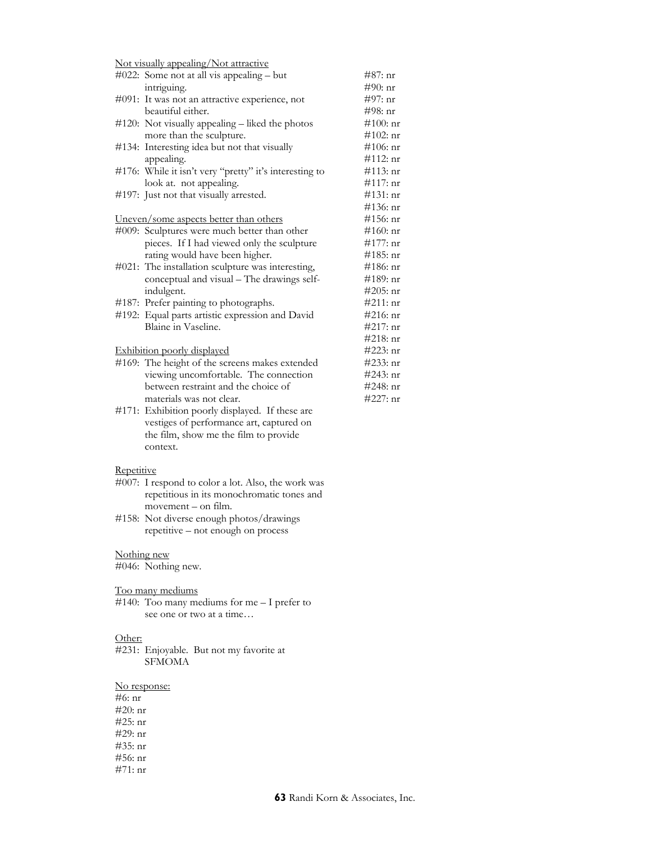Not visually appealing/Not attractive

| $\#022$ : Some not at all vis appealing – but          | #87: nr      |
|--------------------------------------------------------|--------------|
| intriguing.                                            | $#90:$ nr    |
| #091: It was not an attractive experience, not         | $\#97:$ nr   |
| beautiful either.                                      | $\#98:$ nr   |
| #120: Not visually appealing – liked the photos        | $#100:$ nr   |
| more than the sculpture.                               | $\#102$ : nr |
| #134: Interesting idea but not that visually           | $\#106$ : nr |
| appealing.                                             | #112: nr     |
| #176: While it isn't very "pretty" it's interesting to | $\#113:$ nr  |
| look at. not appealing.                                | $\#117:$ nr  |
| #197: Just not that visually arrested.                 | $\#131:$ nr  |
|                                                        | $\#136:$ nr  |
| <u>Uneven/some aspects better than others</u>          | $\#156$ : nr |
| #009: Sculptures were much better than other           | $#160:$ nr   |
| pieces. If I had viewed only the sculpture             | $\#177:$ nr  |
| rating would have been higher.                         | $\#185$ : nr |
| #021: The installation sculpture was interesting,      | $\#186:$ nr  |
| conceptual and visual - The drawings self-             | $\#189:$ nr  |
| indulgent.                                             | $#205:$ nr   |
| #187: Prefer painting to photographs.                  | #211: nr     |
| #192: Equal parts artistic expression and David        | $#216:$ nr   |
| Blaine in Vaseline.                                    | #217: nr     |
|                                                        | $\#218:$ nr  |
| <b>Exhibition poorly displayed</b>                     | $#223:$ nr   |
| #169: The height of the screens makes extended         | $#233:$ nr   |
| viewing uncomfortable. The connection                  | $#243:$ nr   |
| between restraint and the choice of                    | $#248:$ nr   |
| materials was not clear.                               | $#227:$ nr   |
| #171: Exhibition poorly displayed. If these are        |              |

vestiges of performance art, captured on the film, show me the film to provide context.

#### **Repetitive**

- #007: I respond to color a lot. Also, the work was repetitious in its monochromatic tones and movement – on film.
- #158: Not diverse enough photos/drawings repetitive – not enough on process

#### Nothing new

#046: Nothing new.

#### Too many mediums

#140: Too many mediums for me – I prefer to see one or two at a time…

## Other:

#231: Enjoyable. But not my favorite at SFMOMA

## No response:

#6: nr #20: nr #25: nr #29: nr #35: nr #56: nr #71: nr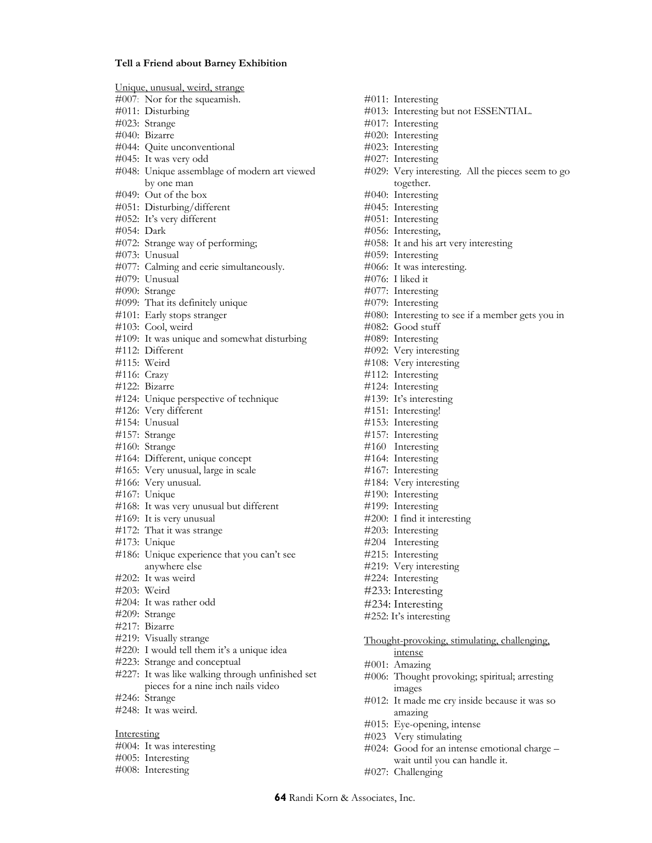#### **Tell a Friend about Barney Exhibition**

Unique, unusual, weird, strange #007: Nor for the squeamish. #011: Disturbing #023: Strange #040: Bizarre #044: Quite unconventional #045: It was very odd #048: Unique assemblage of modern art viewed by one man #049: Out of the box #051: Disturbing/different #052: It's very different #054: Dark #072: Strange way of performing; #073: Unusual #077: Calming and eerie simultaneously. #079: Unusual #090: Strange #099: That its definitely unique #101: Early stops stranger #103: Cool, weird #109: It was unique and somewhat disturbing #112: Different #115: Weird #116: Crazy #122: Bizarre #124: Unique perspective of technique #126: Very different #154: Unusual #157: Strange #160: Strange #164: Different, unique concept #165: Very unusual, large in scale #166: Very unusual. #167: Unique #168: It was very unusual but different #169: It is very unusual #172: That it was strange #173: Unique #186: Unique experience that you can't see anywhere else #202: It was weird #203: Weird #204: It was rather odd #209: Strange #217: Bizarre #219: Visually strange #220: I would tell them it's a unique idea #223: Strange and conceptual #227: It was like walking through unfinished set pieces for a nine inch nails video #246: Strange #248: It was weird. Interesting #004: It was interesting #005: Interesting

#008: Interesting

#011: Interesting #013: Interesting but not ESSENTIAL. #017: Interesting #020: Interesting #023: Interesting #027: Interesting #029: Very interesting. All the pieces seem to go together. #040: Interesting #045: Interesting #051: Interesting #056: Interesting, #058: It and his art very interesting #059: Interesting #066: It was interesting. #076: I liked it #077: Interesting #079: Interesting #080: Interesting to see if a member gets you in #082: Good stuff #089: Interesting #092: Very interesting #108: Very interesting #112: Interesting #124: Interesting #139: It's interesting #151: Interesting! #153: Interesting #157: Interesting #160 Interesting #164: Interesting #167: Interesting #184: Very interesting #190: Interesting #199: Interesting #200: I find it interesting #203: Interesting #204 Interesting #215: Interesting #219: Very interesting #224: Interesting #233: Interesting #234: Interesting #252: It's interesting

Thought-provoking, stimulating, challenging, intense

- #001: Amazing
- #006: Thought provoking; spiritual; arresting images
- #012: It made me cry inside because it was so amazing
- #015: Eye-opening, intense
- #023 Very stimulating
- #024: Good for an intense emotional charge wait until you can handle it.
- #027: Challenging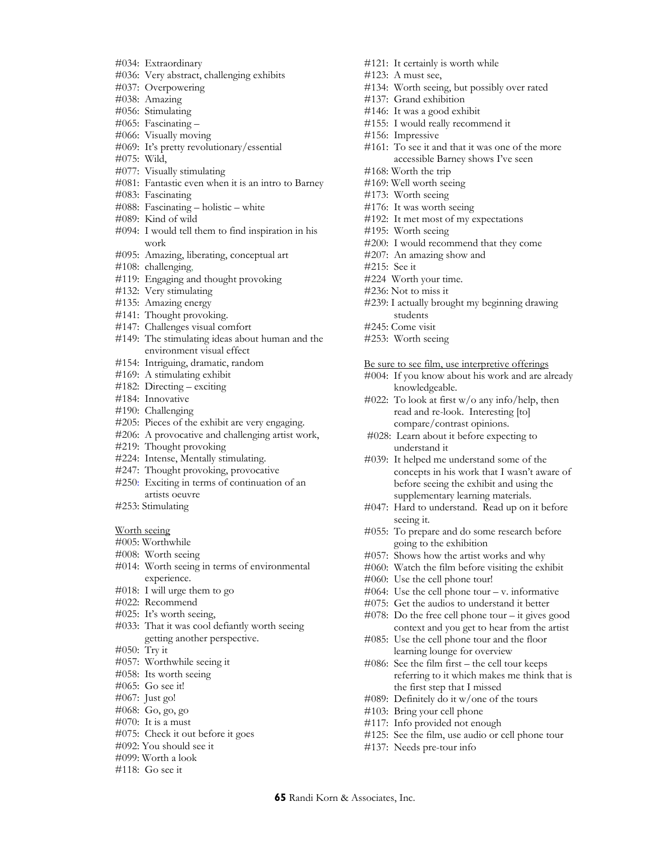- #034: Extraordinary
- #036: Very abstract, challenging exhibits
- #037: Overpowering
- #038: Amazing
- #056: Stimulating
- #065: Fascinating –
- #066: Visually moving
- #069: It's pretty revolutionary/essential
- #075: Wild,
- #077: Visually stimulating
- #081: Fantastic even when it is an intro to Barney
- #083: Fascinating
- #088: Fascinating holistic white
- #089: Kind of wild
- #094: I would tell them to find inspiration in his work
- #095: Amazing, liberating, conceptual art
- #108: challenging,
- #119: Engaging and thought provoking
- #132: Very stimulating
- #135: Amazing energy
- #141: Thought provoking.
- #147: Challenges visual comfort
- #149: The stimulating ideas about human and the environment visual effect
- #154: Intriguing, dramatic, random
- #169: A stimulating exhibit
- #182: Directing exciting
- #184: Innovative
- #190: Challenging
- #205: Pieces of the exhibit are very engaging.
- #206: A provocative and challenging artist work,
- #219: Thought provoking
- #224: Intense, Mentally stimulating.
- #247: Thought provoking, provocative
- #250: Exciting in terms of continuation of an artists oeuvre
- #253: Stimulating

Worth seeing

- #005: Worthwhile
- #008: Worth seeing
- #014: Worth seeing in terms of environmental experience.
- #018: I will urge them to go
- #022: Recommend
- #025: It's worth seeing,
- #033: That it was cool defiantly worth seeing getting another perspective.
- #050: Try it
- #057: Worthwhile seeing it
- #058: Its worth seeing
- #065: Go see it!
- #067: Just go!
- #068: Go, go, go
- $\#070$ : It is a must
- #075: Check it out before it goes
- #092: You should see it
- #099: Worth a look
- #118: Go see it
- #121: It certainly is worth while #123: A must see, #134: Worth seeing, but possibly over rated #137: Grand exhibition #146: It was a good exhibit #155: I would really recommend it #156: Impressive #161: To see it and that it was one of the more accessible Barney shows I've seen #168: Worth the trip #169: Well worth seeing #173: Worth seeing #176: It was worth seeing #192: It met most of my expectations #195: Worth seeing #200: I would recommend that they come #207: An amazing show and #215: See it #224 Worth your time. #236: Not to miss it
	- #239: I actually brought my beginning drawing students
	- #245: Come visit
	- #253: Worth seeing

#### Be sure to see film, use interpretive offerings

- #004: If you know about his work and are already knowledgeable.
- #022: To look at first w/o any info/help, then read and re-look. Interesting [to] compare/contrast opinions.
- #028: Learn about it before expecting to understand it
- #039: It helped me understand some of the concepts in his work that I wasn't aware of before seeing the exhibit and using the supplementary learning materials.
- #047: Hard to understand. Read up on it before seeing it.
- #055: To prepare and do some research before going to the exhibition
- #057: Shows how the artist works and why
- #060: Watch the film before visiting the exhibit
- #060: Use the cell phone tour!
- $\#064$ : Use the cell phone tour v. informative
- #075: Get the audios to understand it better
- #078: Do the free cell phone tour it gives good context and you get to hear from the artist
- #085: Use the cell phone tour and the floor learning lounge for overview
- #086: See the film first the cell tour keeps referring to it which makes me think that is the first step that I missed
- #089: Definitely do it w/one of the tours
- #103: Bring your cell phone
- #117: Info provided not enough
- #125: See the film, use audio or cell phone tour
- #137: Needs pre-tour info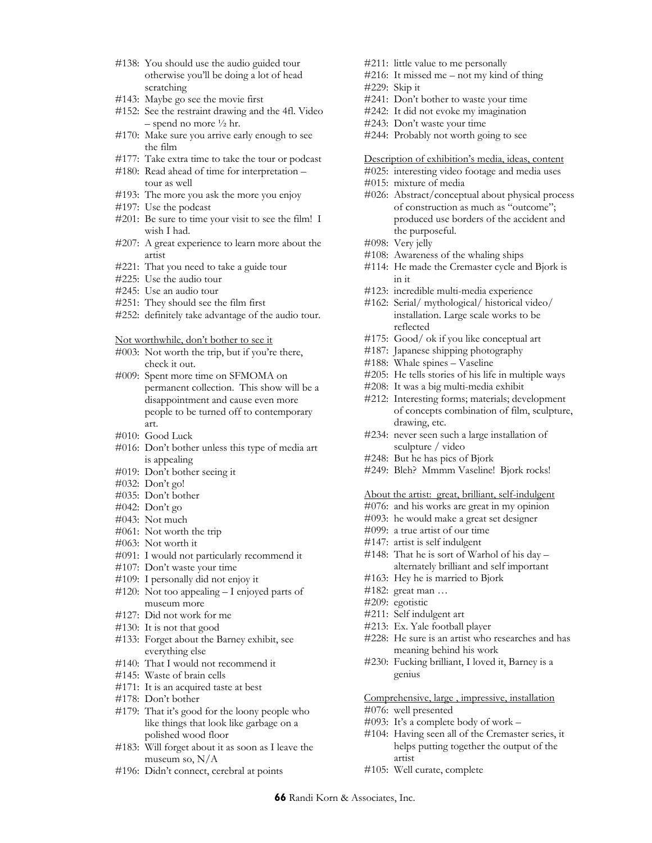- #138: You should use the audio guided tour otherwise you'll be doing a lot of head scratching
- #143: Maybe go see the movie first
- #152: See the restraint drawing and the 4fl. Video  $-$  spend no more  $\frac{1}{2}$  hr.
- #170: Make sure you arrive early enough to see the film
- #177: Take extra time to take the tour or podcast
- #180: Read ahead of time for interpretation tour as well
- #193: The more you ask the more you enjoy
- #197: Use the podcast
- #201: Be sure to time your visit to see the film! I wish I had.
- #207: A great experience to learn more about the artist
- #221: That you need to take a guide tour
- #225: Use the audio tour
- #245: Use an audio tour
- #251: They should see the film first
- #252: definitely take advantage of the audio tour.

Not worthwhile, don't bother to see it

- #003: Not worth the trip, but if you're there, check it out.
- #009: Spent more time on SFMOMA on permanent collection. This show will be a disappointment and cause even more people to be turned off to contemporary art.
- #010: Good Luck
- #016: Don't bother unless this type of media art is appealing
- #019: Don't bother seeing it
- #032: Don't go!
- #035: Don't bother
- #042: Don't go
- #043: Not much
- #061: Not worth the trip
- #063: Not worth it
- #091: I would not particularly recommend it
- #107: Don't waste your time
- #109: I personally did not enjoy it
- #120: Not too appealing I enjoyed parts of museum more
- #127: Did not work for me
- #130: It is not that good
- #133: Forget about the Barney exhibit, see everything else
- #140: That I would not recommend it
- #145: Waste of brain cells
- #171: It is an acquired taste at best
- #178: Don't bother
- #179: That it's good for the loony people who like things that look like garbage on a polished wood floor
- #183: Will forget about it as soon as I leave the museum so, N/A
- #196: Didn't connect, cerebral at points
- #211: little value to me personally
- #216: It missed me not my kind of thing #229: Skip it
- #241: Don't bother to waste your time
- #242: It did not evoke my imagination
- #243: Don't waste your time
- #244: Probably not worth going to see

Description of exhibition's media, ideas, content

- #025: interesting video footage and media uses
- #015: mixture of media
- #026: Abstract/conceptual about physical process of construction as much as "outcome"; produced use borders of the accident and the purposeful.
- #098: Very jelly
- #108: Awareness of the whaling ships
- #114: He made the Cremaster cycle and Bjork is in it
- #123: incredible multi-media experience
- #162: Serial/ mythological/ historical video/ installation. Large scale works to be reflected
- #175: Good/ ok if you like conceptual art
- #187: Japanese shipping photography
- #188: Whale spines Vaseline
- #205: He tells stories of his life in multiple ways
- #208: It was a big multi-media exhibit
- #212: Interesting forms; materials; development of concepts combination of film, sculpture, drawing, etc.
- #234: never seen such a large installation of sculpture / video
- #248: But he has pics of Bjork
- #249: Bleh? Mmmm Vaseline! Bjork rocks!

## About the artist: great, brilliant, self-indulgent

- #076: and his works are great in my opinion
- #093: he would make a great set designer
- #099: a true artist of our time
- #147: artist is self indulgent
- #148: That he is sort of Warhol of his day alternately brilliant and self important
- #163: Hey he is married to Bjork
- #182: great man …
- #209: egotistic
- #211: Self indulgent art
- #213: Ex. Yale football player
- #228: He sure is an artist who researches and has meaning behind his work
- #230: Fucking brilliant, I loved it, Barney is a genius

Comprehensive, large , impressive, installation

- #076: well presented
- #093: It's a complete body of work –
- #104: Having seen all of the Cremaster series, it helps putting together the output of the artist
- #105: Well curate, complete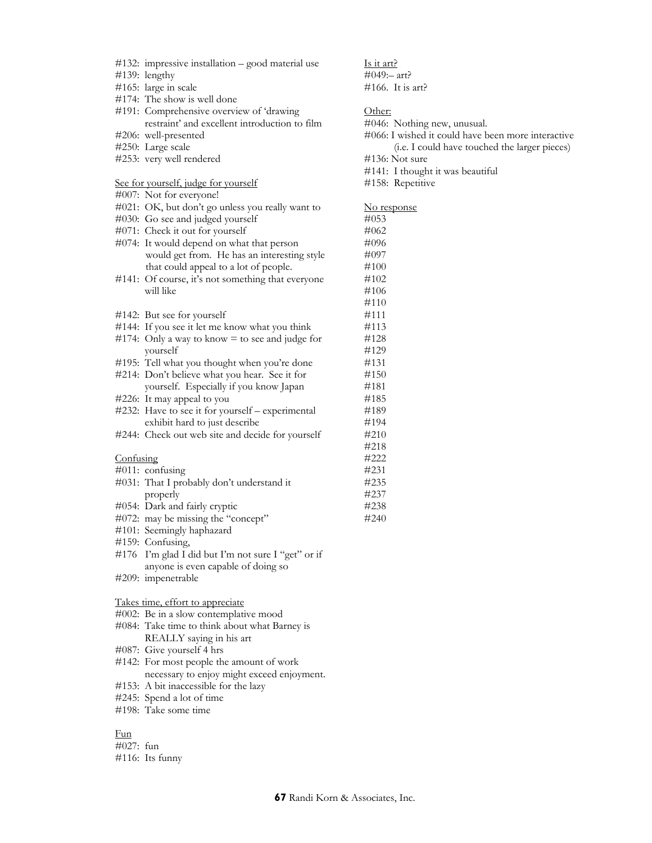- #132: impressive installation good material use
- #139: lengthy
- #165: large in scale
- #174: The show is well done
- #191: Comprehensive overview of 'drawing restraint' and excellent introduction to film #206: well-presented
- #250: Large scale
- #253: very well rendered

#### See for yourself, judge for yourself

- #007: Not for everyone!
- #021: OK, but don't go unless you really want to
- #030: Go see and judged yourself
- #071: Check it out for yourself
- #074: It would depend on what that person would get from. He has an interesting style that could appeal to a lot of people.
- #141: Of course, it's not something that everyone will like
- #142: But see for yourself
- #144: If you see it let me know what you think
- #174: Only a way to know  $=$  to see and judge for yourself
- #195: Tell what you thought when you're done
- #214: Don't believe what you hear. See it for yourself. Especially if you know Japan #226: It may appeal to you
- #232: Have to see it for yourself experimental exhibit hard to just describe
- #244: Check out web site and decide for yourself

#### Confusing

- #011: confusing #031: That I probably don't understand it
- properly
- #054: Dark and fairly cryptic
- #072: may be missing the "concept"
- #101: Seemingly haphazard
- #159: Confusing,
- #176 I'm glad I did but I'm not sure I "get" or if anyone is even capable of doing so
- #209: impenetrable

#### Takes time, effort to appreciate

- #002: Be in a slow contemplative mood
- #084: Take time to think about what Barney is REALLY saying in his art
- #087: Give yourself 4 hrs
- #142: For most people the amount of work necessary to enjoy might exceed enjoyment.
- #153: A bit inaccessible for the lazy
- #245: Spend a lot of time
- #198: Take some time

#### Fun

#027: fun

#### #116: Its funny

Is it art?  $\#049:$ – art? #166. It is art? Other: #046: Nothing new, unusual. #066: I wished it could have been more interactive (i.e. I could have touched the larger pieces) #136: Not sure #141: I thought it was beautiful #158: Repetitive No response #053 #062 #096 #097 #100 #102 #106 #110 #111 #113 #128 #129 #131 #150 #181 #185

#189 #194 #210 #218 #222 #231 #235 #237 #238 #240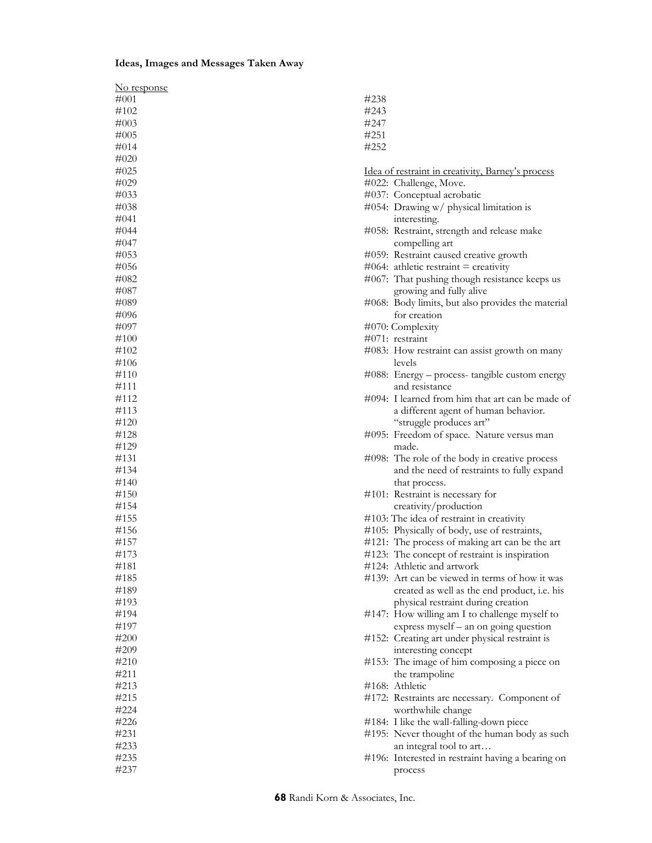## **Ideas, Images and Messages Taken Away**

| #001<br>#102<br>#003<br>$\#005$<br>#014<br>#020<br>#025 | #238<br>#243<br>#247<br>#251<br>#252<br>Idea of restraint in creativity, Barney's process<br>#022: Challenge, Move. |
|---------------------------------------------------------|---------------------------------------------------------------------------------------------------------------------|
|                                                         |                                                                                                                     |
|                                                         |                                                                                                                     |
|                                                         |                                                                                                                     |
|                                                         |                                                                                                                     |
|                                                         |                                                                                                                     |
|                                                         |                                                                                                                     |
|                                                         |                                                                                                                     |
| #029                                                    |                                                                                                                     |
| #033                                                    | #037: Conceptual acrobatic                                                                                          |
| $\#038$                                                 | #054: Drawing w/ physical limitation is                                                                             |
| #041                                                    | interesting.                                                                                                        |
| #044                                                    | #058: Restraint, strength and release make                                                                          |
| #047                                                    | compelling art                                                                                                      |
| #053                                                    |                                                                                                                     |
| #056                                                    | #059: Restraint caused creative growth<br>$\#064$ : athletic restraint = creativity                                 |
| #082                                                    |                                                                                                                     |
| #087                                                    | #067: That pushing though resistance keeps us                                                                       |
|                                                         | growing and fully alive                                                                                             |
| #089                                                    | #068: Body limits, but also provides the material                                                                   |
| #096                                                    | for creation                                                                                                        |
| #097                                                    | #070: Complexity                                                                                                    |
| #100                                                    | $\#071$ : restraint                                                                                                 |
| #102                                                    | #083: How restraint can assist growth on many                                                                       |
| #106                                                    | levels                                                                                                              |
| #110                                                    | #088: Energy – process- tangible custom energy                                                                      |
| #111                                                    | and resistance                                                                                                      |
| #112                                                    | #094: I learned from him that art can be made of                                                                    |
| #113                                                    | a different agent of human behavior.                                                                                |
| #120                                                    | "struggle produces art"                                                                                             |
| #128                                                    | #095: Freedom of space. Nature versus man                                                                           |
| #129                                                    | made.                                                                                                               |
| #131                                                    | #098: The role of the body in creative process                                                                      |
| #134                                                    | and the need of restraints to fully expand                                                                          |
| #140                                                    | that process.                                                                                                       |
| #150                                                    | #101: Restraint is necessary for                                                                                    |
| #154                                                    | creativity/production                                                                                               |
| #155                                                    | #103: The idea of restraint in creativity                                                                           |
| #156                                                    | #105: Physically of body, use of restraints,                                                                        |
| #157                                                    | #121: The process of making art can be the art                                                                      |
| #173                                                    | #123: The concept of restraint is inspiration                                                                       |
| #181                                                    | #124: Athletic and artwork                                                                                          |
| #185                                                    | #139: Art can be viewed in terms of how it was                                                                      |
| #189                                                    | created as well as the end product, i.e. his                                                                        |
| #193                                                    | physical restraint during creation                                                                                  |
| #194                                                    | #147: How willing am I to challenge myself to                                                                       |
| #197                                                    | express myself – an on going question                                                                               |
| #200                                                    | #152: Creating art under physical restraint is                                                                      |
| #209                                                    | interesting concept                                                                                                 |
| #210                                                    | #153: The image of him composing a piece on                                                                         |
| #211                                                    | the trampoline                                                                                                      |
| #213                                                    | #168: Athletic                                                                                                      |
| #215                                                    | #172: Restraints are necessary. Component of                                                                        |
| #224                                                    | worthwhile change                                                                                                   |
| #226                                                    | #184: I like the wall-falling-down piece                                                                            |
| #231                                                    | #195: Never thought of the human body as such                                                                       |
| #233                                                    | an integral tool to art                                                                                             |
| #235                                                    | #196: Interested in restraint having a bearing on                                                                   |
| #237                                                    | process                                                                                                             |

**68** Randi Korn & Associates, Inc.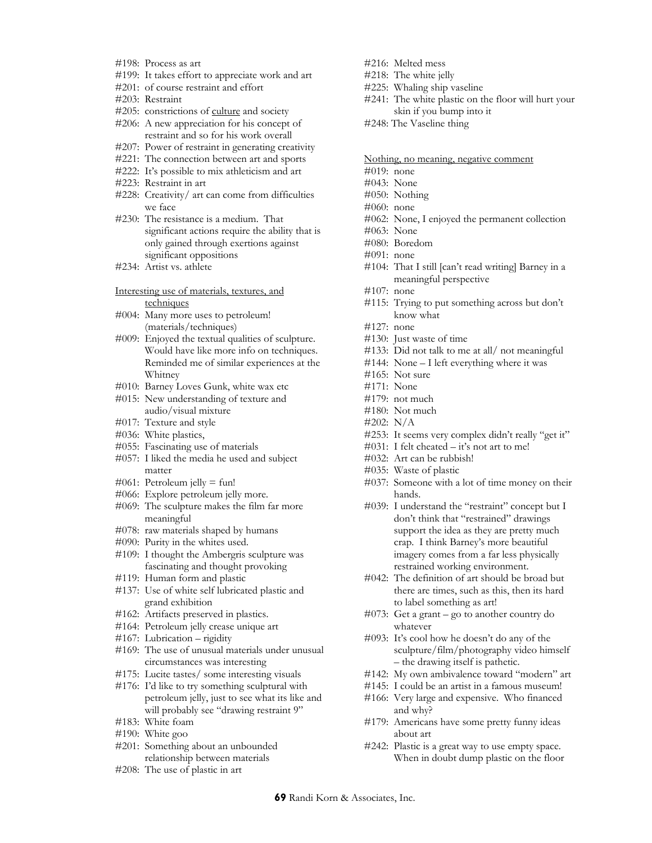- #198: Process as art
- #199: It takes effort to appreciate work and art
- #201: of course restraint and effort
- #203: Restraint
- #205: constrictions of culture and society #206: A new appreciation for his concept of
- restraint and so for his work overall
- #207: Power of restraint in generating creativity
- #221: The connection between art and sports
- #222: It's possible to mix athleticism and art
- #223: Restraint in art
- #228: Creativity/ art can come from difficulties we face
- #230: The resistance is a medium. That significant actions require the ability that is only gained through exertions against significant oppositions
- #234: Artist vs. athlete
- Interesting use of materials, textures, and techniques
- #004: Many more uses to petroleum! (materials/techniques)
- #009: Enjoyed the textual qualities of sculpture. Would have like more info on techniques. Reminded me of similar experiences at the Whitney
- #010: Barney Loves Gunk, white wax etc
- #015: New understanding of texture and audio/visual mixture
- #017: Texture and style
- #036: White plastics,
- #055: Fascinating use of materials
- #057: I liked the media he used and subject matter
- #061: Petroleum jelly = fun!
- #066: Explore petroleum jelly more.
- #069: The sculpture makes the film far more meaningful
- #078: raw materials shaped by humans
- #090: Purity in the whites used.
- #109: I thought the Ambergris sculpture was fascinating and thought provoking
- #119: Human form and plastic
- #137: Use of white self lubricated plastic and grand exhibition
- #162: Artifacts preserved in plastics.
- #164: Petroleum jelly crease unique art
- #167: Lubrication rigidity
- #169: The use of unusual materials under unusual circumstances was interesting
- #175: Lucite tastes/ some interesting visuals
- #176: I'd like to try something sculptural with petroleum jelly, just to see what its like and will probably see "drawing restraint 9"
- #183: White foam
- #190: White goo
- #201: Something about an unbounded relationship between materials
- #208: The use of plastic in art
- #216: Melted mess
- #218: The white jelly
- #225: Whaling ship vaseline
- #241: The white plastic on the floor will hurt your skin if you bump into it
- #248: The Vaseline thing
- Nothing, no meaning, negative comment
- #019: none
- #043: None
- #050: Nothing
- #060: none
- #062: None, I enjoyed the permanent collection
- #063: None
- #080: Boredom
- #091: none
- #104: That I still [can't read writing] Barney in a meaningful perspective
- #107: none
- #115: Trying to put something across but don't know what
- #127: none
- #130: Just waste of time
- #133: Did not talk to me at all/ not meaningful
- #144: None I left everything where it was
- #165: Not sure
- #171: None
- #179: not much
- #180: Not much
- #202: N/A
- #253: It seems very complex didn't really "get it"
- #031: I felt cheated it's not art to me!
- #032: Art can be rubbish!
- #035: Waste of plastic
- #037: Someone with a lot of time money on their hands.
- #039: I understand the "restraint" concept but I don't think that "restrained" drawings support the idea as they are pretty much crap. I think Barney's more beautiful imagery comes from a far less physically restrained working environment.
- #042: The definition of art should be broad but there are times, such as this, then its hard to label something as art!
- #073: Get a grant go to another country do whatever
- #093: It's cool how he doesn't do any of the sculpture/film/photography video himself – the drawing itself is pathetic.
- #142: My own ambivalence toward "modern" art
- #145: I could be an artist in a famous museum!
- #166: Very large and expensive. Who financed and why?
- #179: Americans have some pretty funny ideas about art
- #242: Plastic is a great way to use empty space. When in doubt dump plastic on the floor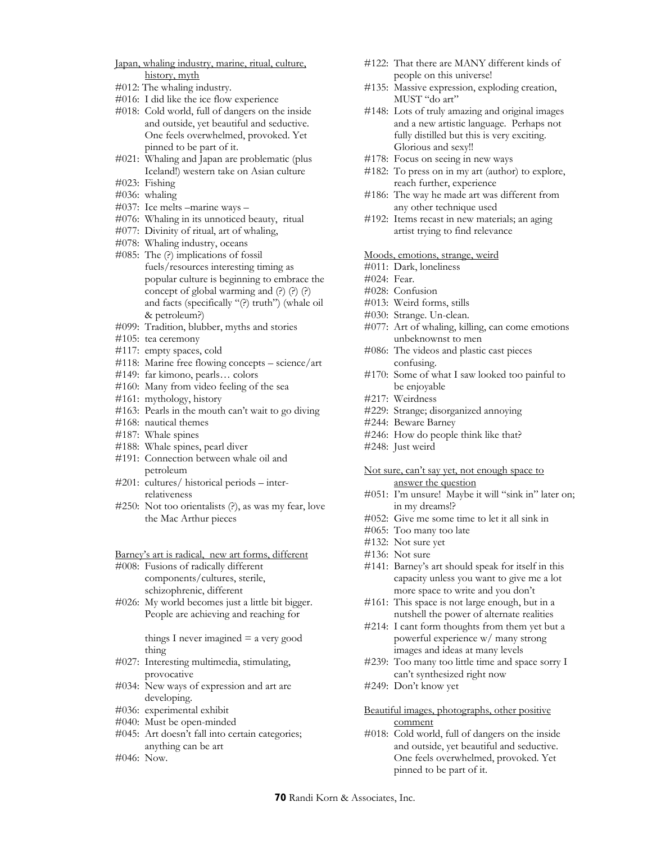- Japan, whaling industry, marine, ritual, culture, history, myth
- #012: The whaling industry.
- #016: I did like the ice flow experience
- #018: Cold world, full of dangers on the inside and outside, yet beautiful and seductive. One feels overwhelmed, provoked. Yet pinned to be part of it.
- #021: Whaling and Japan are problematic (plus Iceland!) western take on Asian culture
- #023: Fishing
- #036: whaling
- #037: Ice melts –marine ways –
- #076: Whaling in its unnoticed beauty, ritual
- #077: Divinity of ritual, art of whaling,
- #078: Whaling industry, oceans
- #085: The (?) implications of fossil fuels/resources interesting timing as popular culture is beginning to embrace the concept of global warming and (?) (?) (?) and facts (specifically "(?) truth") (whale oil & petroleum?)
- #099: Tradition, blubber, myths and stories
- #105: tea ceremony
- #117: empty spaces, cold
- #118: Marine free flowing concepts science/art
- #149: far kimono, pearls… colors
- #160: Many from video feeling of the sea
- #161: mythology, history
- #163: Pearls in the mouth can't wait to go diving
- #168: nautical themes
- #187: Whale spines
- #188: Whale spines, pearl diver
- #191: Connection between whale oil and petroleum
- #201: cultures/ historical periods interrelativeness
- #250: Not too orientalists (?), as was my fear, love the Mac Arthur pieces

Barney's art is radical, new art forms, different

- #008: Fusions of radically different components/cultures, sterile, schizophrenic, different
- #026: My world becomes just a little bit bigger. People are achieving and reaching for

things I never imagined  $=$  a very good thing

- #027: Interesting multimedia, stimulating, provocative
- #034: New ways of expression and art are developing.
- #036: experimental exhibit
- #040: Must be open-minded
- #045: Art doesn't fall into certain categories; anything can be art
- #046: Now.
- #122: That there are MANY different kinds of people on this universe!
- #135: Massive expression, exploding creation, MUST "do art"
- #148: Lots of truly amazing and original images and a new artistic language. Perhaps not fully distilled but this is very exciting. Glorious and sexy!!
- #178: Focus on seeing in new ways
- #182: To press on in my art (author) to explore, reach further, experience
- #186: The way he made art was different from any other technique used
- #192: Items recast in new materials; an aging artist trying to find relevance

#### Moods, emotions, strange, weird

- #011: Dark, loneliness
- #024: Fear.
- #028: Confusion
- #013: Weird forms, stills
- #030: Strange. Un-clean.
- #077: Art of whaling, killing, can come emotions unbeknownst to men
- #086: The videos and plastic cast pieces confusing.
- #170: Some of what I saw looked too painful to be enjoyable
- #217: Weirdness
- #229: Strange; disorganized annoying
- #244: Beware Barney
- #246: How do people think like that?
- #248: Just weird

#### Not sure, can't say yet, not enough space to answer the question

- #051: I'm unsure! Maybe it will "sink in" later on; in my dreams!?
- #052: Give me some time to let it all sink in
- #065: Too many too late
- #132: Not sure yet
- #136: Not sure
- #141: Barney's art should speak for itself in this capacity unless you want to give me a lot more space to write and you don't
- #161: This space is not large enough, but in a nutshell the power of alternate realities
- #214: I cant form thoughts from them yet but a powerful experience w/ many strong images and ideas at many levels
- #239: Too many too little time and space sorry I can't synthesized right now
- #249: Don't know yet

#### Beautiful images, photographs, other positive comment

#018: Cold world, full of dangers on the inside and outside, yet beautiful and seductive. One feels overwhelmed, provoked. Yet pinned to be part of it.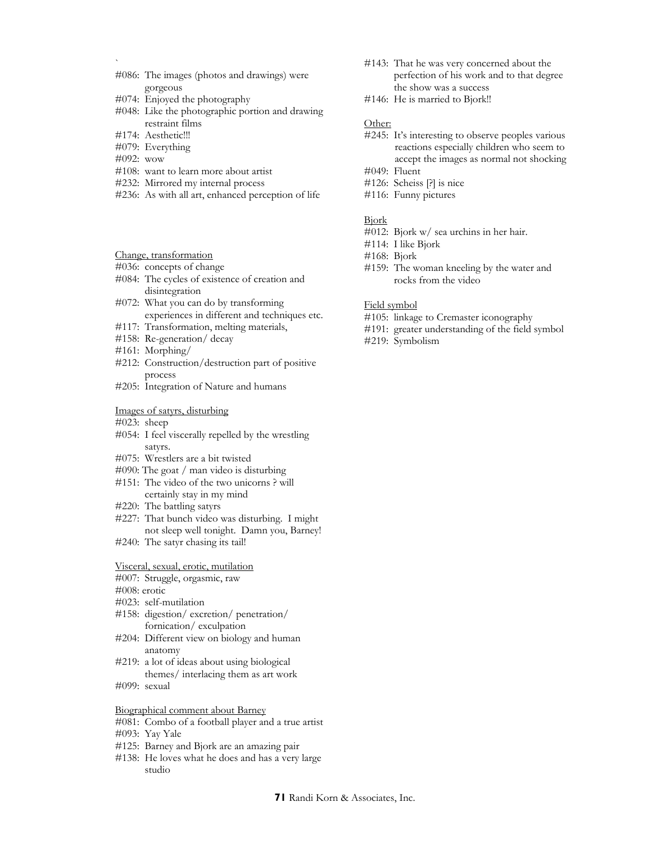- #086: The images (photos and drawings) were gorgeous
- #074: Enjoyed the photography
- #048: Like the photographic portion and drawing restraint films
- #174: Aesthetic!!!
- #079: Everything
- #092: wow

`

- #108: want to learn more about artist
- #232: Mirrored my internal process
- #236: As with all art, enhanced perception of life
- Change, transformation
- #036: concepts of change
- #084: The cycles of existence of creation and disintegration
- #072: What you can do by transforming experiences in different and techniques etc.
- #117: Transformation, melting materials,
- #158: Re-generation/ decay
- #161: Morphing/
- #212: Construction/destruction part of positive process
- #205: Integration of Nature and humans

### Images of satyrs, disturbing

- #023: sheep
- #054: I feel viscerally repelled by the wrestling satyrs.
- #075: Wrestlers are a bit twisted
- #090: The goat / man video is disturbing
- #151: The video of the two unicorns ? will certainly stay in my mind
- #220: The battling satyrs
- #227: That bunch video was disturbing. I might not sleep well tonight. Damn you, Barney!
- #240: The satyr chasing its tail!

#### Visceral, sexual, erotic, mutilation

- #007: Struggle, orgasmic, raw
- #008: erotic
- #023: self-mutilation
- #158: digestion/ excretion/ penetration/ fornication/ exculpation
- #204: Different view on biology and human anatomy
- #219: a lot of ideas about using biological themes/ interlacing them as art work
- #099: sexual

#### Biographical comment about Barney

- #081: Combo of a football player and a true artist
- #093: Yay Yale
- #125: Barney and Bjork are an amazing pair
- #138: He loves what he does and has a very large studio
- #143: That he was very concerned about the perfection of his work and to that degree the show was a success
- #146: He is married to Bjork!!

## Other:

- #245: It's interesting to observe peoples various reactions especially children who seem to accept the images as normal not shocking #049: Fluent
- 
- #126: Scheiss [?] is nice #116: Funny pictures
- Bjork
- #012: Bjork w/ sea urchins in her hair.
- #114: I like Bjork
- #168: Bjork
- #159: The woman kneeling by the water and rocks from the video

#### Field symbol

- #105: linkage to Cremaster iconography
- #191: greater understanding of the field symbol
- #219: Symbolism